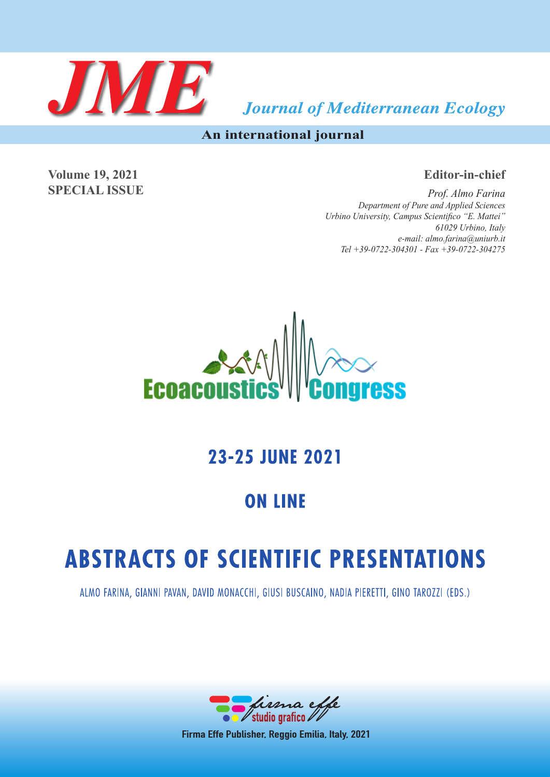

**Journal of Mediterranean Ecology** 

**An international journal**

**Volume 19, 2021 SPECIAL ISSUE** **Editor-in-chief**

*Prof. Almo Farina Department of Pure and Applied Sciences Urbino University, Campus Scientifico "E. Mattei" 61029 Urbino, Italy e-mail: almo.farina@uniurb.it Tel +39-0722-304301 - Fax +39-0722-304275*



# **23-25 JUNE 2021**

# **ON LINE**

# **ABSTRACTS OF SCIENTIFIC PRESENTATIONS**

ALMO FARINA, GIANNI PAVAN, DAVID MONACCHI, GIUSI BUSCAINO, NADIA PIERETTI, GINO TAROZZI (EDS.)



Firma Effe Publisher, Reggio Emilia, Italy, 2021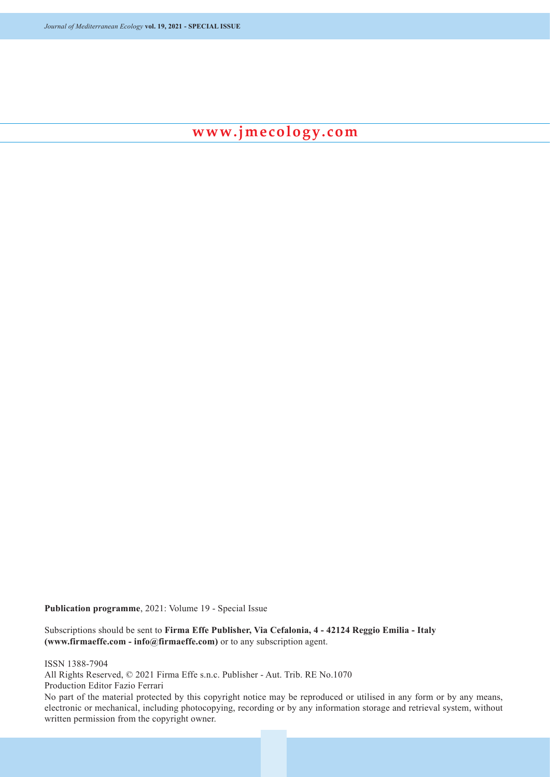**www.jmecology.com**

**Publication programme**, 2021: Volume 19 - Special Issue

Subscriptions should be sent to **Firma Effe Publisher, Via Cefalonia, 4 - 42124 Reggio Emilia - Italy (www.firmaeffe.com - info@firmaeffe.com)** or to any subscription agent.

ISSN 1388-7904

All Rights Reserved, © 2021 Firma Effe s.n.c. Publisher - Aut. Trib. RE No.1070

Production Editor Fazio Ferrari

No part of the material protected by this copyright notice may be reproduced or utilised in any form or by any means, electronic or mechanical, including photocopying, recording or by any information storage and retrieval system, without written permission from the copyright owner.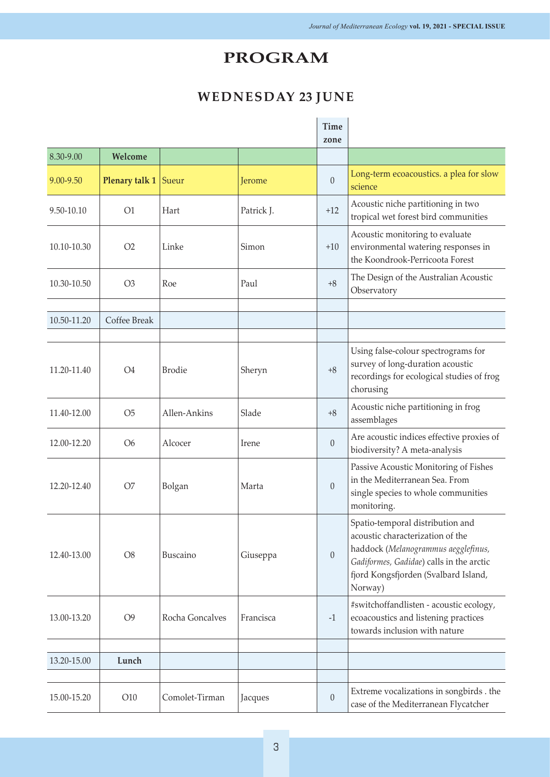# **PROGRAM**

# **WEDNESDAY 23 JUNE**

|               |                       |                 |            | Time<br>zone     |                                                                                                                                                                                                            |
|---------------|-----------------------|-----------------|------------|------------------|------------------------------------------------------------------------------------------------------------------------------------------------------------------------------------------------------------|
| 8.30-9.00     | Welcome               |                 |            |                  |                                                                                                                                                                                                            |
| $9.00 - 9.50$ | <b>Plenary talk 1</b> | Sueur           | Jerome     | $\overline{0}$   | Long-term ecoacoustics. a plea for slow<br>science                                                                                                                                                         |
| 9.50-10.10    | O1                    | Hart            | Patrick J. | $+12$            | Acoustic niche partitioning in two<br>tropical wet forest bird communities                                                                                                                                 |
| 10.10-10.30   | O2                    | Linke           | Simon      | $+10$            | Acoustic monitoring to evaluate<br>environmental watering responses in<br>the Koondrook-Perricoota Forest                                                                                                  |
| 10.30-10.50   | O <sub>3</sub>        | Roe             | Paul       | $+8$             | The Design of the Australian Acoustic<br>Observatory                                                                                                                                                       |
| 10.50-11.20   | Coffee Break          |                 |            |                  |                                                                                                                                                                                                            |
|               |                       |                 |            |                  |                                                                                                                                                                                                            |
| 11.20-11.40   | O <sub>4</sub>        | <b>Brodie</b>   | Sheryn     | $+8$             | Using false-colour spectrograms for<br>survey of long-duration acoustic<br>recordings for ecological studies of frog<br>chorusing                                                                          |
| 11.40-12.00   | O <sub>5</sub>        | Allen-Ankins    | Slade      | $+8$             | Acoustic niche partitioning in frog<br>assemblages                                                                                                                                                         |
| 12.00-12.20   | O <sub>6</sub>        | Alcocer         | Irene      | $\boldsymbol{0}$ | Are acoustic indices effective proxies of<br>biodiversity? A meta-analysis                                                                                                                                 |
| 12.20-12.40   | O7                    | Bolgan          | Marta      | $\theta$         | Passive Acoustic Monitoring of Fishes<br>in the Mediterranean Sea. From<br>single species to whole communities<br>monitoring.                                                                              |
| 12.40-13.00   | O <sub>8</sub>        | Buscaino        | Giuseppa   | $\theta$         | Spatio-temporal distribution and<br>acoustic characterization of the<br>haddock (Melanogrammus aegglefinus,<br>Gadiformes, Gadidae) calls in the arctic<br>fjord Kongsfjorden (Svalbard Island,<br>Norway) |
| 13.00-13.20   | O <sub>9</sub>        | Rocha Goncalves | Francisca  | $-1$             | #switchoffandlisten - acoustic ecology,<br>ecoacoustics and listening practices<br>towards inclusion with nature                                                                                           |
|               |                       |                 |            |                  |                                                                                                                                                                                                            |
| 13.20-15.00   | Lunch                 |                 |            |                  |                                                                                                                                                                                                            |
| 15.00-15.20   | O10                   | Comolet-Tirman  | Jacques    | $\boldsymbol{0}$ | Extreme vocalizations in songbirds . the<br>case of the Mediterranean Flycatcher                                                                                                                           |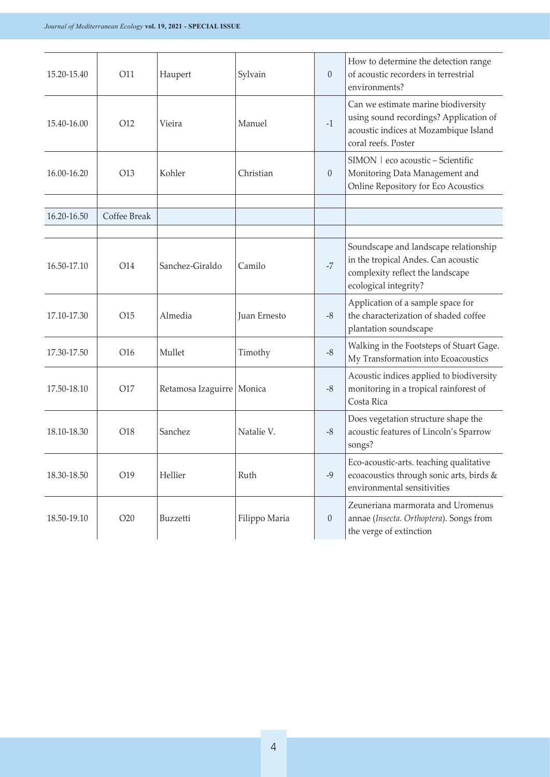| 15.20-15.40 | O11          | Haupert                     | Sylvain       | $\theta$         | How to determine the detection range<br>of acoustic recorders in terrestrial<br>environments?                                                 |
|-------------|--------------|-----------------------------|---------------|------------------|-----------------------------------------------------------------------------------------------------------------------------------------------|
| 15.40-16.00 | O12          | Vieira                      | Manuel        | $-1$             | Can we estimate marine biodiversity<br>using sound recordings? Application of<br>acoustic indices at Mozambique Island<br>coral reefs. Poster |
| 16.00-16.20 | O13          | Kohler                      | Christian     | $\theta$         | SIMON   eco acoustic - Scientific<br>Monitoring Data Management and<br>Online Repository for Eco Acoustics                                    |
| 16.20-16.50 | Coffee Break |                             |               |                  |                                                                                                                                               |
|             |              |                             |               |                  |                                                                                                                                               |
| 16.50-17.10 | O14          | Sanchez-Giraldo             | Camilo        | $-7$             | Soundscape and landscape relationship<br>in the tropical Andes. Can acoustic<br>complexity reflect the landscape<br>ecological integrity?     |
| 17.10-17.30 | O15          | Almedia                     | Juan Ernesto  | $-8$             | Application of a sample space for<br>the characterization of shaded coffee<br>plantation soundscape                                           |
| 17.30-17.50 | O16          | Mullet                      | Timothy       | $-8$             | Walking in the Footsteps of Stuart Gage.<br>My Transformation into Ecoacoustics                                                               |
| 17.50-18.10 | O17          | Retamosa Izaguirre   Monica |               | $-8$             | Acoustic indices applied to biodiversity<br>monitoring in a tropical rainforest of<br>Costa Rica                                              |
| 18.10-18.30 | O18          | Sanchez                     | Natalie V.    | $-8$             | Does vegetation structure shape the<br>acoustic features of Lincoln's Sparrow<br>songs?                                                       |
| 18.30-18.50 | O19          | Hellier                     | Ruth          | $-9$             | Eco-acoustic-arts. teaching qualitative<br>ecoacoustics through sonic arts, birds &<br>environmental sensitivities                            |
| 18.50-19.10 | O20          | Buzzetti                    | Filippo Maria | $\boldsymbol{0}$ | Zeuneriana marmorata and Uromenus<br>annae (Insecta. Orthoptera). Songs from<br>the verge of extinction                                       |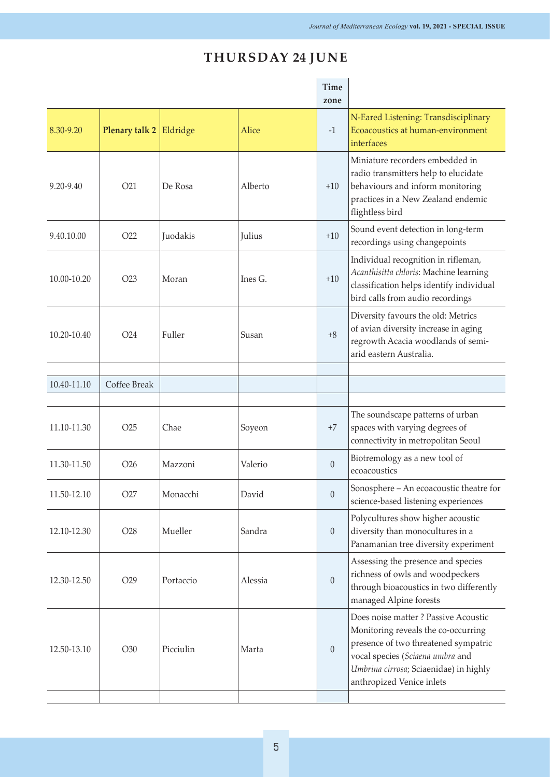# **THURSDAY 24 JUNE**

|               |                  |           |         | <b>Time</b><br>zone |                                                                                                                                                                                                                               |
|---------------|------------------|-----------|---------|---------------------|-------------------------------------------------------------------------------------------------------------------------------------------------------------------------------------------------------------------------------|
| 8.30-9.20     | Plenary talk 2   | Eldridge  | Alice   | $-1$                | N-Eared Listening: Transdisciplinary<br>Ecoacoustics at human-environment<br>interfaces                                                                                                                                       |
| $9.20 - 9.40$ | O <sub>21</sub>  | De Rosa   | Alberto | $+10$               | Miniature recorders embedded in<br>radio transmitters help to elucidate<br>behaviours and inform monitoring<br>practices in a New Zealand endemic<br>flightless bird                                                          |
| 9.40.10.00    | O <sub>22</sub>  | Juodakis  | Julius  | $+10$               | Sound event detection in long-term<br>recordings using changepoints                                                                                                                                                           |
| 10.00-10.20   | O <sub>2</sub> 3 | Moran     | Ines G. | $+10$               | Individual recognition in rifleman,<br>Acanthisitta chloris: Machine learning<br>classification helps identify individual<br>bird calls from audio recordings                                                                 |
| 10.20-10.40   | O <sub>24</sub>  | Fuller    | Susan   | $+8$                | Diversity favours the old: Metrics<br>of avian diversity increase in aging<br>regrowth Acacia woodlands of semi-<br>arid eastern Australia.                                                                                   |
| 10.40-11.10   | Coffee Break     |           |         |                     |                                                                                                                                                                                                                               |
|               |                  |           |         |                     |                                                                                                                                                                                                                               |
| 11.10-11.30   | O <sub>25</sub>  | Chae      | Soyeon  | $+7$                | The soundscape patterns of urban<br>spaces with varying degrees of<br>connectivity in metropolitan Seoul                                                                                                                      |
| 11.30-11.50   | O <sub>26</sub>  | Mazzoni   | Valerio | $\boldsymbol{0}$    | Biotremology as a new tool of<br>ecoacoustics                                                                                                                                                                                 |
| 11.50-12.10   | O27              | Monacchi  | David   | $\boldsymbol{0}$    | Sonosphere - An ecoacoustic theatre for<br>science-based listening experiences                                                                                                                                                |
| 12.10-12.30   | O28              | Mueller   | Sandra  | $\boldsymbol{0}$    | Polycultures show higher acoustic<br>diversity than monocultures in a<br>Panamanian tree diversity experiment                                                                                                                 |
| 12.30-12.50   | O29              | Portaccio | Alessia | $\boldsymbol{0}$    | Assessing the presence and species<br>richness of owls and woodpeckers<br>through bioacoustics in two differently<br>managed Alpine forests                                                                                   |
| 12.50-13.10   | O30              | Picciulin | Marta   | $\boldsymbol{0}$    | Does noise matter? Passive Acoustic<br>Monitoring reveals the co-occurring<br>presence of two threatened sympatric<br>vocal species (Sciaena umbra and<br>Umbrina cirrosa; Sciaenidae) in highly<br>anthropized Venice inlets |
|               |                  |           |         |                     |                                                                                                                                                                                                                               |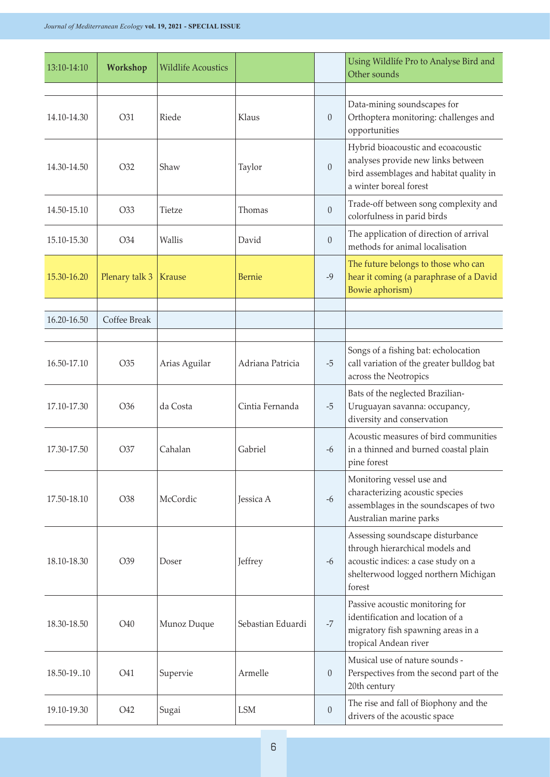| 13:10-14:10 | Workshop        | <b>Wildlife Acoustics</b> |                   |                  | Using Wildlife Pro to Analyse Bird and<br>Other sounds                                                                                                       |
|-------------|-----------------|---------------------------|-------------------|------------------|--------------------------------------------------------------------------------------------------------------------------------------------------------------|
|             |                 |                           |                   |                  |                                                                                                                                                              |
| 14.10-14.30 | O31             | Riede                     | Klaus             | $\theta$         | Data-mining soundscapes for<br>Orthoptera monitoring: challenges and<br>opportunities                                                                        |
| 14.30-14.50 | O32             | Shaw                      | Taylor            | $\theta$         | Hybrid bioacoustic and ecoacoustic<br>analyses provide new links between<br>bird assemblages and habitat quality in<br>a winter boreal forest                |
| 14.50-15.10 | O33             | Tietze                    | Thomas            | $\boldsymbol{0}$ | Trade-off between song complexity and<br>colorfulness in parid birds                                                                                         |
| 15.10-15.30 | O34             | Wallis                    | David             | $\boldsymbol{0}$ | The application of direction of arrival<br>methods for animal localisation                                                                                   |
| 15.30-16.20 | Plenary talk 3  | Krause                    | <b>Bernie</b>     | $-9$             | The future belongs to those who can<br>hear it coming (a paraphrase of a David<br>Bowie aphorism)                                                            |
|             |                 |                           |                   |                  |                                                                                                                                                              |
| 16.20-16.50 | Coffee Break    |                           |                   |                  |                                                                                                                                                              |
| 16.50-17.10 | O35             | Arias Aguilar             | Adriana Patricia  | $-5$             | Songs of a fishing bat: echolocation<br>call variation of the greater bulldog bat<br>across the Neotropics                                                   |
| 17.10-17.30 | O36             | da Costa                  | Cintia Fernanda   | $-5$             | Bats of the neglected Brazilian-<br>Uruguayan savanna: occupancy,<br>diversity and conservation                                                              |
| 17.30-17.50 | O37             | Cahalan                   | Gabriel           | $-6$             | Acoustic measures of bird communities<br>in a thinned and burned coastal plain<br>pine forest                                                                |
| 17.50-18.10 | O38             | McCordic                  | Jessica A         | $-6$             | Monitoring vessel use and<br>characterizing acoustic species<br>assemblages in the soundscapes of two<br>Australian marine parks                             |
| 18.10-18.30 | O39             | Doser                     | Jeffrey           | $-6$             | Assessing soundscape disturbance<br>through hierarchical models and<br>acoustic indices: a case study on a<br>shelterwood logged northern Michigan<br>forest |
| 18.30-18.50 | O <sub>40</sub> | Munoz Duque               | Sebastian Eduardi | $-7$             | Passive acoustic monitoring for<br>identification and location of a<br>migratory fish spawning areas in a<br>tropical Andean river                           |
| 18.50-1910  | O41             | Supervie                  | Armelle           | $\boldsymbol{0}$ | Musical use of nature sounds -<br>Perspectives from the second part of the<br>20th century                                                                   |
| 19.10-19.30 | O42             | Sugai                     | <b>LSM</b>        | $\theta$         | The rise and fall of Biophony and the<br>drivers of the acoustic space                                                                                       |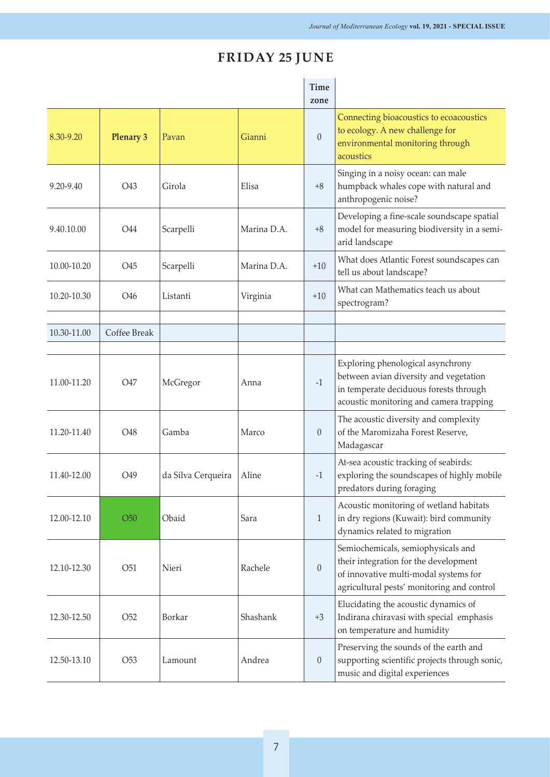# **FRIDAY 25 JUNE**

|             |                  |                    |             | <b>Time</b><br>zone |                                                                                                                                                                    |
|-------------|------------------|--------------------|-------------|---------------------|--------------------------------------------------------------------------------------------------------------------------------------------------------------------|
| 8.30-9.20   | <b>Plenary 3</b> | Pavan              | Gianni      | $\boldsymbol{0}$    | Connecting bioacoustics to ecoacoustics<br>to ecology. A new challenge for<br>environmental monitoring through<br>acoustics                                        |
| 9.20-9.40   | O <sub>43</sub>  | Girola             | Elisa       | $+8$                | Singing in a noisy ocean: can male<br>humpback whales cope with natural and<br>anthropogenic noise?                                                                |
| 9.40.10.00  | O44              | Scarpelli          | Marina D.A. | $+8$                | Developing a fine-scale soundscape spatial<br>model for measuring biodiversity in a semi-<br>arid landscape                                                        |
| 10.00-10.20 | O <sub>45</sub>  | Scarpelli          | Marina D.A. | $+10$               | What does Atlantic Forest soundscapes can<br>tell us about landscape?                                                                                              |
| 10.20-10.30 | O46              | Listanti           | Virginia    | $+10$               | What can Mathematics teach us about<br>spectrogram?                                                                                                                |
| 10.30-11.00 | Coffee Break     |                    |             |                     |                                                                                                                                                                    |
| 11.00-11.20 | O47              | McGregor           | Anna        | $-1$                | Exploring phenological asynchrony<br>between avian diversity and vegetation<br>in temperate deciduous forests through<br>acoustic monitoring and camera trapping   |
| 11.20-11.40 | O48              | Gamba              | Marco       | $\boldsymbol{0}$    | The acoustic diversity and complexity<br>of the Maromizaha Forest Reserve,<br>Madagascar                                                                           |
| 11.40-12.00 | O <sub>49</sub>  | da Silva Cerqueira | Aline       | $-1$                | At-sea acoustic tracking of seabirds:<br>exploring the soundscapes of highly mobile<br>predators during foraging                                                   |
| 12.00-12.10 | O <sub>50</sub>  | Obaid              | Sara        | $\mathbf{1}$        | Acoustic monitoring of wetland habitats<br>in dry regions (Kuwait): bird community<br>dynamics related to migration                                                |
| 12.10-12.30 | O <sub>51</sub>  | Nieri              | Rachele     | $\theta$            | Semiochemicals, semiophysicals and<br>their integration for the development<br>of innovative multi-modal systems for<br>agricultural pests' monitoring and control |
| 12.30-12.50 | O <sub>52</sub>  | Borkar             | Shashank    | $+3$                | Elucidating the acoustic dynamics of<br>Indirana chiravasi with special emphasis<br>on temperature and humidity                                                    |
| 12.50-13.10 | O <sub>53</sub>  | Lamount            | Andrea      | $\boldsymbol{0}$    | Preserving the sounds of the earth and<br>supporting scientific projects through sonic,<br>music and digital experiences                                           |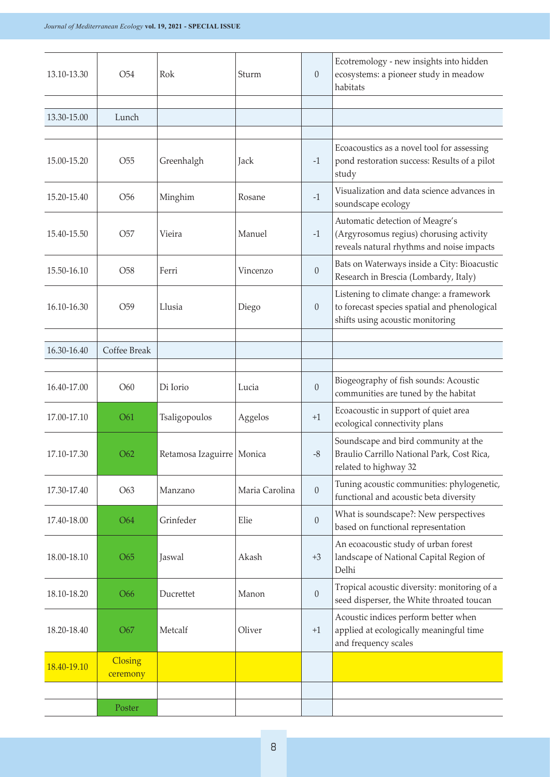| 13.10-13.30 | O <sub>54</sub>     | Rok                         | Sturm          | $\theta$         | Ecotremology - new insights into hidden<br>ecosystems: a pioneer study in meadow<br>habitats                                 |
|-------------|---------------------|-----------------------------|----------------|------------------|------------------------------------------------------------------------------------------------------------------------------|
| 13.30-15.00 | Lunch               |                             |                |                  |                                                                                                                              |
|             |                     |                             |                |                  |                                                                                                                              |
| 15.00-15.20 | O <sub>55</sub>     | Greenhalgh                  | Jack           | $-1$             | Ecoacoustics as a novel tool for assessing<br>pond restoration success: Results of a pilot<br>study                          |
| 15.20-15.40 | O <sub>56</sub>     | Minghim                     | Rosane         | $-1$             | Visualization and data science advances in<br>soundscape ecology                                                             |
| 15.40-15.50 | O <sub>57</sub>     | Vieira                      | Manuel         | $-1$             | Automatic detection of Meagre's<br>(Argyrosomus regius) chorusing activity<br>reveals natural rhythms and noise impacts      |
| 15.50-16.10 | O <sub>58</sub>     | Ferri                       | Vincenzo       | $\boldsymbol{0}$ | Bats on Waterways inside a City: Bioacustic<br>Research in Brescia (Lombardy, Italy)                                         |
| 16.10-16.30 | O <sub>59</sub>     | Llusia                      | Diego          | $\theta$         | Listening to climate change: a framework<br>to forecast species spatial and phenological<br>shifts using acoustic monitoring |
|             |                     |                             |                |                  |                                                                                                                              |
| 16.30-16.40 | Coffee Break        |                             |                |                  |                                                                                                                              |
| 16.40-17.00 | O60                 | Di Iorio                    | Lucia          | $\boldsymbol{0}$ | Biogeography of fish sounds: Acoustic<br>communities are tuned by the habitat                                                |
| 17.00-17.10 | O61                 | Tsaligopoulos               | Aggelos        | $+1$             | Ecoacoustic in support of quiet area<br>ecological connectivity plans                                                        |
| 17.10-17.30 | O62                 | Retamosa Izaguirre   Monica |                | $-8$             | Soundscape and bird community at the<br>Braulio Carrillo National Park, Cost Rica,<br>related to highway 32                  |
| 17.30-17.40 | O63                 | Manzano                     | Maria Carolina | $\boldsymbol{0}$ | Tuning acoustic communities: phylogenetic,<br>functional and acoustic beta diversity                                         |
| 17.40-18.00 | O <sub>64</sub>     | Grinfeder                   | Elie           | $\boldsymbol{0}$ | What is soundscape?: New perspectives<br>based on functional representation                                                  |
| 18.00-18.10 | O <sub>65</sub>     | Jaswal                      | Akash          | $+3$             | An ecoacoustic study of urban forest<br>landscape of National Capital Region of<br>Delhi                                     |
| 18.10-18.20 | O <sub>66</sub>     | Ducrettet                   | Manon          | $\theta$         | Tropical acoustic diversity: monitoring of a<br>seed disperser, the White throated toucan                                    |
| 18.20-18.40 | O67                 | Metcalf                     | Oliver         | $+1$             | Acoustic indices perform better when<br>applied at ecologically meaningful time<br>and frequency scales                      |
| 18.40-19.10 | Closing<br>ceremony |                             |                |                  |                                                                                                                              |
|             |                     |                             |                |                  |                                                                                                                              |
|             | Poster              |                             |                |                  |                                                                                                                              |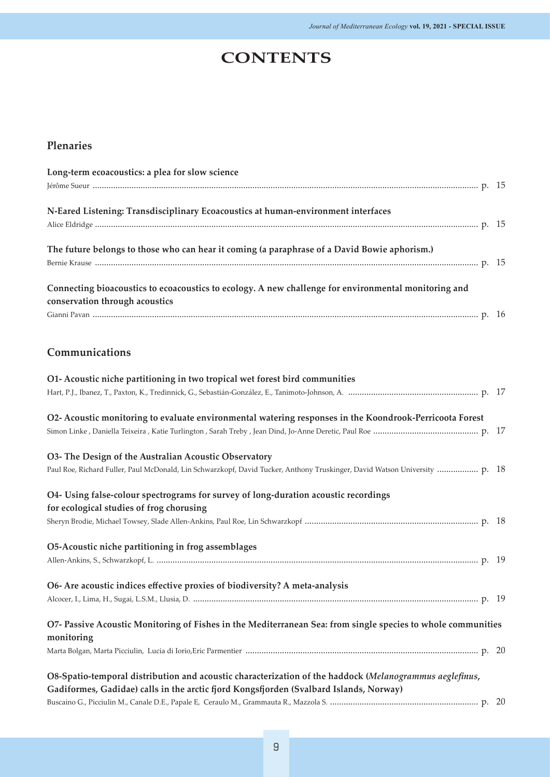# **CONTENTS**

## **Plenaries**

| Long-term ecoacoustics: a plea for slow science                                                                                                                                                   |  |
|---------------------------------------------------------------------------------------------------------------------------------------------------------------------------------------------------|--|
|                                                                                                                                                                                                   |  |
| N-Eared Listening: Transdisciplinary Ecoacoustics at human-environment interfaces                                                                                                                 |  |
|                                                                                                                                                                                                   |  |
| The future belongs to those who can hear it coming (a paraphrase of a David Bowie aphorism.)                                                                                                      |  |
|                                                                                                                                                                                                   |  |
| Connecting bioacoustics to ecoacoustics to ecology. A new challenge for environmental monitoring and<br>conservation through acoustics                                                            |  |
|                                                                                                                                                                                                   |  |
| Communications                                                                                                                                                                                    |  |
| O1- Acoustic niche partitioning in two tropical wet forest bird communities                                                                                                                       |  |
|                                                                                                                                                                                                   |  |
| O2- Acoustic monitoring to evaluate environmental watering responses in the Koondrook-Perricoota Forest                                                                                           |  |
|                                                                                                                                                                                                   |  |
| O3- The Design of the Australian Acoustic Observatory                                                                                                                                             |  |
| Paul Roe, Richard Fuller, Paul McDonald, Lin Schwarzkopf, David Tucker, Anthony Truskinger, David Watson University  p. 18                                                                        |  |
| O4- Using false-colour spectrograms for survey of long-duration acoustic recordings                                                                                                               |  |
| for ecological studies of frog chorusing                                                                                                                                                          |  |
| O5-Acoustic niche partitioning in frog assemblages                                                                                                                                                |  |
|                                                                                                                                                                                                   |  |
| O6- Are acoustic indices effective proxies of biodiversity? A meta-analysis                                                                                                                       |  |
|                                                                                                                                                                                                   |  |
| O7- Passive Acoustic Monitoring of Fishes in the Mediterranean Sea: from single species to whole communities<br>monitoring                                                                        |  |
|                                                                                                                                                                                                   |  |
| O8-Spatio-temporal distribution and acoustic characterization of the haddock (Melanogrammus aeglefinus,<br>Gadiformes, Gadidae) calls in the arctic fjord Kongsfjorden (Svalbard Islands, Norway) |  |
|                                                                                                                                                                                                   |  |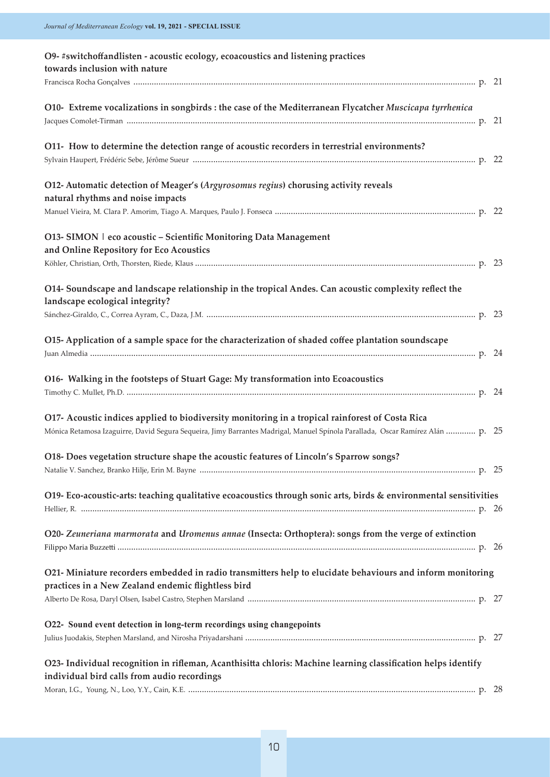| O9- #switchoffandlisten - acoustic ecology, ecoacoustics and listening practices                                                                             |  |
|--------------------------------------------------------------------------------------------------------------------------------------------------------------|--|
| towards inclusion with nature                                                                                                                                |  |
|                                                                                                                                                              |  |
| O10- Extreme vocalizations in songbirds : the case of the Mediterranean Flycatcher Muscicapa tyrrhenica                                                      |  |
|                                                                                                                                                              |  |
| O11- How to determine the detection range of acoustic recorders in terrestrial environments?                                                                 |  |
|                                                                                                                                                              |  |
|                                                                                                                                                              |  |
| O12- Automatic detection of Meager's (Argyrosomus regius) chorusing activity reveals                                                                         |  |
| natural rhythms and noise impacts                                                                                                                            |  |
|                                                                                                                                                              |  |
| O13- SIMON   eco acoustic - Scientific Monitoring Data Management                                                                                            |  |
| and Online Repository for Eco Acoustics                                                                                                                      |  |
|                                                                                                                                                              |  |
| O14- Soundscape and landscape relationship in the tropical Andes. Can acoustic complexity reflect the                                                        |  |
| landscape ecological integrity?                                                                                                                              |  |
|                                                                                                                                                              |  |
|                                                                                                                                                              |  |
| O15-Application of a sample space for the characterization of shaded coffee plantation soundscape                                                            |  |
|                                                                                                                                                              |  |
| O16- Walking in the footsteps of Stuart Gage: My transformation into Ecoacoustics                                                                            |  |
|                                                                                                                                                              |  |
|                                                                                                                                                              |  |
| O17- Acoustic indices applied to biodiversity monitoring in a tropical rainforest of Costa Rica                                                              |  |
| Mónica Retamosa Izaguirre, David Segura Sequeira, Jimy Barrantes Madrigal, Manuel Spínola Parallada, Oscar Ramírez Alán  p. 25                               |  |
| O18- Does vegetation structure shape the acoustic features of Lincoln's Sparrow songs?                                                                       |  |
|                                                                                                                                                              |  |
|                                                                                                                                                              |  |
| O19- Eco-acoustic-arts: teaching qualitative ecoacoustics through sonic arts, birds & environmental sensitivities                                            |  |
|                                                                                                                                                              |  |
| O20- Zeuneriana marmorata and Uromenus annae (Insecta: Orthoptera): songs from the verge of extinction                                                       |  |
|                                                                                                                                                              |  |
|                                                                                                                                                              |  |
| O21- Miniature recorders embedded in radio transmitters help to elucidate behaviours and inform monitoring                                                   |  |
| practices in a New Zealand endemic flightless bird                                                                                                           |  |
|                                                                                                                                                              |  |
| O22- Sound event detection in long-term recordings using changepoints                                                                                        |  |
|                                                                                                                                                              |  |
|                                                                                                                                                              |  |
| O23- Individual recognition in rifleman, Acanthisitta chloris: Machine learning classification helps identify<br>individual bird calls from audio recordings |  |
|                                                                                                                                                              |  |
|                                                                                                                                                              |  |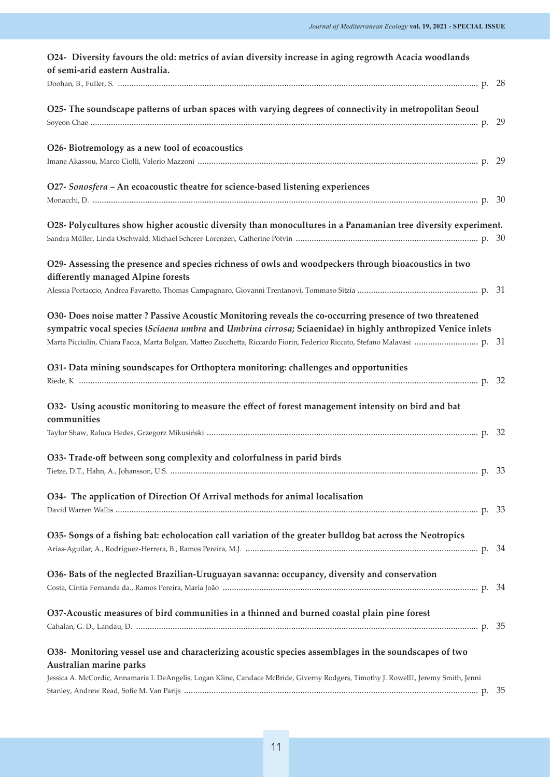| O24- Diversity favours the old: metrics of avian diversity increase in aging regrowth Acacia woodlands<br>of semi-arid eastern Australia.                                                                                                                              |  |
|------------------------------------------------------------------------------------------------------------------------------------------------------------------------------------------------------------------------------------------------------------------------|--|
|                                                                                                                                                                                                                                                                        |  |
| O25- The soundscape patterns of urban spaces with varying degrees of connectivity in metropolitan Seoul                                                                                                                                                                |  |
| O26- Biotremology as a new tool of ecoacoustics                                                                                                                                                                                                                        |  |
| O27- Sonosfera - An ecoacoustic theatre for science-based listening experiences                                                                                                                                                                                        |  |
| O28- Polycultures show higher acoustic diversity than monocultures in a Panamanian tree diversity experiment.                                                                                                                                                          |  |
| O29- Assessing the presence and species richness of owls and woodpeckers through bioacoustics in two<br>differently managed Alpine forests                                                                                                                             |  |
|                                                                                                                                                                                                                                                                        |  |
| O30- Does noise matter ? Passive Acoustic Monitoring reveals the co-occurring presence of two threatened<br>sympatric vocal species (Sciaena umbra and Umbrina cirrosa; Sciaenidae) in highly anthropized Venice inlets                                                |  |
|                                                                                                                                                                                                                                                                        |  |
| O31- Data mining soundscapes for Orthoptera monitoring: challenges and opportunities                                                                                                                                                                                   |  |
| O32- Using acoustic monitoring to measure the effect of forest management intensity on bird and bat<br>communities                                                                                                                                                     |  |
|                                                                                                                                                                                                                                                                        |  |
| O33- Trade-off between song complexity and colorfulness in parid birds                                                                                                                                                                                                 |  |
| O34- The application of Direction Of Arrival methods for animal localisation                                                                                                                                                                                           |  |
| O35- Songs of a fishing bat: echolocation call variation of the greater bulldog bat across the Neotropics                                                                                                                                                              |  |
| O36- Bats of the neglected Brazilian-Uruguayan savanna: occupancy, diversity and conservation                                                                                                                                                                          |  |
| O37-Acoustic measures of bird communities in a thinned and burned coastal plain pine forest                                                                                                                                                                            |  |
| O38- Monitoring vessel use and characterizing acoustic species assemblages in the soundscapes of two<br>Australian marine parks<br>Jessica A. McCordic, Annamaria I. DeAngelis, Logan Kline, Candace McBride, Giverny Rodgers, Timothy J. Rowell1, Jeremy Smith, Jenni |  |
|                                                                                                                                                                                                                                                                        |  |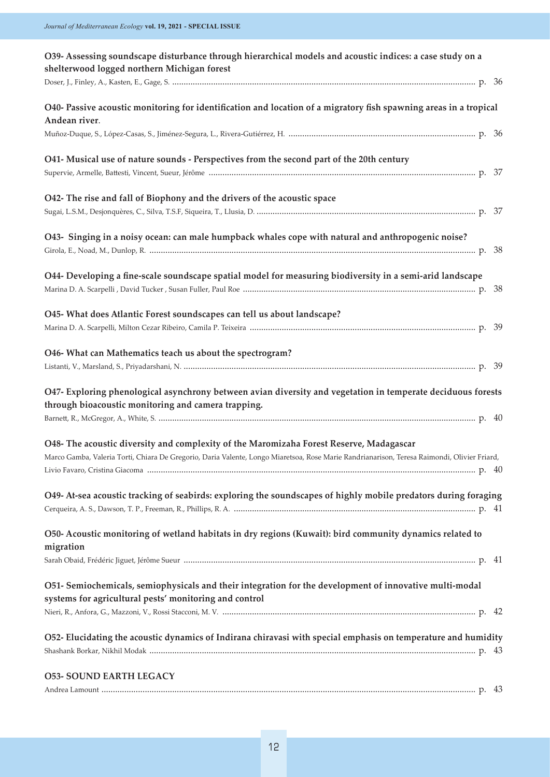| O39- Assessing soundscape disturbance through hierarchical models and acoustic indices: a case study on a<br>shelterwood logged northern Michigan forest            |  |
|---------------------------------------------------------------------------------------------------------------------------------------------------------------------|--|
|                                                                                                                                                                     |  |
| O40- Passive acoustic monitoring for identification and location of a migratory fish spawning areas in a tropical                                                   |  |
| Andean river.                                                                                                                                                       |  |
|                                                                                                                                                                     |  |
| O41- Musical use of nature sounds - Perspectives from the second part of the 20th century                                                                           |  |
| O42- The rise and fall of Biophony and the drivers of the acoustic space                                                                                            |  |
| O43- Singing in a noisy ocean: can male humpback whales cope with natural and anthropogenic noise?                                                                  |  |
| O44- Developing a fine-scale soundscape spatial model for measuring biodiversity in a semi-arid landscape                                                           |  |
| O45- What does Atlantic Forest soundscapes can tell us about landscape?                                                                                             |  |
|                                                                                                                                                                     |  |
| O46- What can Mathematics teach us about the spectrogram?                                                                                                           |  |
| O47- Exploring phenological asynchrony between avian diversity and vegetation in temperate deciduous forests<br>through bioacoustic monitoring and camera trapping. |  |
|                                                                                                                                                                     |  |
| O48- The acoustic diversity and complexity of the Maromizaha Forest Reserve, Madagascar                                                                             |  |
| Marco Gamba, Valeria Torti, Chiara De Gregorio, Daria Valente, Longo Miaretsoa, Rose Marie Randrianarison, Teresa Raimondi, Olivier Friard,                         |  |
| O49- At-sea acoustic tracking of seabirds: exploring the soundscapes of highly mobile predators during foraging                                                     |  |
| O50- Acoustic monitoring of wetland habitats in dry regions (Kuwait): bird community dynamics related to<br>migration                                               |  |
|                                                                                                                                                                     |  |
| O51- Semiochemicals, semiophysicals and their integration for the development of innovative multi-modal<br>systems for agricultural pests' monitoring and control   |  |
|                                                                                                                                                                     |  |
| O52- Elucidating the acoustic dynamics of Indirana chiravasi with special emphasis on temperature and humidity                                                      |  |
|                                                                                                                                                                     |  |
| <b>053- SOUND EARTH LEGACY</b>                                                                                                                                      |  |
|                                                                                                                                                                     |  |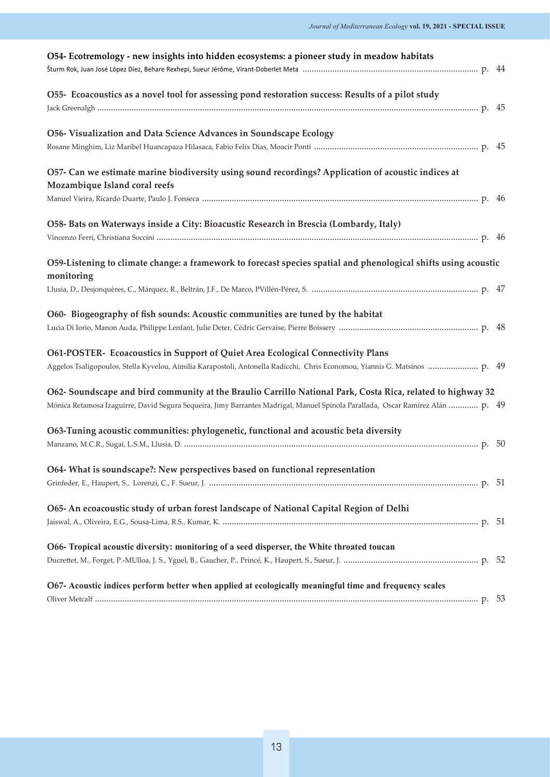| O54- Ecotremology - new insights into hidden ecosystems: a pioneer study in meadow habitats                                          |  |
|--------------------------------------------------------------------------------------------------------------------------------------|--|
|                                                                                                                                      |  |
| O55- Ecoacoustics as a novel tool for assessing pond restoration success: Results of a pilot study                                   |  |
|                                                                                                                                      |  |
| O56- Visualization and Data Science Advances in Soundscape Ecology                                                                   |  |
|                                                                                                                                      |  |
| O57- Can we estimate marine biodiversity using sound recordings? Application of acoustic indices at<br>Mozambique Island coral reefs |  |
|                                                                                                                                      |  |
| O58- Bats on Waterways inside a City: Bioacustic Research in Brescia (Lombardy, Italy)                                               |  |
|                                                                                                                                      |  |
| O59-Listening to climate change: a framework to forecast species spatial and phenological shifts using acoustic<br>monitoring        |  |
|                                                                                                                                      |  |
| O60- Biogeography of fish sounds: Acoustic communities are tuned by the habitat                                                      |  |
|                                                                                                                                      |  |
| O61-POSTER- Ecoacoustics in Support of Quiet Area Ecological Connectivity Plans                                                      |  |
| Aggelos Tsaligopoulos, Stella Kyvelou, Aimilia Karapostoli, Antonella Radicchi, Chris Economou, Yiannis G. Matsinos  p. 49           |  |
| O62- Soundscape and bird community at the Braulio Carrillo National Park, Costa Rica, related to highway 32                          |  |
| Mónica Retamosa Izaguirre, David Segura Sequeira, Jimy Barrantes Madrigal, Manuel Spínola Parallada, Oscar Ramírez Alán  p. 49       |  |
| O63-Tuning acoustic communities: phylogenetic, functional and acoustic beta diversity                                                |  |
|                                                                                                                                      |  |
| O64- What is soundscape?: New perspectives based on functional representation                                                        |  |
| O65- An ecoacoustic study of urban forest landscape of National Capital Region of Delhi                                              |  |
|                                                                                                                                      |  |
| O66- Tropical acoustic diversity: monitoring of a seed disperser, the White throated toucan                                          |  |
|                                                                                                                                      |  |
| O67- Acoustic indices perform better when applied at ecologically meaningful time and frequency scales                               |  |
|                                                                                                                                      |  |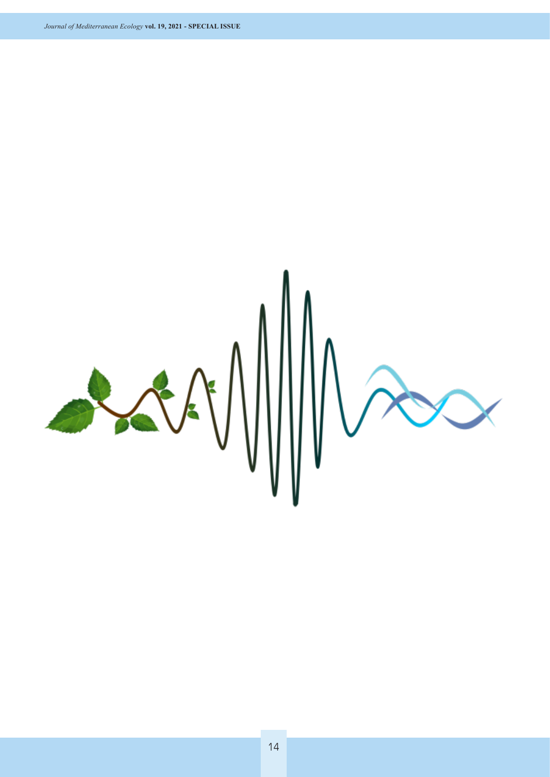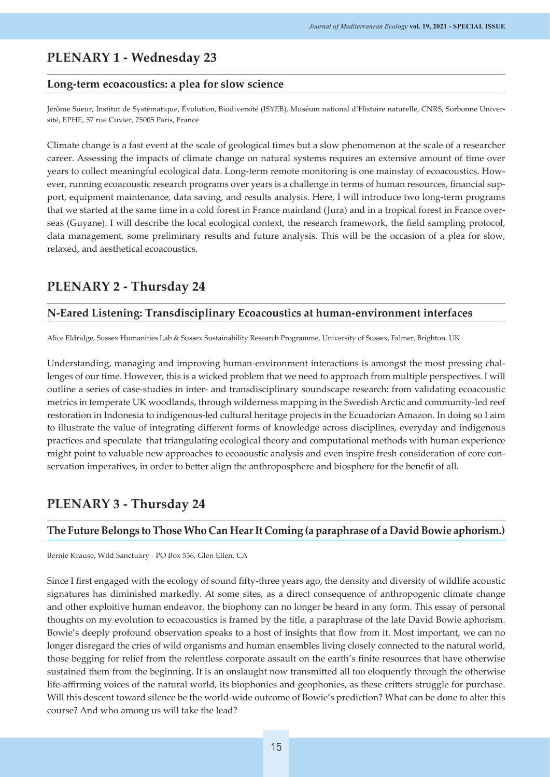### **PLENARY 1 - Wednesday 23**

#### **Long-term ecoacoustics: a plea for slow science**

Jérôme Sueur, Institut de Systématique, Évolution, Biodiversité (ISYEB), Muséum national d'Histoire naturelle, CNRS, Sorbonne Université, EPHE, 57 rue Cuvier, 75005 Paris, France

Climate change is a fast event at the scale of geological times but a slow phenomenon at the scale of a researcher career. Assessing the impacts of climate change on natural systems requires an extensive amount of time over years to collect meaningful ecological data. Long-term remote monitoring is one mainstay of ecoacoustics. However, running ecoacoustic research programs over years is a challenge in terms of human resources, financial support, equipment maintenance, data saving, and results analysis. Here, I will introduce two long-term programs that we started at the same time in a cold forest in France mainland (Jura) and in a tropical forest in France overseas (Guyane). I will describe the local ecological context, the research framework, the field sampling protocol, data management, some preliminary results and future analysis. This will be the occasion of a plea for slow, relaxed, and aesthetical ecoacoustics.

#### **PLENARY 2 - Thursday 24**

#### **N-Eared Listening: Transdisciplinary Ecoacoustics at human-environment interfaces**

Alice Eldridge, Sussex Humanities Lab & Sussex Sustainability Research Programme, University of Sussex, Falmer, Brighton. UK

Understanding, managing and improving human-environment interactions is amongst the most pressing challenges of our time. However, this is a wicked problem that we need to approach from multiple perspectives. I will outline a series of case-studies in inter- and transdisciplinary soundscape research: from validating ecoacoustic metrics in temperate UK woodlands, through wilderness mapping in the Swedish Arctic and community-led reef restoration in Indonesia to indigenous-led cultural heritage projects in the Ecuadorian Amazon. In doing so I aim to illustrate the value of integrating different forms of knowledge across disciplines, everyday and indigenous practices and speculate that triangulating ecological theory and computational methods with human experience might point to valuable new approaches to ecoaoustic analysis and even inspire fresh consideration of core conservation imperatives, in order to better align the anthroposphere and biosphere for the benefit of all.

### **PLENARY 3 - Thursday 24**

#### **The Future Belongs to Those Who Can Hear It Coming (a paraphrase of a David Bowie aphorism.)**

Bernie Krause, Wild Sanctuary - PO Box 536, Glen Ellen, CA

Since I first engaged with the ecology of sound fifty-three years ago, the density and diversity of wildlife acoustic signatures has diminished markedly. At some sites, as a direct consequence of anthropogenic climate change and other exploitive human endeavor, the biophony can no longer be heard in any form. This essay of personal thoughts on my evolution to ecoacoustics is framed by the title, a paraphrase of the late David Bowie aphorism. Bowie's deeply profound observation speaks to a host of insights that flow from it. Most important, we can no longer disregard the cries of wild organisms and human ensembles living closely connected to the natural world, those begging for relief from the relentless corporate assault on the earth's finite resources that have otherwise sustained them from the beginning. It is an onslaught now transmitted all too eloquently through the otherwise life-affirming voices of the natural world, its biophonies and geophonies, as these critters struggle for purchase. Will this descent toward silence be the world-wide outcome of Bowie's prediction? What can be done to alter this course? And who among us will take the lead?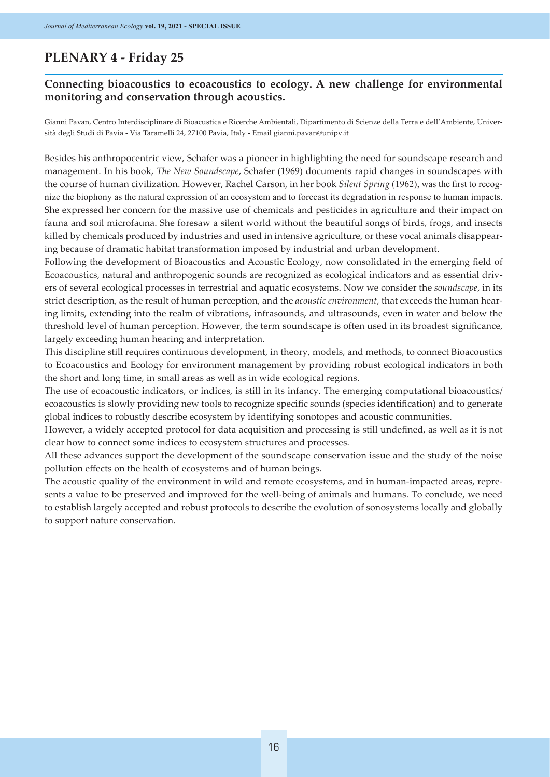# **PLENARY 4 - Friday 25**

#### **Connecting bioacoustics to ecoacoustics to ecology. A new challenge for environmental monitoring and conservation through acoustics.**

Gianni Pavan, Centro Interdisciplinare di Bioacustica e Ricerche Ambientali, Dipartimento di Scienze della Terra e dell'Ambiente, Università degli Studi di Pavia - Via Taramelli 24, 27100 Pavia, Italy - Email gianni.pavan@unipv.it

Besides his anthropocentric view, Schafer was a pioneer in highlighting the need for soundscape research and management. In his book, *The New Soundscape*, Schafer (1969) documents rapid changes in soundscapes with the course of human civilization. However, Rachel Carson, in her book *Silent Spring* (1962), was the first to recognize the biophony as the natural expression of an ecosystem and to forecast its degradation in response to human impacts. She expressed her concern for the massive use of chemicals and pesticides in agriculture and their impact on fauna and soil microfauna. She foresaw a silent world without the beautiful songs of birds, frogs, and insects killed by chemicals produced by industries and used in intensive agriculture, or these vocal animals disappearing because of dramatic habitat transformation imposed by industrial and urban development.

Following the development of Bioacoustics and Acoustic Ecology, now consolidated in the emerging field of Ecoacoustics, natural and anthropogenic sounds are recognized as ecological indicators and as essential drivers of several ecological processes in terrestrial and aquatic ecosystems. Now we consider the *soundscape*, in its strict description, as the result of human perception, and the *acoustic environment*, that exceeds the human hearing limits, extending into the realm of vibrations, infrasounds, and ultrasounds, even in water and below the threshold level of human perception. However, the term soundscape is often used in its broadest significance, largely exceeding human hearing and interpretation.

This discipline still requires continuous development, in theory, models, and methods, to connect Bioacoustics to Ecoacoustics and Ecology for environment management by providing robust ecological indicators in both the short and long time, in small areas as well as in wide ecological regions.

The use of ecoacoustic indicators, or indices, is still in its infancy. The emerging computational bioacoustics/ ecoacoustics is slowly providing new tools to recognize specific sounds (species identification) and to generate global indices to robustly describe ecosystem by identifying sonotopes and acoustic communities.

However, a widely accepted protocol for data acquisition and processing is still undefined, as well as it is not clear how to connect some indices to ecosystem structures and processes.

All these advances support the development of the soundscape conservation issue and the study of the noise pollution effects on the health of ecosystems and of human beings.

The acoustic quality of the environment in wild and remote ecosystems, and in human-impacted areas, represents a value to be preserved and improved for the well-being of animals and humans. To conclude, we need to establish largely accepted and robust protocols to describe the evolution of sonosystems locally and globally to support nature conservation.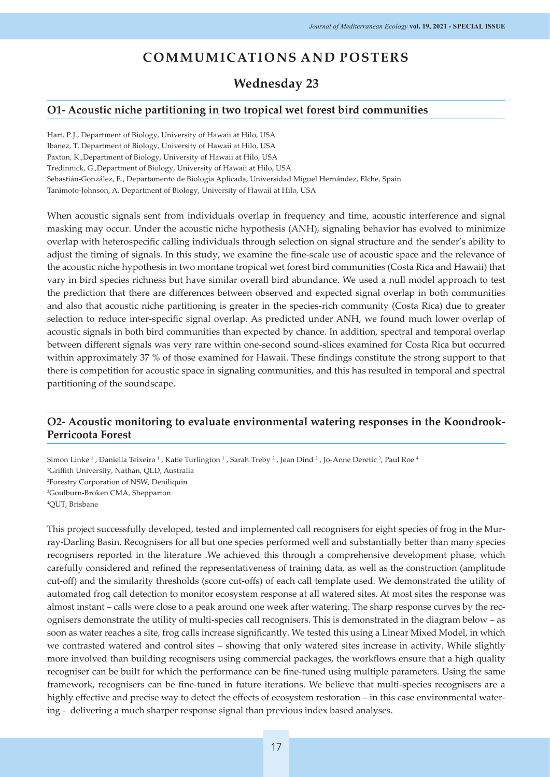### **COMMUMICATIONS AND POSTERS**

### **Wednesday 23**

#### **O1- Acoustic niche partitioning in two tropical wet forest bird communities**

Hart, P.J., Department of Biology, University of Hawaii at Hilo, USA Ibanez, T. Department of Biology, University of Hawaii at Hilo, USA Paxton, K.,Department of Biology, University of Hawaii at Hilo, USA Tredinnick, G.,Department of Biology, University of Hawaii at Hilo, USA Sebastián-González, E., Departamento de Biologia Aplicada, Universidad Miguel Hernández, Elche, Spain Tanimoto-Johnson, A. Department of Biology, University of Hawaii at Hilo, USA

When acoustic signals sent from individuals overlap in frequency and time, acoustic interference and signal masking may occur. Under the acoustic niche hypothesis (ANH), signaling behavior has evolved to minimize overlap with heterospecific calling individuals through selection on signal structure and the sender's ability to adjust the timing of signals. In this study, we examine the fine-scale use of acoustic space and the relevance of the acoustic niche hypothesis in two montane tropical wet forest bird communities (Costa Rica and Hawaii) that vary in bird species richness but have similar overall bird abundance. We used a null model approach to test the prediction that there are differences between observed and expected signal overlap in both communities and also that acoustic niche partitioning is greater in the species-rich community (Costa Rica) due to greater selection to reduce inter-specific signal overlap. As predicted under ANH, we found much lower overlap of acoustic signals in both bird communities than expected by chance. In addition, spectral and temporal overlap between different signals was very rare within one-second sound-slices examined for Costa Rica but occurred within approximately 37 % of those examined for Hawaii. These findings constitute the strong support to that there is competition for acoustic space in signaling communities, and this has resulted in temporal and spectral partitioning of the soundscape.

#### **O2- Acoustic monitoring to evaluate environmental watering responses in the Koondrook-Perricoota Forest**

Simon Linke <sup>1</sup> , Daniella Teixeira <sup>1</sup> , Katie Turlington <sup>1</sup> , Sarah Treby <sup>2</sup> , Jean Dind <sup>2</sup> , Jo-Anne Deretic <sup>3</sup>, Paul Roe <sup>4</sup> Griffith University, Nathan, QLD, Australia Forestry Corporation of NSW, Deniliquin Goulburn-Broken CMA, Shepparton QUT, Brisbane

This project successfully developed, tested and implemented call recognisers for eight species of frog in the Murray-Darling Basin. Recognisers for all but one species performed well and substantially better than many species recognisers reported in the literature .We achieved this through a comprehensive development phase, which carefully considered and refined the representativeness of training data, as well as the construction (amplitude cut-off) and the similarity thresholds (score cut-offs) of each call template used. We demonstrated the utility of automated frog call detection to monitor ecosystem response at all watered sites. At most sites the response was almost instant – calls were close to a peak around one week after watering. The sharp response curves by the recognisers demonstrate the utility of multi-species call recognisers. This is demonstrated in the diagram below – as soon as water reaches a site, frog calls increase significantly. We tested this using a Linear Mixed Model, in which we contrasted watered and control sites – showing that only watered sites increase in activity. While slightly more involved than building recognisers using commercial packages, the workflows ensure that a high quality recogniser can be built for which the performance can be fine-tuned using multiple parameters. Using the same framework, recognisers can be fine-tuned in future iterations. We believe that multi-species recognisers are a highly effective and precise way to detect the effects of ecosystem restoration – in this case environmental watering - delivering a much sharper response signal than previous index based analyses.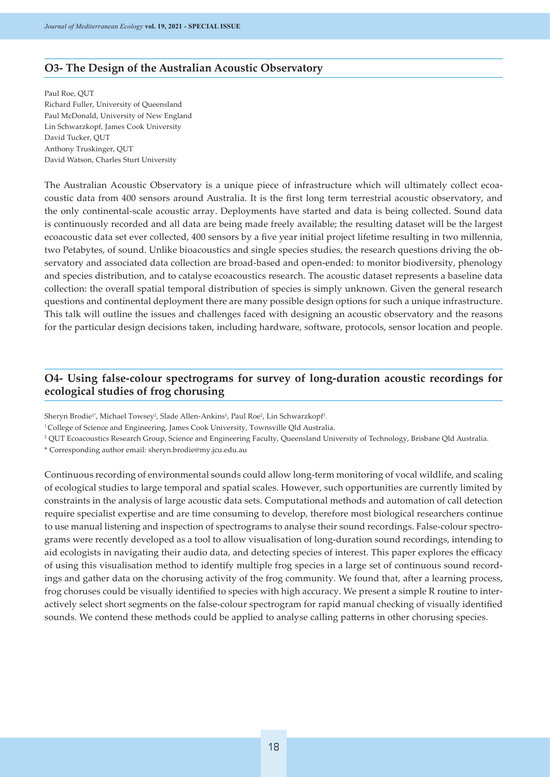#### **O3- The Design of the Australian Acoustic Observatory**

Paul Roe, QUT Richard Fuller, University of Queensland Paul McDonald, University of New England Lin Schwarzkopf, James Cook University David Tucker, QUT Anthony Truskinger, QUT David Watson, Charles Sturt University

The Australian Acoustic Observatory is a unique piece of infrastructure which will ultimately collect ecoacoustic data from 400 sensors around Australia. It is the first long term terrestrial acoustic observatory, and the only continental-scale acoustic array. Deployments have started and data is being collected. Sound data is continuously recorded and all data are being made freely available; the resulting dataset will be the largest ecoacoustic data set ever collected, 400 sensors by a five year initial project lifetime resulting in two millennia, two Petabytes, of sound. Unlike bioacoustics and single species studies, the research questions driving the observatory and associated data collection are broad-based and open-ended: to monitor biodiversity, phenology and species distribution, and to catalyse ecoacoustics research. The acoustic dataset represents a baseline data collection: the overall spatial temporal distribution of species is simply unknown. Given the general research questions and continental deployment there are many possible design options for such a unique infrastructure. This talk will outline the issues and challenges faced with designing an acoustic observatory and the reasons for the particular design decisions taken, including hardware, software, protocols, sensor location and people.

#### **O4- Using false-colour spectrograms for survey of long-duration acoustic recordings for ecological studies of frog chorusing**

Sheryn Brodie<sup>1</sup>\*, Michael Towsey<sup>2</sup>, Slade Allen-Ankins<sup>1</sup>, Paul Roe<sup>2</sup>, Lin Schwarzkopf<sup>1</sup>.

<sup>1</sup>College of Science and Engineering, James Cook University, Townsville Qld Australia.

2 QUT Ecoacoustics Research Group, Science and Engineering Faculty, Queensland University of Technology, Brisbane Qld Australia.

\* Corresponding author email: sheryn.brodie@my.jcu.edu.au

Continuous recording of environmental sounds could allow long-term monitoring of vocal wildlife, and scaling of ecological studies to large temporal and spatial scales. However, such opportunities are currently limited by constraints in the analysis of large acoustic data sets. Computational methods and automation of call detection require specialist expertise and are time consuming to develop, therefore most biological researchers continue to use manual listening and inspection of spectrograms to analyse their sound recordings. False-colour spectrograms were recently developed as a tool to allow visualisation of long-duration sound recordings, intending to aid ecologists in navigating their audio data, and detecting species of interest. This paper explores the efficacy of using this visualisation method to identify multiple frog species in a large set of continuous sound recordings and gather data on the chorusing activity of the frog community. We found that, after a learning process, frog choruses could be visually identified to species with high accuracy. We present a simple R routine to interactively select short segments on the false-colour spectrogram for rapid manual checking of visually identified sounds. We contend these methods could be applied to analyse calling patterns in other chorusing species.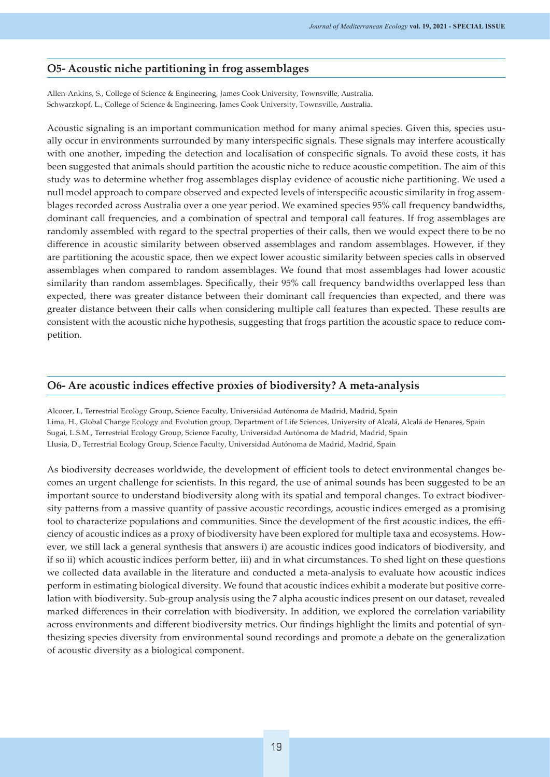#### **O5- Acoustic niche partitioning in frog assemblages**

Allen-Ankins, S., College of Science & Engineering, James Cook University, Townsville, Australia. Schwarzkopf, L., College of Science & Engineering, James Cook University, Townsville, Australia.

Acoustic signaling is an important communication method for many animal species. Given this, species usually occur in environments surrounded by many interspecific signals. These signals may interfere acoustically with one another, impeding the detection and localisation of conspecific signals. To avoid these costs, it has been suggested that animals should partition the acoustic niche to reduce acoustic competition. The aim of this study was to determine whether frog assemblages display evidence of acoustic niche partitioning. We used a null model approach to compare observed and expected levels of interspecific acoustic similarity in frog assemblages recorded across Australia over a one year period. We examined species 95% call frequency bandwidths, dominant call frequencies, and a combination of spectral and temporal call features. If frog assemblages are randomly assembled with regard to the spectral properties of their calls, then we would expect there to be no difference in acoustic similarity between observed assemblages and random assemblages. However, if they are partitioning the acoustic space, then we expect lower acoustic similarity between species calls in observed assemblages when compared to random assemblages. We found that most assemblages had lower acoustic similarity than random assemblages. Specifically, their 95% call frequency bandwidths overlapped less than expected, there was greater distance between their dominant call frequencies than expected, and there was greater distance between their calls when considering multiple call features than expected. These results are consistent with the acoustic niche hypothesis, suggesting that frogs partition the acoustic space to reduce competition.

#### **O6- Are acoustic indices effective proxies of biodiversity? A meta-analysis**

Alcocer, I., Terrestrial Ecology Group, Science Faculty, Universidad Autónoma de Madrid, Madrid, Spain Lima, H., Global Change Ecology and Evolution group, Department of Life Sciences, University of Alcalá, Alcalá de Henares, Spain Sugai, L.S.M., Terrestrial Ecology Group, Science Faculty, Universidad Autónoma de Madrid, Madrid, Spain Llusia, D., Terrestrial Ecology Group, Science Faculty, Universidad Autónoma de Madrid, Madrid, Spain

As biodiversity decreases worldwide, the development of efficient tools to detect environmental changes becomes an urgent challenge for scientists. In this regard, the use of animal sounds has been suggested to be an important source to understand biodiversity along with its spatial and temporal changes. To extract biodiversity patterns from a massive quantity of passive acoustic recordings, acoustic indices emerged as a promising tool to characterize populations and communities. Since the development of the first acoustic indices, the efficiency of acoustic indices as a proxy of biodiversity have been explored for multiple taxa and ecosystems. However, we still lack a general synthesis that answers i) are acoustic indices good indicators of biodiversity, and if so ii) which acoustic indices perform better, iii) and in what circumstances. To shed light on these questions we collected data available in the literature and conducted a meta-analysis to evaluate how acoustic indices perform in estimating biological diversity. We found that acoustic indices exhibit a moderate but positive correlation with biodiversity. Sub-group analysis using the 7 alpha acoustic indices present on our dataset, revealed marked differences in their correlation with biodiversity. In addition, we explored the correlation variability across environments and different biodiversity metrics. Our findings highlight the limits and potential of synthesizing species diversity from environmental sound recordings and promote a debate on the generalization of acoustic diversity as a biological component.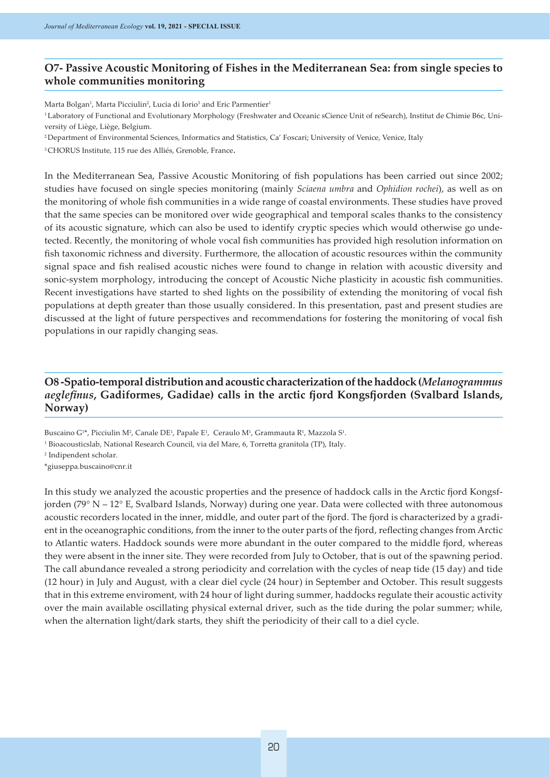#### **O7- Passive Acoustic Monitoring of Fishes in the Mediterranean Sea: from single species to whole communities monitoring**

Marta Bolgan<sup>1</sup>, Marta Picciulin<sup>2</sup>, Lucia di Iorio<sup>3</sup> and Eric Parmentier<sup>1</sup>

1 Laboratory of Functional and Evolutionary Morphology (Freshwater and Oceanic sCience Unit of reSearch), Institut de Chimie B6c, University of Liège, Liège, Belgium.

2 Department of Environmental Sciences, Informatics and Statistics, Ca' Foscari; University of Venice, Venice, Italy

3 CHORUS Institute, 115 rue des Alliés, Grenoble, France.

In the Mediterranean Sea, Passive Acoustic Monitoring of fish populations has been carried out since 2002; studies have focused on single species monitoring (mainly *Sciaena umbra* and *Ophidion rochei*), as well as on the monitoring of whole fish communities in a wide range of coastal environments. These studies have proved that the same species can be monitored over wide geographical and temporal scales thanks to the consistency of its acoustic signature, which can also be used to identify cryptic species which would otherwise go undetected. Recently, the monitoring of whole vocal fish communities has provided high resolution information on fish taxonomic richness and diversity. Furthermore, the allocation of acoustic resources within the community signal space and fish realised acoustic niches were found to change in relation with acoustic diversity and sonic-system morphology, introducing the concept of Acoustic Niche plasticity in acoustic fish communities. Recent investigations have started to shed lights on the possibility of extending the monitoring of vocal fish populations at depth greater than those usually considered. In this presentation, past and present studies are discussed at the light of future perspectives and recommendations for fostering the monitoring of vocal fish populations in our rapidly changing seas.

#### **O8 -Spatio-temporal distribution and acoustic characterization of the haddock (***Melanogrammus aeglefinus***, Gadiformes, Gadidae) calls in the arctic fjord Kongsfjorden (Svalbard Islands, Norway)**

Buscaino G $^{1*}$ , Picciulin M², Canale DE½, Papale E½, Ceraulo M½, Grammauta R½, Mazzola S½.

1 Bioacousticslab, National Research Council, via del Mare, 6, Torretta granitola (TP), Italy.

2 Indipendent scholar.

\*giuseppa.buscaino@cnr.it

In this study we analyzed the acoustic properties and the presence of haddock calls in the Arctic fjord Kongsfjorden (79° N – 12° E, Svalbard Islands, Norway) during one year. Data were collected with three autonomous acoustic recorders located in the inner, middle, and outer part of the fjord. The fjord is characterized by a gradient in the oceanographic conditions, from the inner to the outer parts of the fjord, reflecting changes from Arctic to Atlantic waters. Haddock sounds were more abundant in the outer compared to the middle fjord, whereas they were absent in the inner site. They were recorded from July to October, that is out of the spawning period. The call abundance revealed a strong periodicity and correlation with the cycles of neap tide (15 day) and tide (12 hour) in July and August, with a clear diel cycle (24 hour) in September and October. This result suggests that in this extreme enviroment, with 24 hour of light during summer, haddocks regulate their acoustic activity over the main available oscillating physical external driver, such as the tide during the polar summer; while, when the alternation light/dark starts, they shift the periodicity of their call to a diel cycle.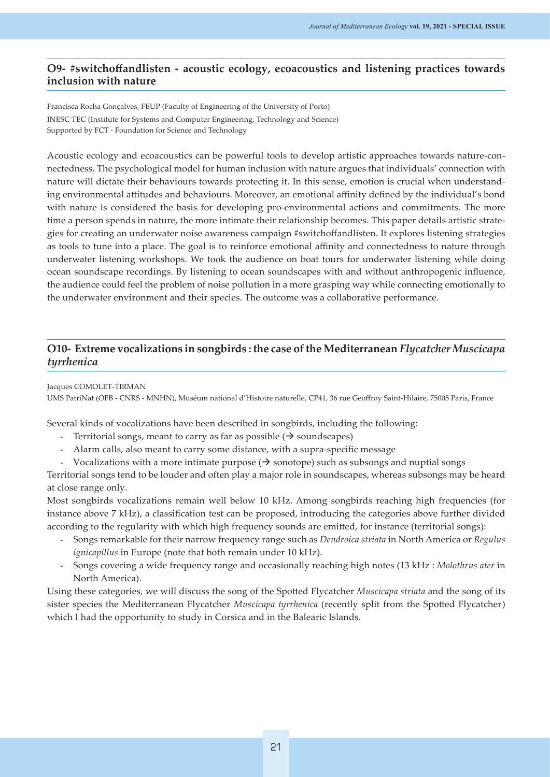#### **O9- #switchoffandlisten - acoustic ecology, ecoacoustics and listening practices towards inclusion with nature**

Francisca Rocha Gonçalves, FEUP (Faculty of Engineering of the University of Porto) INESC TEC (Institute for Systems and Computer Engineering, Technology and Science) Supported by FCT - Foundation for Science and Technology

Acoustic ecology and ecoacoustics can be powerful tools to develop artistic approaches towards nature-connectedness. The psychological model for human inclusion with nature argues that individuals' connection with nature will dictate their behaviours towards protecting it. In this sense, emotion is crucial when understanding environmental attitudes and behaviours. Moreover, an emotional affinity defined by the individual's bond with nature is considered the basis for developing pro-environmental actions and commitments. The more time a person spends in nature, the more intimate their relationship becomes. This paper details artistic strategies for creating an underwater noise awareness campaign #switchoffandlisten. It explores listening strategies as tools to tune into a place. The goal is to reinforce emotional affinity and connectedness to nature through underwater listening workshops. We took the audience on boat tours for underwater listening while doing ocean soundscape recordings. By listening to ocean soundscapes with and without anthropogenic influence, the audience could feel the problem of noise pollution in a more grasping way while connecting emotionally to the underwater environment and their species. The outcome was a collaborative performance.

#### **O10- Extreme vocalizations in songbirds : the case of the Mediterranean** *Flycatcher Muscicapa tyrrhenica*

Jacques COMOLET-TIRMAN

UMS PatriNat (OFB - CNRS - MNHN), Muséum national d'Histoire naturelle, CP41, 36 rue Geoffroy Saint-Hilaire, 75005 Paris, France

Several kinds of vocalizations have been described in songbirds, including the following:

- Territorial songs, meant to carry as far as possible  $(\rightarrow$  soundscapes)
- Alarm calls, also meant to carry some distance, with a supra-specific message
- Vocalizations with a more intimate purpose  $(\rightarrow$  sonotope) such as subsongs and nuptial songs

Territorial songs tend to be louder and often play a major role in soundscapes, whereas subsongs may be heard at close range only.

Most songbirds vocalizations remain well below 10 kHz. Among songbirds reaching high frequencies (for instance above 7 kHz), a classification test can be proposed, introducing the categories above further divided according to the regularity with which high frequency sounds are emitted, for instance (territorial songs):

- Songs remarkable for their narrow frequency range such as *Dendroica striata* in North America or *Regulus ignicapillus* in Europe (note that both remain under 10 kHz).
- Songs covering a wide frequency range and occasionally reaching high notes (13 kHz : *Molothrus ater* in North America).

Using these categories, we will discuss the song of the Spotted Flycatcher *Muscicapa striata* and the song of its sister species the Mediterranean Flycatcher *Muscicapa tyrrhenica* (recently split from the Spotted Flycatcher) which I had the opportunity to study in Corsica and in the Balearic Islands.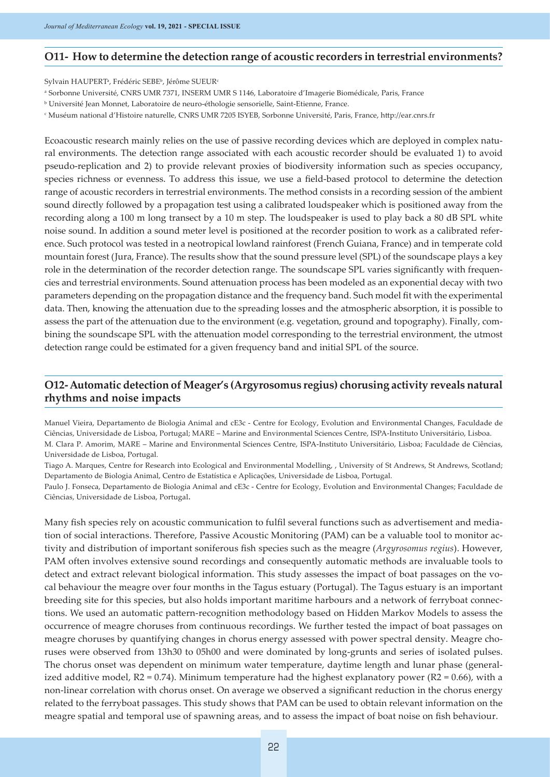#### **O11- How to determine the detection range of acoustic recorders in terrestrial environments?**

Sylvain HAUPERTª, Frédéric SEBEʰ, Jérôme SUEUR<sup>c</sup>

- b Université Jean Monnet, Laboratoire de neuro-éthologie sensorielle, Saint-Etienne, France.
- c Muséum national d'Histoire naturelle, CNRS UMR 7205 ISYEB, Sorbonne Université, Paris, France, http://ear.cnrs.fr

Ecoacoustic research mainly relies on the use of passive recording devices which are deployed in complex natural environments. The detection range associated with each acoustic recorder should be evaluated 1) to avoid pseudo-replication and 2) to provide relevant proxies of biodiversity information such as species occupancy, species richness or evenness. To address this issue, we use a field-based protocol to determine the detection range of acoustic recorders in terrestrial environments. The method consists in a recording session of the ambient sound directly followed by a propagation test using a calibrated loudspeaker which is positioned away from the recording along a 100 m long transect by a 10 m step. The loudspeaker is used to play back a 80 dB SPL white noise sound. In addition a sound meter level is positioned at the recorder position to work as a calibrated reference. Such protocol was tested in a neotropical lowland rainforest (French Guiana, France) and in temperate cold mountain forest (Jura, France). The results show that the sound pressure level (SPL) of the soundscape plays a key role in the determination of the recorder detection range. The soundscape SPL varies significantly with frequencies and terrestrial environments. Sound attenuation process has been modeled as an exponential decay with two parameters depending on the propagation distance and the frequency band. Such model fit with the experimental data. Then, knowing the attenuation due to the spreading losses and the atmospheric absorption, it is possible to assess the part of the attenuation due to the environment (e.g. vegetation, ground and topography). Finally, combining the soundscape SPL with the attenuation model corresponding to the terrestrial environment, the utmost detection range could be estimated for a given frequency band and initial SPL of the source.

#### **O12- Automatic detection of Meager's (Argyrosomus regius) chorusing activity reveals natural rhythms and noise impacts**

Manuel Vieira, Departamento de Biologia Animal and cE3c - Centre for Ecology, Evolution and Environmental Changes, Faculdade de Ciências, Universidade de Lisboa, Portugal; MARE – Marine and Environmental Sciences Centre, ISPA-Instituto Universitário, Lisboa. M. Clara P. Amorim, MARE – Marine and Environmental Sciences Centre, ISPA-Instituto Universitário, Lisboa; Faculdade de Ciências, Universidade de Lisboa, Portugal.

Tiago A. Marques, Centre for Research into Ecological and Environmental Modelling, , University of St Andrews, St Andrews, Scotland; Departamento de Biologia Animal, Centro de Estatística e Aplicações, Universidade de Lisboa, Portugal.

Paulo J. Fonseca, Departamento de Biologia Animal and cE3c - Centre for Ecology, Evolution and Environmental Changes; Faculdade de Ciências, Universidade de Lisboa, Portugal.

Many fish species rely on acoustic communication to fulfil several functions such as advertisement and mediation of social interactions. Therefore, Passive Acoustic Monitoring (PAM) can be a valuable tool to monitor activity and distribution of important soniferous fish species such as the meagre (*Argyrosomus regius*). However, PAM often involves extensive sound recordings and consequently automatic methods are invaluable tools to detect and extract relevant biological information. This study assesses the impact of boat passages on the vocal behaviour the meagre over four months in the Tagus estuary (Portugal). The Tagus estuary is an important breeding site for this species, but also holds important maritime harbours and a network of ferryboat connections. We used an automatic pattern-recognition methodology based on Hidden Markov Models to assess the occurrence of meagre choruses from continuous recordings. We further tested the impact of boat passages on meagre choruses by quantifying changes in chorus energy assessed with power spectral density. Meagre choruses were observed from 13h30 to 05h00 and were dominated by long-grunts and series of isolated pulses. The chorus onset was dependent on minimum water temperature, daytime length and lunar phase (generalized additive model,  $R2 = 0.74$ ). Minimum temperature had the highest explanatory power ( $R2 = 0.66$ ), with a non-linear correlation with chorus onset. On average we observed a significant reduction in the chorus energy related to the ferryboat passages. This study shows that PAM can be used to obtain relevant information on the meagre spatial and temporal use of spawning areas, and to assess the impact of boat noise on fish behaviour.

a Sorbonne Université, CNRS UMR 7371, INSERM UMR S 1146, Laboratoire d'Imagerie Biomédicale, Paris, France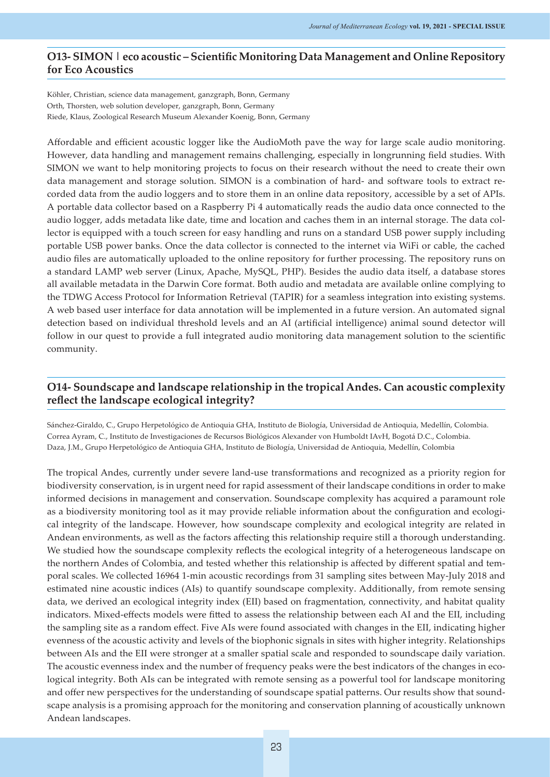#### **O13- SIMON | eco acoustic – Scientific Monitoring Data Management and Online Repository for Eco Acoustics**

Köhler, Christian, science data management, ganzgraph, Bonn, Germany Orth, Thorsten, web solution developer, ganzgraph, Bonn, Germany Riede, Klaus, Zoological Research Museum Alexander Koenig, Bonn, Germany

Affordable and efficient acoustic logger like the AudioMoth pave the way for large scale audio monitoring. However, data handling and management remains challenging, especially in longrunning field studies. With SIMON we want to help monitoring projects to focus on their research without the need to create their own data management and storage solution. SIMON is a combination of hard- and software tools to extract recorded data from the audio loggers and to store them in an online data repository, accessible by a set of APIs. A portable data collector based on a Raspberry Pi 4 automatically reads the audio data once connected to the audio logger, adds metadata like date, time and location and caches them in an internal storage. The data collector is equipped with a touch screen for easy handling and runs on a standard USB power supply including portable USB power banks. Once the data collector is connected to the internet via WiFi or cable, the cached audio files are automatically uploaded to the online repository for further processing. The repository runs on a standard LAMP web server (Linux, Apache, MySQL, PHP). Besides the audio data itself, a database stores all available metadata in the Darwin Core format. Both audio and metadata are available online complying to the TDWG Access Protocol for Information Retrieval (TAPIR) for a seamless integration into existing systems. A web based user interface for data annotation will be implemented in a future version. An automated signal detection based on individual threshold levels and an AI (artificial intelligence) animal sound detector will follow in our quest to provide a full integrated audio monitoring data management solution to the scientific community.

#### **O14- Soundscape and landscape relationship in the tropical Andes. Can acoustic complexity reflect the landscape ecological integrity?**

Sánchez-Giraldo, C., Grupo Herpetológico de Antioquia GHA, Instituto de Biología, Universidad de Antioquia, Medellín, Colombia. Correa Ayram, C., Instituto de Investigaciones de Recursos Biológicos Alexander von Humboldt IAvH, Bogotá D.C., Colombia. Daza, J.M., Grupo Herpetológico de Antioquia GHA, Instituto de Biología, Universidad de Antioquia, Medellín, Colombia

The tropical Andes, currently under severe land-use transformations and recognized as a priority region for biodiversity conservation, is in urgent need for rapid assessment of their landscape conditions in order to make informed decisions in management and conservation. Soundscape complexity has acquired a paramount role as a biodiversity monitoring tool as it may provide reliable information about the configuration and ecological integrity of the landscape. However, how soundscape complexity and ecological integrity are related in Andean environments, as well as the factors affecting this relationship require still a thorough understanding. We studied how the soundscape complexity reflects the ecological integrity of a heterogeneous landscape on the northern Andes of Colombia, and tested whether this relationship is affected by different spatial and temporal scales. We collected 16964 1-min acoustic recordings from 31 sampling sites between May-July 2018 and estimated nine acoustic indices (AIs) to quantify soundscape complexity. Additionally, from remote sensing data, we derived an ecological integrity index (EII) based on fragmentation, connectivity, and habitat quality indicators. Mixed-effects models were fitted to assess the relationship between each AI and the EII, including the sampling site as a random effect. Five AIs were found associated with changes in the EII, indicating higher evenness of the acoustic activity and levels of the biophonic signals in sites with higher integrity. Relationships between AIs and the EII were stronger at a smaller spatial scale and responded to soundscape daily variation. The acoustic evenness index and the number of frequency peaks were the best indicators of the changes in ecological integrity. Both AIs can be integrated with remote sensing as a powerful tool for landscape monitoring and offer new perspectives for the understanding of soundscape spatial patterns. Our results show that soundscape analysis is a promising approach for the monitoring and conservation planning of acoustically unknown Andean landscapes.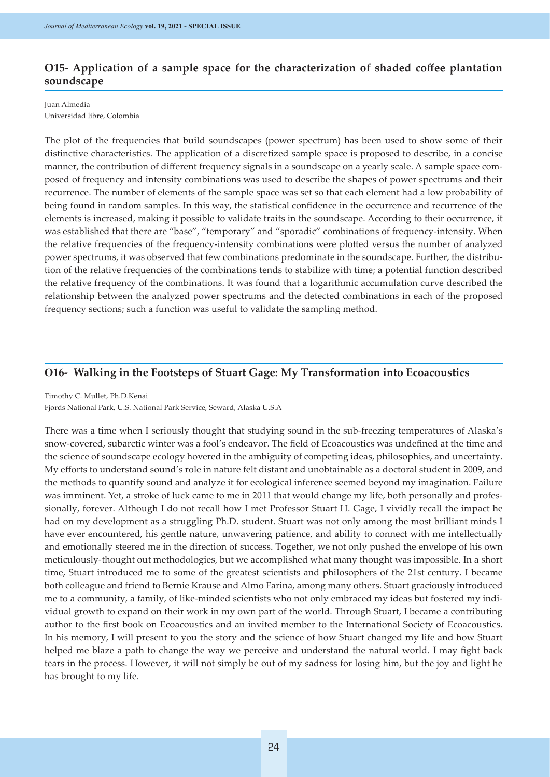#### **O15- Application of a sample space for the characterization of shaded coffee plantation soundscape**

Juan Almedia Universidad libre, Colombia

The plot of the frequencies that build soundscapes (power spectrum) has been used to show some of their distinctive characteristics. The application of a discretized sample space is proposed to describe, in a concise manner, the contribution of different frequency signals in a soundscape on a yearly scale. A sample space composed of frequency and intensity combinations was used to describe the shapes of power spectrums and their recurrence. The number of elements of the sample space was set so that each element had a low probability of being found in random samples. In this way, the statistical confidence in the occurrence and recurrence of the elements is increased, making it possible to validate traits in the soundscape. According to their occurrence, it was established that there are "base", "temporary" and "sporadic" combinations of frequency-intensity. When the relative frequencies of the frequency-intensity combinations were plotted versus the number of analyzed power spectrums, it was observed that few combinations predominate in the soundscape. Further, the distribution of the relative frequencies of the combinations tends to stabilize with time; a potential function described the relative frequency of the combinations. It was found that a logarithmic accumulation curve described the relationship between the analyzed power spectrums and the detected combinations in each of the proposed frequency sections; such a function was useful to validate the sampling method.

#### **O16- Walking in the Footsteps of Stuart Gage: My Transformation into Ecoacoustics**

Timothy C. Mullet, Ph.D.Kenai

Fjords National Park, U.S. National Park Service, Seward, Alaska U.S.A

There was a time when I seriously thought that studying sound in the sub-freezing temperatures of Alaska's snow-covered, subarctic winter was a fool's endeavor. The field of Ecoacoustics was undefined at the time and the science of soundscape ecology hovered in the ambiguity of competing ideas, philosophies, and uncertainty. My efforts to understand sound's role in nature felt distant and unobtainable as a doctoral student in 2009, and the methods to quantify sound and analyze it for ecological inference seemed beyond my imagination. Failure was imminent. Yet, a stroke of luck came to me in 2011 that would change my life, both personally and professionally, forever. Although I do not recall how I met Professor Stuart H. Gage, I vividly recall the impact he had on my development as a struggling Ph.D. student. Stuart was not only among the most brilliant minds I have ever encountered, his gentle nature, unwavering patience, and ability to connect with me intellectually and emotionally steered me in the direction of success. Together, we not only pushed the envelope of his own meticulously-thought out methodologies, but we accomplished what many thought was impossible. In a short time, Stuart introduced me to some of the greatest scientists and philosophers of the 21st century. I became both colleague and friend to Bernie Krause and Almo Farina, among many others. Stuart graciously introduced me to a community, a family, of like-minded scientists who not only embraced my ideas but fostered my individual growth to expand on their work in my own part of the world. Through Stuart, I became a contributing author to the first book on Ecoacoustics and an invited member to the International Society of Ecoacoustics. In his memory, I will present to you the story and the science of how Stuart changed my life and how Stuart helped me blaze a path to change the way we perceive and understand the natural world. I may fight back tears in the process. However, it will not simply be out of my sadness for losing him, but the joy and light he has brought to my life.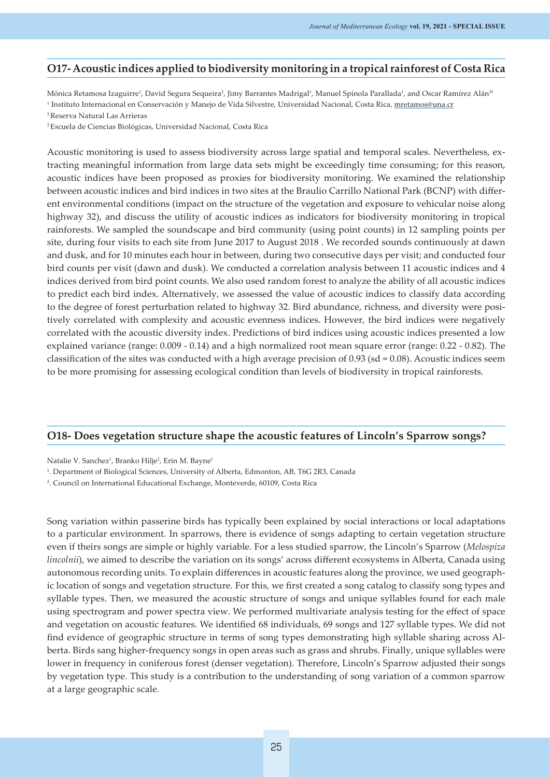#### **O17- Acoustic indices applied to biodiversity monitoring in a tropical rainforest of Costa Rica**

Mónica Retamosa Izaguirre<sup>1</sup>, David Segura Sequeira<sup>2</sup>, Jimy Barrantes Madrigal<sup>1</sup>, Manuel Spínola Parallada<sup>1</sup>, and Oscar Ramírez Alán<sup>31</sup>

<sup>1</sup> Instituto Internacional en Conservación y Manejo de Vida Silvestre, Universidad Nacional, Costa Rica, <u>mretamos@una.cr</u>

3 Escuela de Ciencias Biológicas, Universidad Nacional, Costa Rica

Acoustic monitoring is used to assess biodiversity across large spatial and temporal scales. Nevertheless, extracting meaningful information from large data sets might be exceedingly time consuming; for this reason, acoustic indices have been proposed as proxies for biodiversity monitoring. We examined the relationship between acoustic indices and bird indices in two sites at the Braulio Carrillo National Park (BCNP) with different environmental conditions (impact on the structure of the vegetation and exposure to vehicular noise along highway 32), and discuss the utility of acoustic indices as indicators for biodiversity monitoring in tropical rainforests. We sampled the soundscape and bird community (using point counts) in 12 sampling points per site, during four visits to each site from June 2017 to August 2018 . We recorded sounds continuously at dawn and dusk, and for 10 minutes each hour in between, during two consecutive days per visit; and conducted four bird counts per visit (dawn and dusk). We conducted a correlation analysis between 11 acoustic indices and 4 indices derived from bird point counts. We also used random forest to analyze the ability of all acoustic indices to predict each bird index. Alternatively, we assessed the value of acoustic indices to classify data according to the degree of forest perturbation related to highway 32. Bird abundance, richness, and diversity were positively correlated with complexity and acoustic evenness indices. However, the bird indices were negatively correlated with the acoustic diversity index. Predictions of bird indices using acoustic indices presented a low explained variance (range: 0.009 - 0.14) and a high normalized root mean square error (range: 0.22 - 0.82). The classification of the sites was conducted with a high average precision of 0.93 (sd = 0.08). Acoustic indices seem to be more promising for assessing ecological condition than levels of biodiversity in tropical rainforests.

#### **O18- Does vegetation structure shape the acoustic features of Lincoln's Sparrow songs?**

Natalie V. Sanchez<sup>1</sup>, Branko Hilje<sup>2</sup>, Erin M. Bayne<sup>1</sup>

1 . Department of Biological Sciences, University of Alberta, Edmonton, AB, T6G 2R3, Canada

2 . Council on International Educational Exchange, Monteverde, 60109, Costa Rica

Song variation within passerine birds has typically been explained by social interactions or local adaptations to a particular environment. In sparrows, there is evidence of songs adapting to certain vegetation structure even if theirs songs are simple or highly variable. For a less studied sparrow, the Lincoln's Sparrow (*Melospiza lincolnii*), we aimed to describe the variation on its songs' across different ecosystems in Alberta, Canada using autonomous recording units. To explain differences in acoustic features along the province, we used geographic location of songs and vegetation structure. For this, we first created a song catalog to classify song types and syllable types. Then, we measured the acoustic structure of songs and unique syllables found for each male using spectrogram and power spectra view. We performed multivariate analysis testing for the effect of space and vegetation on acoustic features. We identified 68 individuals, 69 songs and 127 syllable types. We did not find evidence of geographic structure in terms of song types demonstrating high syllable sharing across Alberta. Birds sang higher-frequency songs in open areas such as grass and shrubs. Finally, unique syllables were lower in frequency in coniferous forest (denser vegetation). Therefore, Lincoln's Sparrow adjusted their songs by vegetation type. This study is a contribution to the understanding of song variation of a common sparrow at a large geographic scale.

<sup>2</sup> Reserva Natural Las Arrieras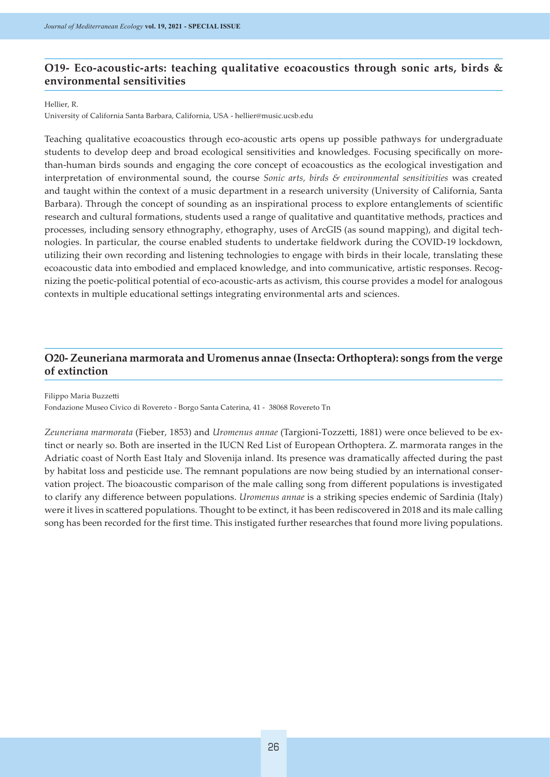#### **O19- Eco-acoustic-arts: teaching qualitative ecoacoustics through sonic arts, birds & environmental sensitivities**

#### Hellier, R.

University of California Santa Barbara, California, USA - hellier@music.ucsb.edu

Teaching qualitative ecoacoustics through eco-acoustic arts opens up possible pathways for undergraduate students to develop deep and broad ecological sensitivities and knowledges. Focusing specifically on morethan-human birds sounds and engaging the core concept of ecoacoustics as the ecological investigation and interpretation of environmental sound, the course *Sonic arts, birds & environmental sensitivities* was created and taught within the context of a music department in a research university (University of California, Santa Barbara). Through the concept of sounding as an inspirational process to explore entanglements of scientific research and cultural formations, students used a range of qualitative and quantitative methods, practices and processes, including sensory ethnography, ethography, uses of ArcGIS (as sound mapping), and digital technologies. In particular, the course enabled students to undertake fieldwork during the COVID-19 lockdown, utilizing their own recording and listening technologies to engage with birds in their locale, translating these ecoacoustic data into embodied and emplaced knowledge, and into communicative, artistic responses. Recognizing the poetic-political potential of eco-acoustic-arts as activism, this course provides a model for analogous contexts in multiple educational settings integrating environmental arts and sciences.

#### **O20- Zeuneriana marmorata and Uromenus annae (Insecta: Orthoptera): songs from the verge of extinction**

Filippo Maria Buzzetti

Fondazione Museo Civico di Rovereto - Borgo Santa Caterina, 41 - 38068 Rovereto Tn

*Zeuneriana marmorata* (Fieber, 1853) and *Uromenus annae* (Targioni-Tozzetti, 1881) were once believed to be extinct or nearly so. Both are inserted in the IUCN Red List of European Orthoptera. Z. marmorata ranges in the Adriatic coast of North East Italy and Slovenija inland. Its presence was dramatically affected during the past by habitat loss and pesticide use. The remnant populations are now being studied by an international conservation project. The bioacoustic comparison of the male calling song from different populations is investigated to clarify any difference between populations. *Uromenus annae* is a striking species endemic of Sardinia (Italy) were it lives in scattered populations. Thought to be extinct, it has been rediscovered in 2018 and its male calling song has been recorded for the first time. This instigated further researches that found more living populations.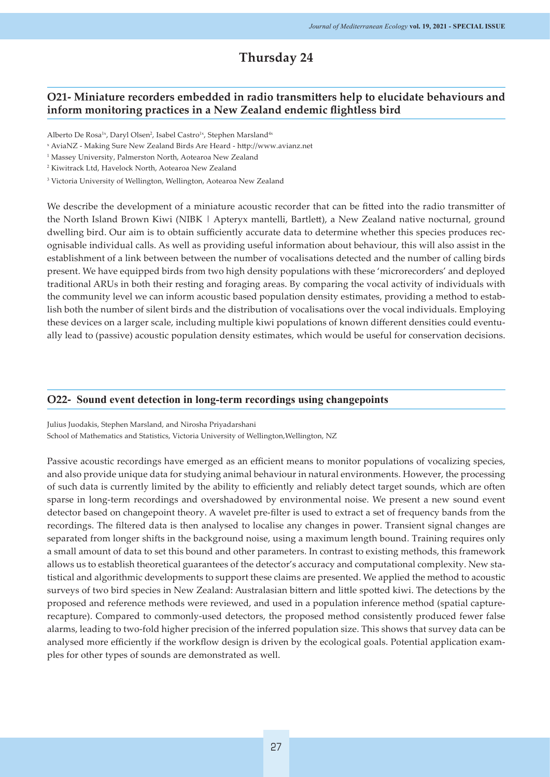## **Thursday 24**

#### **O21- Miniature recorders embedded in radio transmitters help to elucidate behaviours and inform monitoring practices in a New Zealand endemic flightless bird**

Alberto De Rosa<sup>1x</sup>, Daryl Olsen<sup>2</sup>, Isabel Castro<sup>1x</sup>, Stephen Marsland<sup>4x</sup>

x AviaNZ - Making Sure New Zealand Birds Are Heard - http://www.avianz.net

<sup>1</sup> Massey University, Palmerston North, Aotearoa New Zealand

2 Kiwitrack Ltd, Havelock North, Aotearoa New Zealand

3 Victoria University of Wellington, Wellington, Aotearoa New Zealand

We describe the development of a miniature acoustic recorder that can be fitted into the radio transmitter of the North Island Brown Kiwi (NIBK | Apteryx mantelli, Bartlett), a New Zealand native nocturnal, ground dwelling bird. Our aim is to obtain sufficiently accurate data to determine whether this species produces recognisable individual calls. As well as providing useful information about behaviour, this will also assist in the establishment of a link between between the number of vocalisations detected and the number of calling birds present. We have equipped birds from two high density populations with these 'microrecorders' and deployed traditional ARUs in both their resting and foraging areas. By comparing the vocal activity of individuals with the community level we can inform acoustic based population density estimates, providing a method to establish both the number of silent birds and the distribution of vocalisations over the vocal individuals. Employing these devices on a larger scale, including multiple kiwi populations of known different densities could eventually lead to (passive) acoustic population density estimates, which would be useful for conservation decisions.

#### **O22- Sound event detection in long-term recordings using changepoints**

Julius Juodakis, Stephen Marsland, and Nirosha Priyadarshani School of Mathematics and Statistics, Victoria University of Wellington, Wellington, NZ

Passive acoustic recordings have emerged as an efficient means to monitor populations of vocalizing species, and also provide unique data for studying animal behaviour in natural environments. However, the processing of such data is currently limited by the ability to efficiently and reliably detect target sounds, which are often sparse in long-term recordings and overshadowed by environmental noise. We present a new sound event detector based on changepoint theory. A wavelet pre-filter is used to extract a set of frequency bands from the recordings. The filtered data is then analysed to localise any changes in power. Transient signal changes are separated from longer shifts in the background noise, using a maximum length bound. Training requires only a small amount of data to set this bound and other parameters. In contrast to existing methods, this framework allows us to establish theoretical guarantees of the detector's accuracy and computational complexity. New statistical and algorithmic developments to support these claims are presented. We applied the method to acoustic surveys of two bird species in New Zealand: Australasian bittern and little spotted kiwi. The detections by the proposed and reference methods were reviewed, and used in a population inference method (spatial capturerecapture). Compared to commonly-used detectors, the proposed method consistently produced fewer false alarms, leading to two-fold higher precision of the inferred population size. This shows that survey data can be analysed more efficiently if the workflow design is driven by the ecological goals. Potential application examples for other types of sounds are demonstrated as well.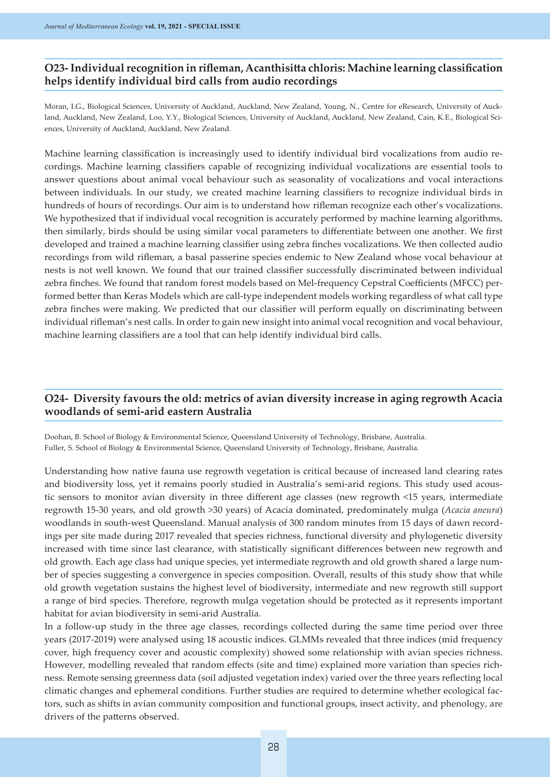#### **O23- Individual recognition in rifleman, Acanthisitta chloris: Machine learning classification helps identify individual bird calls from audio recordings**

Moran, I.G., Biological Sciences, University of Auckland, Auckland, New Zealand, Young, N., Centre for eResearch, University of Auckland, Auckland, New Zealand, Loo, Y.Y., Biological Sciences, University of Auckland, Auckland, New Zealand, Cain, K.E., Biological Sciences, University of Auckland, Auckland, New Zealand.

Machine learning classification is increasingly used to identify individual bird vocalizations from audio recordings. Machine learning classifiers capable of recognizing individual vocalizations are essential tools to answer questions about animal vocal behaviour such as seasonality of vocalizations and vocal interactions between individuals. In our study, we created machine learning classifiers to recognize individual birds in hundreds of hours of recordings. Our aim is to understand how rifleman recognize each other's vocalizations. We hypothesized that if individual vocal recognition is accurately performed by machine learning algorithms, then similarly, birds should be using similar vocal parameters to differentiate between one another. We first developed and trained a machine learning classifier using zebra finches vocalizations. We then collected audio recordings from wild rifleman, a basal passerine species endemic to New Zealand whose vocal behaviour at nests is not well known. We found that our trained classifier successfully discriminated between individual zebra finches. We found that random forest models based on Mel-frequency Cepstral Coefficients (MFCC) performed better than Keras Models which are call-type independent models working regardless of what call type zebra finches were making. We predicted that our classifier will perform equally on discriminating between individual rifleman's nest calls. In order to gain new insight into animal vocal recognition and vocal behaviour, machine learning classifiers are a tool that can help identify individual bird calls.

#### **O24- Diversity favours the old: metrics of avian diversity increase in aging regrowth Acacia woodlands of semi-arid eastern Australia**

Doohan, B. School of Biology & Environmental Science, Queensland University of Technology, Brisbane, Australia. Fuller, S. School of Biology & Environmental Science, Queensland University of Technology, Brisbane, Australia.

Understanding how native fauna use regrowth vegetation is critical because of increased land clearing rates and biodiversity loss, yet it remains poorly studied in Australia's semi-arid regions. This study used acoustic sensors to monitor avian diversity in three different age classes (new regrowth <15 years, intermediate regrowth 15-30 years, and old growth >30 years) of Acacia dominated, predominately mulga (*Acacia aneura*) woodlands in south-west Queensland. Manual analysis of 300 random minutes from 15 days of dawn recordings per site made during 2017 revealed that species richness, functional diversity and phylogenetic diversity increased with time since last clearance, with statistically significant differences between new regrowth and old growth. Each age class had unique species, yet intermediate regrowth and old growth shared a large number of species suggesting a convergence in species composition. Overall, results of this study show that while old growth vegetation sustains the highest level of biodiversity, intermediate and new regrowth still support a range of bird species. Therefore, regrowth mulga vegetation should be protected as it represents important habitat for avian biodiversity in semi-arid Australia.

In a follow-up study in the three age classes, recordings collected during the same time period over three years (2017-2019) were analysed using 18 acoustic indices. GLMMs revealed that three indices (mid frequency cover, high frequency cover and acoustic complexity) showed some relationship with avian species richness. However, modelling revealed that random effects (site and time) explained more variation than species richness. Remote sensing greenness data (soil adjusted vegetation index) varied over the three years reflecting local climatic changes and ephemeral conditions. Further studies are required to determine whether ecological factors, such as shifts in avian community composition and functional groups, insect activity, and phenology, are drivers of the patterns observed.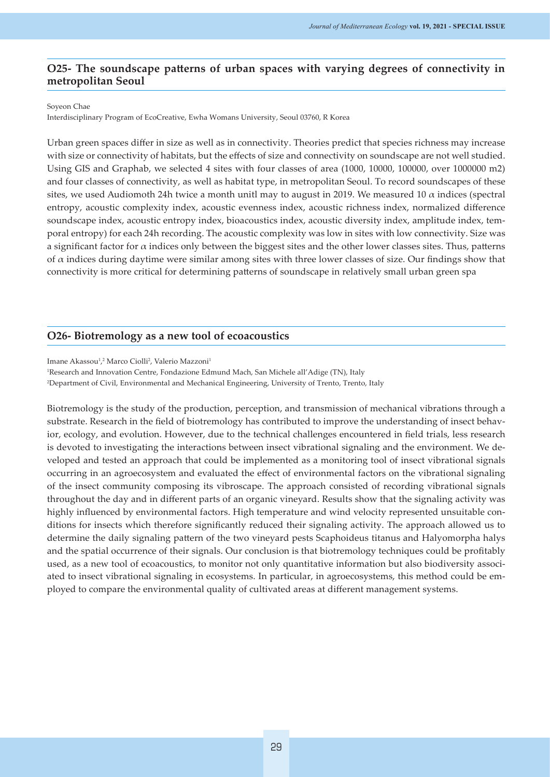#### **O25- The soundscape patterns of urban spaces with varying degrees of connectivity in metropolitan Seoul**

#### Soyeon Chae

Interdisciplinary Program of EcoCreative, Ewha Womans University, Seoul 03760, R Korea

Urban green spaces differ in size as well as in connectivity. Theories predict that species richness may increase with size or connectivity of habitats, but the effects of size and connectivity on soundscape are not well studied. Using GIS and Graphab, we selected 4 sites with four classes of area (1000, 10000, 100000, over 1000000 m2) and four classes of connectivity, as well as habitat type, in metropolitan Seoul. To record soundscapes of these sites, we used Audiomoth 24h twice a month unitl may to august in 2019. We measured 10  $\alpha$  indices (spectral entropy, acoustic complexity index, acoustic evenness index, acoustic richness index, normalized difference soundscape index, acoustic entropy index, bioacoustics index, acoustic diversity index, amplitude index, temporal entropy) for each 24h recording. The acoustic complexity was low in sites with low connectivity. Size was a significant factor for  $\alpha$  indices only between the biggest sites and the other lower classes sites. Thus, patterns of  $\alpha$  indices during daytime were similar among sites with three lower classes of size. Our findings show that connectivity is more critical for determining patterns of soundscape in relatively small urban green spa

#### **O26- Biotremology as a new tool of ecoacoustics**

Imane Akassou<sup>1</sup>,<sup>2</sup> Marco Ciolli<sup>2</sup>, Valerio Mazzoni<sup>1</sup>

1 Research and Innovation Centre, Fondazione Edmund Mach, San Michele all'Adige (TN), Italy

2 Department of Civil, Environmental and Mechanical Engineering, University of Trento, Trento, Italy

Biotremology is the study of the production, perception, and transmission of mechanical vibrations through a substrate. Research in the field of biotremology has contributed to improve the understanding of insect behavior, ecology, and evolution. However, due to the technical challenges encountered in field trials, less research is devoted to investigating the interactions between insect vibrational signaling and the environment. We developed and tested an approach that could be implemented as a monitoring tool of insect vibrational signals occurring in an agroecosystem and evaluated the effect of environmental factors on the vibrational signaling of the insect community composing its vibroscape. The approach consisted of recording vibrational signals throughout the day and in different parts of an organic vineyard. Results show that the signaling activity was highly influenced by environmental factors. High temperature and wind velocity represented unsuitable conditions for insects which therefore significantly reduced their signaling activity. The approach allowed us to determine the daily signaling pattern of the two vineyard pests Scaphoideus titanus and Halyomorpha halys and the spatial occurrence of their signals. Our conclusion is that biotremology techniques could be profitably used, as a new tool of ecoacoustics, to monitor not only quantitative information but also biodiversity associated to insect vibrational signaling in ecosystems. In particular, in agroecosystems, this method could be employed to compare the environmental quality of cultivated areas at different management systems.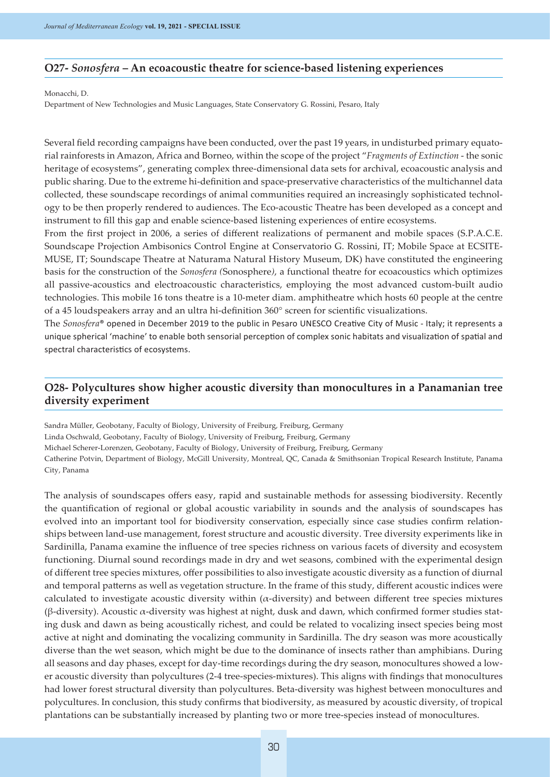#### **O27-** *Sonosfera* **– An ecoacoustic theatre for science-based listening experiences**

#### Monacchi, D.

Department of New Technologies and Music Languages, State Conservatory G. Rossini, Pesaro, Italy

Several field recording campaigns have been conducted, over the past 19 years, in undisturbed primary equatorial rainforests in Amazon, Africa and Borneo, within the scope of the project "*Fragments of Extinction* - the sonic heritage of ecosystems", generating complex three-dimensional data sets for archival, ecoacoustic analysis and public sharing. Due to the extreme hi-definition and space-preservative characteristics of the multichannel data collected, these soundscape recordings of animal communities required an increasingly sophisticated technology to be then properly rendered to audiences. The Eco-acoustic Theatre has been developed as a concept and instrument to fill this gap and enable science-based listening experiences of entire ecosystems.

From the first project in 2006, a series of different realizations of permanent and mobile spaces (S.P.A.C.E. Soundscape Projection Ambisonics Control Engine at Conservatorio G. Rossini, IT; Mobile Space at ECSITE-MUSE, IT; Soundscape Theatre at Naturama Natural History Museum, DK) have constituted the engineering basis for the construction of the *Sonosfera (*Sonosphere*)*, a functional theatre for ecoacoustics which optimizes all passive-acoustics and electroacoustic characteristics, employing the most advanced custom-built audio technologies. This mobile 16 tons theatre is a 10-meter diam. amphitheatre which hosts 60 people at the centre of a 45 loudspeakers array and an ultra hi-definition 360° screen for scientific visualizations.

The *Sonosfera*® opened in December 2019 to the public in Pesaro UNESCO Creative City of Music - Italy; it represents a unique spherical 'machine' to enable both sensorial perception of complex sonic habitats and visualization of spatial and spectral characteristics of ecosystems.

#### **O28- Polycultures show higher acoustic diversity than monocultures in a Panamanian tree diversity experiment**

Sandra Müller, Geobotany, Faculty of Biology, University of Freiburg, Freiburg, Germany

Linda Oschwald, Geobotany, Faculty of Biology, University of Freiburg, Freiburg, Germany

Michael Scherer-Lorenzen, Geobotany, Faculty of Biology, University of Freiburg, Freiburg, Germany

Catherine Potvin, Department of Biology, McGill University, Montreal, QC, Canada & Smithsonian Tropical Research Institute, Panama City, Panama

The analysis of soundscapes offers easy, rapid and sustainable methods for assessing biodiversity. Recently the quantification of regional or global acoustic variability in sounds and the analysis of soundscapes has evolved into an important tool for biodiversity conservation, especially since case studies confirm relationships between land-use management, forest structure and acoustic diversity. Tree diversity experiments like in Sardinilla, Panama examine the influence of tree species richness on various facets of diversity and ecosystem functioning. Diurnal sound recordings made in dry and wet seasons, combined with the experimental design of different tree species mixtures, offer possibilities to also investigate acoustic diversity as a function of diurnal and temporal patterns as well as vegetation structure. In the frame of this study, different acoustic indices were calculated to investigate acoustic diversity within ( $\alpha$ -diversity) and between different tree species mixtures (β-diversity). Acoustic α-diversity was highest at night, dusk and dawn, which confirmed former studies stating dusk and dawn as being acoustically richest, and could be related to vocalizing insect species being most active at night and dominating the vocalizing community in Sardinilla. The dry season was more acoustically diverse than the wet season, which might be due to the dominance of insects rather than amphibians. During all seasons and day phases, except for day-time recordings during the dry season, monocultures showed a lower acoustic diversity than polycultures (2-4 tree-species-mixtures). This aligns with findings that monocultures had lower forest structural diversity than polycultures. Beta-diversity was highest between monocultures and polycultures. In conclusion, this study confirms that biodiversity, as measured by acoustic diversity, of tropical plantations can be substantially increased by planting two or more tree-species instead of monocultures.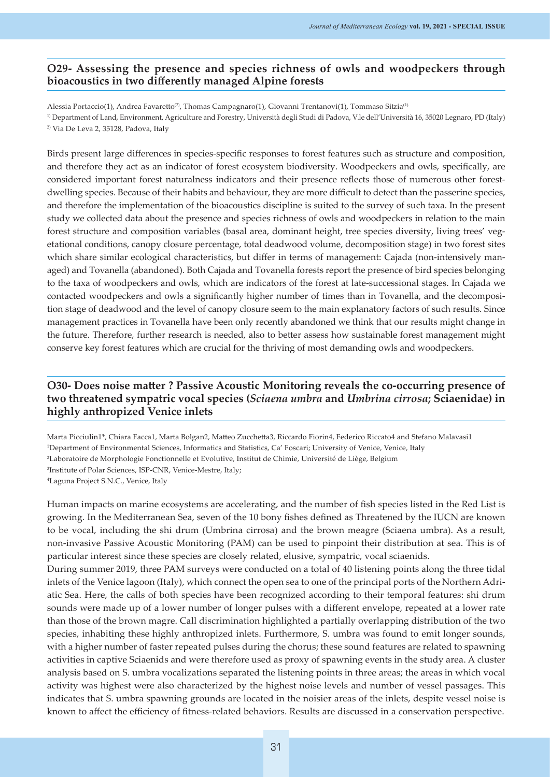#### **O29- Assessing the presence and species richness of owls and woodpeckers through bioacoustics in two differently managed Alpine forests**

Alessia Portaccio(1), Andrea Favaretto<sup>(2)</sup>, Thomas Campagnaro(1), Giovanni Trentanovi(1), Tommaso Sitzia<sup>(1)</sup> 1) Department of Land, Environment, Agriculture and Forestry, Università degli Studi di Padova, V.le dell'Università 16, 35020 Legnaro, PD (Italy) 2) Via De Leva 2, 35128, Padova, Italy

Birds present large differences in species-specific responses to forest features such as structure and composition, and therefore they act as an indicator of forest ecosystem biodiversity. Woodpeckers and owls, specifically, are considered important forest naturalness indicators and their presence reflects those of numerous other forestdwelling species. Because of their habits and behaviour, they are more difficult to detect than the passerine species, and therefore the implementation of the bioacoustics discipline is suited to the survey of such taxa. In the present study we collected data about the presence and species richness of owls and woodpeckers in relation to the main forest structure and composition variables (basal area, dominant height, tree species diversity, living trees' vegetational conditions, canopy closure percentage, total deadwood volume, decomposition stage) in two forest sites which share similar ecological characteristics, but differ in terms of management: Cajada (non-intensively managed) and Tovanella (abandoned). Both Cajada and Tovanella forests report the presence of bird species belonging to the taxa of woodpeckers and owls, which are indicators of the forest at late-successional stages. In Cajada we contacted woodpeckers and owls a significantly higher number of times than in Tovanella, and the decomposition stage of deadwood and the level of canopy closure seem to the main explanatory factors of such results. Since management practices in Tovanella have been only recently abandoned we think that our results might change in the future. Therefore, further research is needed, also to better assess how sustainable forest management might conserve key forest features which are crucial for the thriving of most demanding owls and woodpeckers.

#### **O30- Does noise matter ? Passive Acoustic Monitoring reveals the co-occurring presence of two threatened sympatric vocal species (***Sciaena umbra* **and** *Umbrina cirrosa***; Sciaenidae) in highly anthropized Venice inlets**

Marta Picciulin1\*, Chiara Facca1, Marta Bolgan2, Matteo Zucchetta3, Riccardo Fiorin4, Federico Riccato4 and Stefano Malavasi1 Department of Environmental Sciences, Informatics and Statistics, Ca' Foscari; University of Venice, Venice, Italy Laboratoire de Morphologie Fonctionnelle et Evolutive, Institut de Chimie, Université de Liège, Belgium Institute of Polar Sciences, ISP-CNR, Venice-Mestre, Italy; Laguna Project S.N.C., Venice, Italy

Human impacts on marine ecosystems are accelerating, and the number of fish species listed in the Red List is growing. In the Mediterranean Sea, seven of the 10 bony fishes defined as Threatened by the IUCN are known to be vocal, including the shi drum (Umbrina cirrosa) and the brown meagre (Sciaena umbra). As a result, non-invasive Passive Acoustic Monitoring (PAM) can be used to pinpoint their distribution at sea. This is of particular interest since these species are closely related, elusive, sympatric, vocal sciaenids.

During summer 2019, three PAM surveys were conducted on a total of 40 listening points along the three tidal inlets of the Venice lagoon (Italy), which connect the open sea to one of the principal ports of the Northern Adriatic Sea. Here, the calls of both species have been recognized according to their temporal features: shi drum sounds were made up of a lower number of longer pulses with a different envelope, repeated at a lower rate than those of the brown magre. Call discrimination highlighted a partially overlapping distribution of the two species, inhabiting these highly anthropized inlets. Furthermore, S. umbra was found to emit longer sounds, with a higher number of faster repeated pulses during the chorus; these sound features are related to spawning activities in captive Sciaenids and were therefore used as proxy of spawning events in the study area. A cluster analysis based on S. umbra vocalizations separated the listening points in three areas; the areas in which vocal activity was highest were also characterized by the highest noise levels and number of vessel passages. This indicates that S. umbra spawning grounds are located in the noisier areas of the inlets, despite vessel noise is known to affect the efficiency of fitness-related behaviors. Results are discussed in a conservation perspective.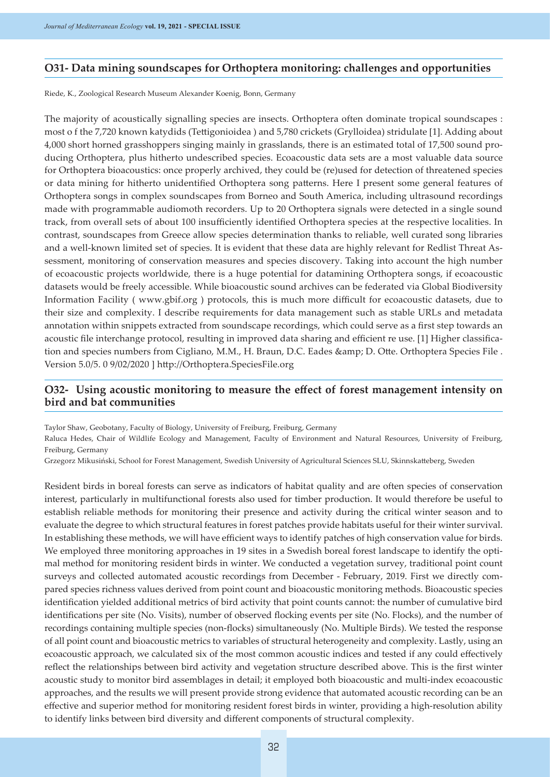#### **O31- Data mining soundscapes for Orthoptera monitoring: challenges and opportunities**

Riede, K., Zoological Research Museum Alexander Koenig, Bonn, Germany

The majority of acoustically signalling species are insects. Orthoptera often dominate tropical soundscapes : most o f the 7,720 known katydids (Tettigonioidea ) and 5,780 crickets (Grylloidea) stridulate [1]. Adding about 4,000 short horned grasshoppers singing mainly in grasslands, there is an estimated total of 17,500 sound producing Orthoptera, plus hitherto undescribed species. Ecoacoustic data sets are a most valuable data source for Orthoptera bioacoustics: once properly archived, they could be (re)used for detection of threatened species or data mining for hitherto unidentified Orthoptera song patterns. Here I present some general features of Orthoptera songs in complex soundscapes from Borneo and South America, including ultrasound recordings made with programmable audiomoth recorders. Up to 20 Orthoptera signals were detected in a single sound track, from overall sets of about 100 insufficiently identified Orthoptera species at the respective localities. In contrast, soundscapes from Greece allow species determination thanks to reliable, well curated song libraries and a well-known limited set of species. It is evident that these data are highly relevant for Redlist Threat Assessment, monitoring of conservation measures and species discovery. Taking into account the high number of ecoacoustic projects worldwide, there is a huge potential for datamining Orthoptera songs, if ecoacoustic datasets would be freely accessible. While bioacoustic sound archives can be federated via Global Biodiversity Information Facility ( www.gbif.org ) protocols, this is much more difficult for ecoacoustic datasets, due to their size and complexity. I describe requirements for data management such as stable URLs and metadata annotation within snippets extracted from soundscape recordings, which could serve as a first step towards an acoustic file interchange protocol, resulting in improved data sharing and efficient re use. [1] Higher classification and species numbers from Cigliano, M.M., H. Braun, D.C. Eades & amp; D. Otte. Orthoptera Species File . Version 5.0/5. 0 9/02/2020 ] http://Orthoptera.SpeciesFile.org

#### **O32- Using acoustic monitoring to measure the effect of forest management intensity on bird and bat communities**

Taylor Shaw, Geobotany, Faculty of Biology, University of Freiburg, Freiburg, Germany

Raluca Hedes, Chair of Wildlife Ecology and Management, Faculty of Environment and Natural Resources, University of Freiburg, Freiburg, Germany

Grzegorz Mikusiński, School for Forest Management, Swedish University of Agricultural Sciences SLU, Skinnskatteberg, Sweden

Resident birds in boreal forests can serve as indicators of habitat quality and are often species of conservation interest, particularly in multifunctional forests also used for timber production. It would therefore be useful to establish reliable methods for monitoring their presence and activity during the critical winter season and to evaluate the degree to which structural features in forest patches provide habitats useful for their winter survival. In establishing these methods, we will have efficient ways to identify patches of high conservation value for birds. We employed three monitoring approaches in 19 sites in a Swedish boreal forest landscape to identify the optimal method for monitoring resident birds in winter. We conducted a vegetation survey, traditional point count surveys and collected automated acoustic recordings from December - February, 2019. First we directly compared species richness values derived from point count and bioacoustic monitoring methods. Bioacoustic species identification yielded additional metrics of bird activity that point counts cannot: the number of cumulative bird identifications per site (No. Visits), number of observed flocking events per site (No. Flocks), and the number of recordings containing multiple species (non-flocks) simultaneously (No. Multiple Birds). We tested the response of all point count and bioacoustic metrics to variables of structural heterogeneity and complexity. Lastly, using an ecoacoustic approach, we calculated six of the most common acoustic indices and tested if any could effectively reflect the relationships between bird activity and vegetation structure described above. This is the first winter acoustic study to monitor bird assemblages in detail; it employed both bioacoustic and multi-index ecoacoustic approaches, and the results we will present provide strong evidence that automated acoustic recording can be an effective and superior method for monitoring resident forest birds in winter, providing a high-resolution ability to identify links between bird diversity and different components of structural complexity.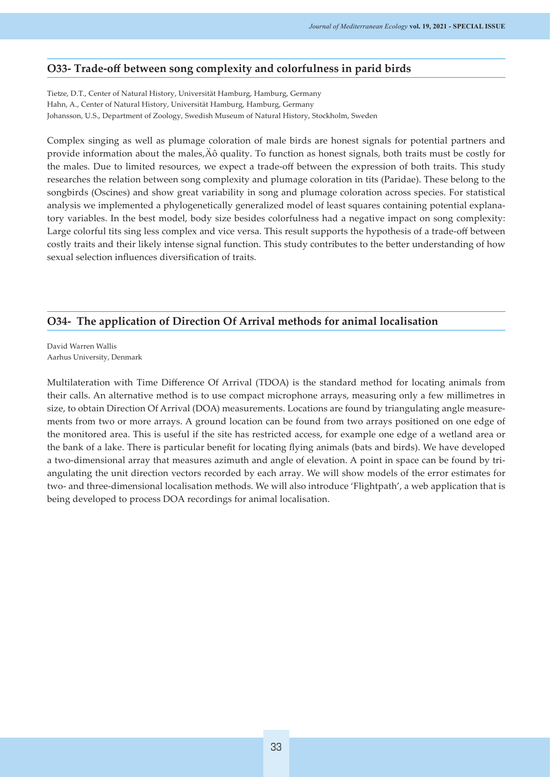#### **O33- Trade-off between song complexity and colorfulness in parid birds**

Tietze, D.T., Center of Natural History, Universität Hamburg, Hamburg, Germany Hahn, A., Center of Natural History, Universität Hamburg, Hamburg, Germany Johansson, U.S., Department of Zoology, Swedish Museum of Natural History, Stockholm, Sweden

Complex singing as well as plumage coloration of male birds are honest signals for potential partners and provide information about the males, $\hat{A} \hat{o}$  quality. To function as honest signals, both traits must be costly for the males. Due to limited resources, we expect a trade-off between the expression of both traits. This study researches the relation between song complexity and plumage coloration in tits (Paridae). These belong to the songbirds (Oscines) and show great variability in song and plumage coloration across species. For statistical analysis we implemented a phylogenetically generalized model of least squares containing potential explanatory variables. In the best model, body size besides colorfulness had a negative impact on song complexity: Large colorful tits sing less complex and vice versa. This result supports the hypothesis of a trade-off between costly traits and their likely intense signal function. This study contributes to the better understanding of how sexual selection influences diversification of traits.

#### **O34- The application of Direction Of Arrival methods for animal localisation**

David Warren Wallis Aarhus University, Denmark

Multilateration with Time Difference Of Arrival (TDOA) is the standard method for locating animals from their calls. An alternative method is to use compact microphone arrays, measuring only a few millimetres in size, to obtain Direction Of Arrival (DOA) measurements. Locations are found by triangulating angle measurements from two or more arrays. A ground location can be found from two arrays positioned on one edge of the monitored area. This is useful if the site has restricted access, for example one edge of a wetland area or the bank of a lake. There is particular benefit for locating flying animals (bats and birds). We have developed a two-dimensional array that measures azimuth and angle of elevation. A point in space can be found by triangulating the unit direction vectors recorded by each array. We will show models of the error estimates for two- and three-dimensional localisation methods. We will also introduce 'Flightpath', a web application that is being developed to process DOA recordings for animal localisation.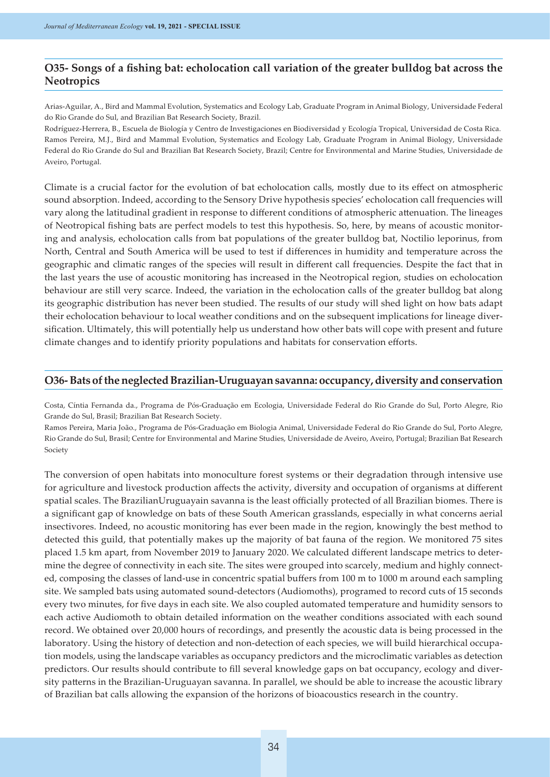#### **O35- Songs of a fishing bat: echolocation call variation of the greater bulldog bat across the Neotropics**

Arias-Aguilar, A., Bird and Mammal Evolution, Systematics and Ecology Lab, Graduate Program in Animal Biology, Universidade Federal do Rio Grande do Sul, and Brazilian Bat Research Society, Brazil.

Rodríguez-Herrera, B., Escuela de Biología y Centro de Investigaciones en Biodiversidad y Ecología Tropical, Universidad de Costa Rica. Ramos Pereira, M.J., Bird and Mammal Evolution, Systematics and Ecology Lab, Graduate Program in Animal Biology, Universidade Federal do Rio Grande do Sul and Brazilian Bat Research Society, Brazil; Centre for Environmental and Marine Studies, Universidade de Aveiro, Portugal.

Climate is a crucial factor for the evolution of bat echolocation calls, mostly due to its effect on atmospheric sound absorption. Indeed, according to the Sensory Drive hypothesis species' echolocation call frequencies will vary along the latitudinal gradient in response to different conditions of atmospheric attenuation. The lineages of Neotropical fishing bats are perfect models to test this hypothesis. So, here, by means of acoustic monitoring and analysis, echolocation calls from bat populations of the greater bulldog bat, Noctilio leporinus, from North, Central and South America will be used to test if differences in humidity and temperature across the geographic and climatic ranges of the species will result in different call frequencies. Despite the fact that in the last years the use of acoustic monitoring has increased in the Neotropical region, studies on echolocation behaviour are still very scarce. Indeed, the variation in the echolocation calls of the greater bulldog bat along its geographic distribution has never been studied. The results of our study will shed light on how bats adapt their echolocation behaviour to local weather conditions and on the subsequent implications for lineage diversification. Ultimately, this will potentially help us understand how other bats will cope with present and future climate changes and to identify priority populations and habitats for conservation efforts.

#### **O36- Bats of the neglected Brazilian-Uruguayan savanna: occupancy, diversity and conservation**

Costa, Cíntia Fernanda da., Programa de Pós-Graduação em Ecologia, Universidade Federal do Rio Grande do Sul, Porto Alegre, Rio Grande do Sul, Brasil; Brazilian Bat Research Society.

Ramos Pereira, Maria João., Programa de Pós-Graduação em Biologia Animal, Universidade Federal do Rio Grande do Sul, Porto Alegre, Rio Grande do Sul, Brasil; Centre for Environmental and Marine Studies, Universidade de Aveiro, Aveiro, Portugal; Brazilian Bat Research Society

The conversion of open habitats into monoculture forest systems or their degradation through intensive use for agriculture and livestock production affects the activity, diversity and occupation of organisms at different spatial scales. The BrazilianUruguayain savanna is the least officially protected of all Brazilian biomes. There is a significant gap of knowledge on bats of these South American grasslands, especially in what concerns aerial insectivores. Indeed, no acoustic monitoring has ever been made in the region, knowingly the best method to detected this guild, that potentially makes up the majority of bat fauna of the region. We monitored 75 sites placed 1.5 km apart, from November 2019 to January 2020. We calculated different landscape metrics to determine the degree of connectivity in each site. The sites were grouped into scarcely, medium and highly connected, composing the classes of land-use in concentric spatial buffers from 100 m to 1000 m around each sampling site. We sampled bats using automated sound-detectors (Audiomoths), programed to record cuts of 15 seconds every two minutes, for five days in each site. We also coupled automated temperature and humidity sensors to each active Audiomoth to obtain detailed information on the weather conditions associated with each sound record. We obtained over 20,000 hours of recordings, and presently the acoustic data is being processed in the laboratory. Using the history of detection and non-detection of each species, we will build hierarchical occupation models, using the landscape variables as occupancy predictors and the microclimatic variables as detection predictors. Our results should contribute to fill several knowledge gaps on bat occupancy, ecology and diversity patterns in the Brazilian-Uruguayan savanna. In parallel, we should be able to increase the acoustic library of Brazilian bat calls allowing the expansion of the horizons of bioacoustics research in the country.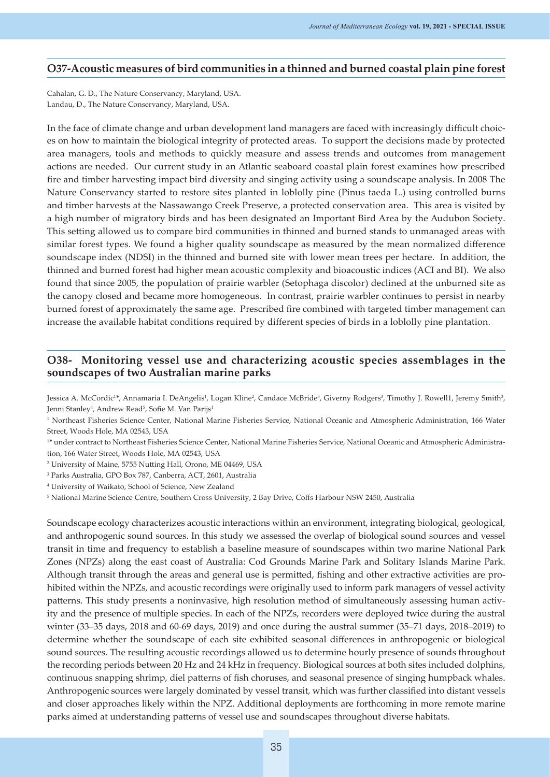#### **O37-Acoustic measures of bird communities in a thinned and burned coastal plain pine forest**

Cahalan, G. D., The Nature Conservancy, Maryland, USA. Landau, D., The Nature Conservancy, Maryland, USA.

In the face of climate change and urban development land managers are faced with increasingly difficult choices on how to maintain the biological integrity of protected areas. To support the decisions made by protected area managers, tools and methods to quickly measure and assess trends and outcomes from management actions are needed. Our current study in an Atlantic seaboard coastal plain forest examines how prescribed fire and timber harvesting impact bird diversity and singing activity using a soundscape analysis. In 2008 The Nature Conservancy started to restore sites planted in loblolly pine (Pinus taeda L.) using controlled burns and timber harvests at the Nassawango Creek Preserve, a protected conservation area. This area is visited by a high number of migratory birds and has been designated an Important Bird Area by the Audubon Society. This setting allowed us to compare bird communities in thinned and burned stands to unmanaged areas with similar forest types. We found a higher quality soundscape as measured by the mean normalized difference soundscape index (NDSI) in the thinned and burned site with lower mean trees per hectare. In addition, the thinned and burned forest had higher mean acoustic complexity and bioacoustic indices (ACI and BI). We also found that since 2005, the population of prairie warbler (Setophaga discolor) declined at the unburned site as the canopy closed and became more homogeneous. In contrast, prairie warbler continues to persist in nearby burned forest of approximately the same age. Prescribed fire combined with targeted timber management can increase the available habitat conditions required by different species of birds in a loblolly pine plantation.

#### **O38- Monitoring vessel use and characterizing acoustic species assemblages in the soundscapes of two Australian marine parks**

Jessica A. McCordic<sup>1</sup>\*, Annamaria I. DeAngelis<sup>1</sup>, Logan Kline<sup>2</sup>, Candace McBride<sup>3</sup>, Giverny Rodgers<sup>3</sup>, Timothy J. Rowell1, Jeremy Smith<sup>3</sup>, Jenni Stanley<sup>4</sup>, Andrew Read<sup>5</sup>, Sofie M. Van Parijs<sup>1</sup>

<sup>1</sup> Northeast Fisheries Science Center, National Marine Fisheries Service, National Oceanic and Atmospheric Administration, 166 Water Street, Woods Hole, MA 02543, USA

<sup>1\*</sup> under contract to Northeast Fisheries Science Center, National Marine Fisheries Service, National Oceanic and Atmospheric Administration, 166 Water Street, Woods Hole, MA 02543, USA

2 University of Maine, 5755 Nutting Hall, Orono, ME 04469, USA

3 Parks Australia, GPO Box 787, Canberra, ACT, 2601, Australia

4 University of Waikato, School of Science, New Zealand

5 National Marine Science Centre, Southern Cross University, 2 Bay Drive, Coffs Harbour NSW 2450, Australia

Soundscape ecology characterizes acoustic interactions within an environment, integrating biological, geological, and anthropogenic sound sources. In this study we assessed the overlap of biological sound sources and vessel transit in time and frequency to establish a baseline measure of soundscapes within two marine National Park Zones (NPZs) along the east coast of Australia: Cod Grounds Marine Park and Solitary Islands Marine Park. Although transit through the areas and general use is permitted, fishing and other extractive activities are prohibited within the NPZs, and acoustic recordings were originally used to inform park managers of vessel activity patterns. This study presents a noninvasive, high resolution method of simultaneously assessing human activity and the presence of multiple species. In each of the NPZs, recorders were deployed twice during the austral winter (33–35 days, 2018 and 60-69 days, 2019) and once during the austral summer (35–71 days, 2018–2019) to determine whether the soundscape of each site exhibited seasonal differences in anthropogenic or biological sound sources. The resulting acoustic recordings allowed us to determine hourly presence of sounds throughout the recording periods between 20 Hz and 24 kHz in frequency. Biological sources at both sites included dolphins, continuous snapping shrimp, diel patterns of fish choruses, and seasonal presence of singing humpback whales. Anthropogenic sources were largely dominated by vessel transit, which was further classified into distant vessels and closer approaches likely within the NPZ. Additional deployments are forthcoming in more remote marine parks aimed at understanding patterns of vessel use and soundscapes throughout diverse habitats.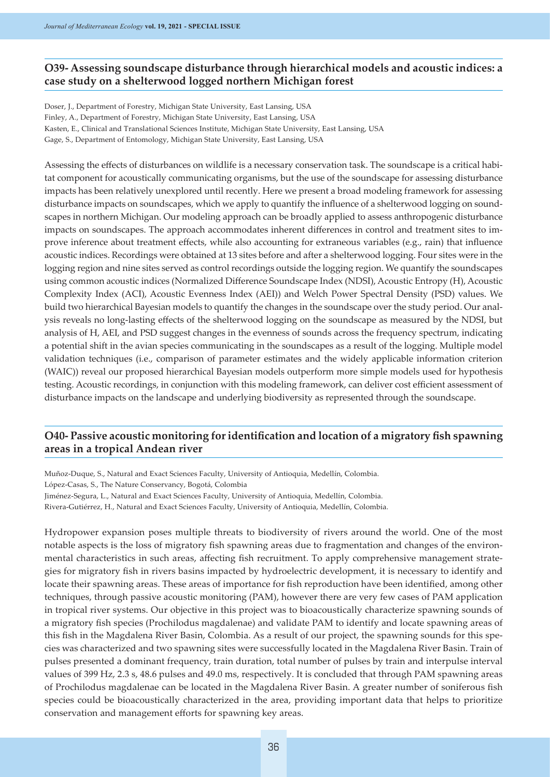#### **O39- Assessing soundscape disturbance through hierarchical models and acoustic indices: a case study on a shelterwood logged northern Michigan forest**

Doser, J., Department of Forestry, Michigan State University, East Lansing, USA Finley, A., Department of Forestry, Michigan State University, East Lansing, USA Kasten, E., Clinical and Translational Sciences Institute, Michigan State University, East Lansing, USA Gage, S., Department of Entomology, Michigan State University, East Lansing, USA

Assessing the effects of disturbances on wildlife is a necessary conservation task. The soundscape is a critical habitat component for acoustically communicating organisms, but the use of the soundscape for assessing disturbance impacts has been relatively unexplored until recently. Here we present a broad modeling framework for assessing disturbance impacts on soundscapes, which we apply to quantify the influence of a shelterwood logging on soundscapes in northern Michigan. Our modeling approach can be broadly applied to assess anthropogenic disturbance impacts on soundscapes. The approach accommodates inherent differences in control and treatment sites to improve inference about treatment effects, while also accounting for extraneous variables (e.g., rain) that influence acoustic indices. Recordings were obtained at 13 sites before and after a shelterwood logging. Four sites were in the logging region and nine sites served as control recordings outside the logging region. We quantify the soundscapes using common acoustic indices (Normalized Difference Soundscape Index (NDSI), Acoustic Entropy (H), Acoustic Complexity Index (ACI), Acoustic Evenness Index (AEI)) and Welch Power Spectral Density (PSD) values. We build two hierarchical Bayesian models to quantify the changes in the soundscape over the study period. Our analysis reveals no long-lasting effects of the shelterwood logging on the soundscape as measured by the NDSI, but analysis of H, AEI, and PSD suggest changes in the evenness of sounds across the frequency spectrum, indicating a potential shift in the avian species communicating in the soundscapes as a result of the logging. Multiple model validation techniques (i.e., comparison of parameter estimates and the widely applicable information criterion (WAIC)) reveal our proposed hierarchical Bayesian models outperform more simple models used for hypothesis testing. Acoustic recordings, in conjunction with this modeling framework, can deliver cost efficient assessment of disturbance impacts on the landscape and underlying biodiversity as represented through the soundscape.

#### **O40- Passive acoustic monitoring for identification and location of a migratory fish spawning areas in a tropical Andean river**

Muñoz-Duque, S., Natural and Exact Sciences Faculty, University of Antioquia, Medellín, Colombia. López-Casas, S., The Nature Conservancy, Bogotá, Colombia Jiménez-Segura, L., Natural and Exact Sciences Faculty, University of Antioquia, Medellín, Colombia. Rivera-Gutiérrez, H., Natural and Exact Sciences Faculty, University of Antioquia, Medellín, Colombia.

Hydropower expansion poses multiple threats to biodiversity of rivers around the world. One of the most notable aspects is the loss of migratory fish spawning areas due to fragmentation and changes of the environmental characteristics in such areas, affecting fish recruitment. To apply comprehensive management strategies for migratory fish in rivers basins impacted by hydroelectric development, it is necessary to identify and locate their spawning areas. These areas of importance for fish reproduction have been identified, among other techniques, through passive acoustic monitoring (PAM), however there are very few cases of PAM application in tropical river systems. Our objective in this project was to bioacoustically characterize spawning sounds of a migratory fish species (Prochilodus magdalenae) and validate PAM to identify and locate spawning areas of this fish in the Magdalena River Basin, Colombia. As a result of our project, the spawning sounds for this species was characterized and two spawning sites were successfully located in the Magdalena River Basin. Train of pulses presented a dominant frequency, train duration, total number of pulses by train and interpulse interval values of 399 Hz, 2.3 s, 48.6 pulses and 49.0 ms, respectively. It is concluded that through PAM spawning areas of Prochilodus magdalenae can be located in the Magdalena River Basin. A greater number of soniferous fish species could be bioacoustically characterized in the area, providing important data that helps to prioritize conservation and management efforts for spawning key areas.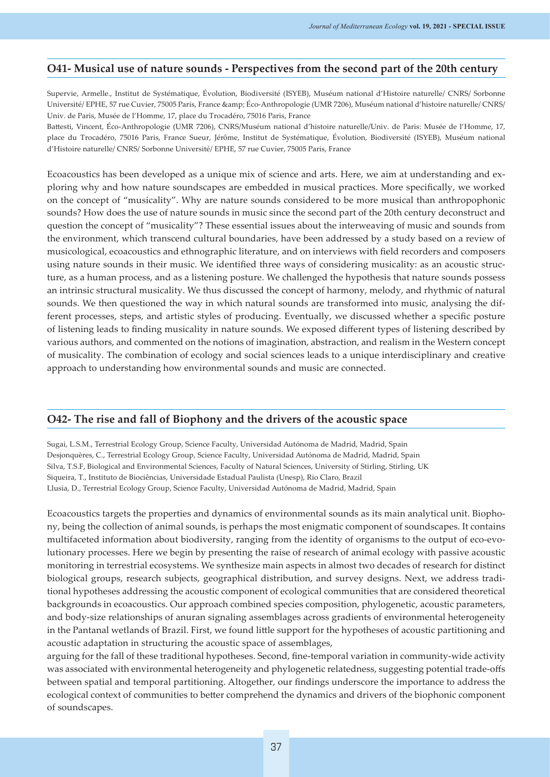#### **O41- Musical use of nature sounds - Perspectives from the second part of the 20th century**

Supervie, Armelle., Institut de Systématique, Évolution, Biodiversité (ISYEB), Muséum national d'Histoire naturelle/ CNRS/ Sorbonne Université/ EPHE, 57 rue Cuvier, 75005 Paris, France & amp; Éco-Anthropologie (UMR 7206), Muséum national d'histoire naturelle/ CNRS/ Univ. de Paris, Musée de l'Homme, 17, place du Trocadéro, 75016 Paris, France

Battesti, Vincent, Éco-Anthropologie (UMR 7206), CNRS/Muséum national d'histoire naturelle/Univ. de Paris: Musée de l'Homme, 17, place du Trocadéro, 75016 Paris, France Sueur, Jérôme, Institut de Systématique, Évolution, Biodiversité (ISYEB), Muséum national d'Histoire naturelle/ CNRS/ Sorbonne Université/ EPHE, 57 rue Cuvier, 75005 Paris, France

Ecoacoustics has been developed as a unique mix of science and arts. Here, we aim at understanding and exploring why and how nature soundscapes are embedded in musical practices. More specifically, we worked on the concept of "musicality". Why are nature sounds considered to be more musical than anthropophonic sounds? How does the use of nature sounds in music since the second part of the 20th century deconstruct and question the concept of "musicality"? These essential issues about the interweaving of music and sounds from the environment, which transcend cultural boundaries, have been addressed by a study based on a review of musicological, ecoacoustics and ethnographic literature, and on interviews with field recorders and composers using nature sounds in their music. We identified three ways of considering musicality: as an acoustic structure, as a human process, and as a listening posture. We challenged the hypothesis that nature sounds possess an intrinsic structural musicality. We thus discussed the concept of harmony, melody, and rhythmic of natural sounds. We then questioned the way in which natural sounds are transformed into music, analysing the different processes, steps, and artistic styles of producing. Eventually, we discussed whether a specific posture of listening leads to finding musicality in nature sounds. We exposed different types of listening described by various authors, and commented on the notions of imagination, abstraction, and realism in the Western concept of musicality. The combination of ecology and social sciences leads to a unique interdisciplinary and creative approach to understanding how environmental sounds and music are connected.

#### **O42- The rise and fall of Biophony and the drivers of the acoustic space**

Sugai, L.S.M., Terrestrial Ecology Group, Science Faculty, Universidad Autónoma de Madrid, Madrid, Spain Desjonquères, C., Terrestrial Ecology Group, Science Faculty, Universidad Autónoma de Madrid, Madrid, Spain Silva, T.S.F, Biological and Environmental Sciences, Faculty of Natural Sciences, University of Stirling, Stirling, UK Siqueira, T., Instituto de Biociências, Universidade Estadual Paulista (Unesp), Rio Claro, Brazil Llusia, D., Terrestrial Ecology Group, Science Faculty, Universidad Autónoma de Madrid, Madrid, Spain

Ecoacoustics targets the properties and dynamics of environmental sounds as its main analytical unit. Biophony, being the collection of animal sounds, is perhaps the most enigmatic component of soundscapes. It contains multifaceted information about biodiversity, ranging from the identity of organisms to the output of eco-evolutionary processes. Here we begin by presenting the raise of research of animal ecology with passive acoustic monitoring in terrestrial ecosystems. We synthesize main aspects in almost two decades of research for distinct biological groups, research subjects, geographical distribution, and survey designs. Next, we address traditional hypotheses addressing the acoustic component of ecological communities that are considered theoretical backgrounds in ecoacoustics. Our approach combined species composition, phylogenetic, acoustic parameters, and body-size relationships of anuran signaling assemblages across gradients of environmental heterogeneity in the Pantanal wetlands of Brazil. First, we found little support for the hypotheses of acoustic partitioning and acoustic adaptation in structuring the acoustic space of assemblages,

arguing for the fall of these traditional hypotheses. Second, fine-temporal variation in community-wide activity was associated with environmental heterogeneity and phylogenetic relatedness, suggesting potential trade-offs between spatial and temporal partitioning. Altogether, our findings underscore the importance to address the ecological context of communities to better comprehend the dynamics and drivers of the biophonic component of soundscapes.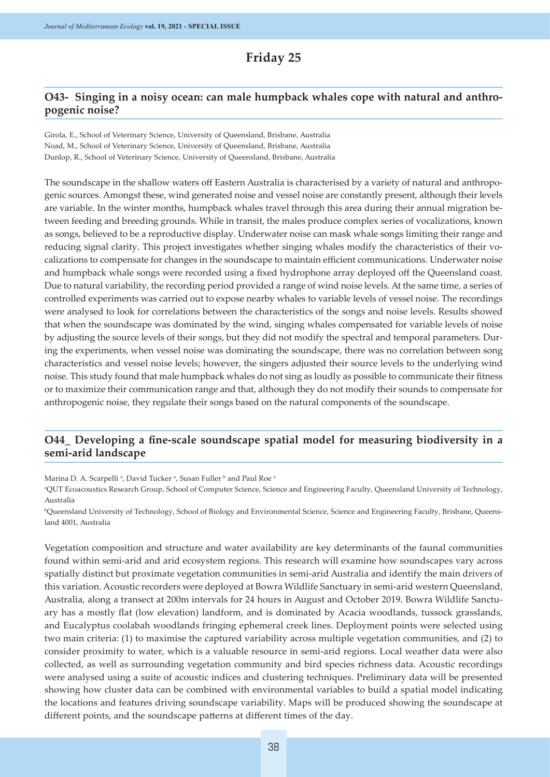### **Friday 25**

#### **O43- Singing in a noisy ocean: can male humpback whales cope with natural and anthropogenic noise?**

Girola, E., School of Veterinary Science, University of Queensland, Brisbane, Australia Noad, M., School of Veterinary Science, University of Queensland, Brisbane, Australia Dunlop, R., School of Veterinary Science, University of Queensland, Brisbane, Australia

The soundscape in the shallow waters off Eastern Australia is characterised by a variety of natural and anthropogenic sources. Amongst these, wind generated noise and vessel noise are constantly present, although their levels are variable. In the winter months, humpback whales travel through this area during their annual migration between feeding and breeding grounds. While in transit, the males produce complex series of vocalizations, known as songs, believed to be a reproductive display. Underwater noise can mask whale songs limiting their range and reducing signal clarity. This project investigates whether singing whales modify the characteristics of their vocalizations to compensate for changes in the soundscape to maintain efficient communications. Underwater noise and humpback whale songs were recorded using a fixed hydrophone array deployed off the Queensland coast. Due to natural variability, the recording period provided a range of wind noise levels. At the same time, a series of controlled experiments was carried out to expose nearby whales to variable levels of vessel noise. The recordings were analysed to look for correlations between the characteristics of the songs and noise levels. Results showed that when the soundscape was dominated by the wind, singing whales compensated for variable levels of noise by adjusting the source levels of their songs, but they did not modify the spectral and temporal parameters. During the experiments, when vessel noise was dominating the soundscape, there was no correlation between song characteristics and vessel noise levels; however, the singers adjusted their source levels to the underlying wind noise. This study found that male humpback whales do not sing as loudly as possible to communicate their fitness or to maximize their communication range and that, although they do not modify their sounds to compensate for anthropogenic noise, they regulate their songs based on the natural components of the soundscape.

#### **O44\_ Developing a fine-scale soundscape spatial model for measuring biodiversity in a semi-arid landscape**

Marina D. A. Scarpelli <sup>a</sup>, David Tucker <sup>a</sup>, Susan Fuller <sup>b</sup> and Paul Roe <sup>a</sup>

a QUT Ecoacoustics Research Group, School of Computer Science, Science and Engineering Faculty, Queensland University of Technology, Australia

b Queensland University of Technology, School of Biology and Environmental Science, Science and Engineering Faculty, Brisbane, Queensland 4001, Australia

Vegetation composition and structure and water availability are key determinants of the faunal communities found within semi-arid and arid ecosystem regions. This research will examine how soundscapes vary across spatially distinct but proximate vegetation communities in semi-arid Australia and identify the main drivers of this variation. Acoustic recorders were deployed at Bowra Wildlife Sanctuary in semi-arid western Queensland, Australia, along a transect at 200m intervals for 24 hours in August and October 2019. Bowra Wildlife Sanctuary has a mostly flat (low elevation) landform, and is dominated by Acacia woodlands, tussock grasslands, and Eucalyptus coolabah woodlands fringing ephemeral creek lines. Deployment points were selected using two main criteria: (1) to maximise the captured variability across multiple vegetation communities, and (2) to consider proximity to water, which is a valuable resource in semi-arid regions. Local weather data were also collected, as well as surrounding vegetation community and bird species richness data. Acoustic recordings were analysed using a suite of acoustic indices and clustering techniques. Preliminary data will be presented showing how cluster data can be combined with environmental variables to build a spatial model indicating the locations and features driving soundscape variability. Maps will be produced showing the soundscape at different points, and the soundscape patterns at different times of the day.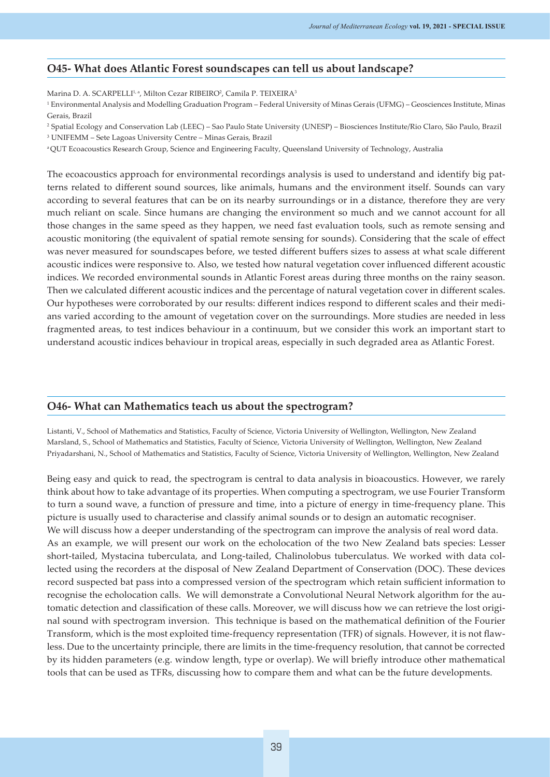#### **O45- What does Atlantic Forest soundscapes can tell us about landscape?**

Marina D. A. SCARPELLI<sup>1, a</sup>, Milton Cezar RIBEIRO<sup>2</sup>, Camila P. TEIXEIRA<sup>3</sup>

1 Environmental Analysis and Modelling Graduation Program – Federal University of Minas Gerais (UFMG) – Geosciences Institute, Minas Gerais, Brazil

2 Spatial Ecology and Conservation Lab (LEEC) – Sao Paulo State University (UNESP) – Biosciences Institute/Rio Claro, São Paulo, Brazil

3 UNIFEMM – Sete Lagoas University Centre – Minas Gerais, Brazil

a QUT Ecoacoustics Research Group, Science and Engineering Faculty, Queensland University of Technology, Australia

The ecoacoustics approach for environmental recordings analysis is used to understand and identify big patterns related to different sound sources, like animals, humans and the environment itself. Sounds can vary according to several features that can be on its nearby surroundings or in a distance, therefore they are very much reliant on scale. Since humans are changing the environment so much and we cannot account for all those changes in the same speed as they happen, we need fast evaluation tools, such as remote sensing and acoustic monitoring (the equivalent of spatial remote sensing for sounds). Considering that the scale of effect was never measured for soundscapes before, we tested different buffers sizes to assess at what scale different acoustic indices were responsive to. Also, we tested how natural vegetation cover influenced different acoustic indices. We recorded environmental sounds in Atlantic Forest areas during three months on the rainy season. Then we calculated different acoustic indices and the percentage of natural vegetation cover in different scales. Our hypotheses were corroborated by our results: different indices respond to different scales and their medians varied according to the amount of vegetation cover on the surroundings. More studies are needed in less fragmented areas, to test indices behaviour in a continuum, but we consider this work an important start to understand acoustic indices behaviour in tropical areas, especially in such degraded area as Atlantic Forest.

#### **O46- What can Mathematics teach us about the spectrogram?**

Listanti, V., School of Mathematics and Statistics, Faculty of Science, Victoria University of Wellington, Wellington, New Zealand Marsland, S., School of Mathematics and Statistics, Faculty of Science, Victoria University of Wellington, Wellington, New Zealand Priyadarshani, N., School of Mathematics and Statistics, Faculty of Science, Victoria University of Wellington, Wellington, New Zealand

Being easy and quick to read, the spectrogram is central to data analysis in bioacoustics. However, we rarely think about how to take advantage of its properties. When computing a spectrogram, we use Fourier Transform to turn a sound wave, a function of pressure and time, into a picture of energy in time-frequency plane. This picture is usually used to characterise and classify animal sounds or to design an automatic recogniser. We will discuss how a deeper understanding of the spectrogram can improve the analysis of real word data. As an example, we will present our work on the echolocation of the two New Zealand bats species: Lesser short-tailed, Mystacina tuberculata, and Long-tailed, Chalinolobus tuberculatus. We worked with data collected using the recorders at the disposal of New Zealand Department of Conservation (DOC). These devices record suspected bat pass into a compressed version of the spectrogram which retain sufficient information to recognise the echolocation calls. We will demonstrate a Convolutional Neural Network algorithm for the automatic detection and classification of these calls. Moreover, we will discuss how we can retrieve the lost original sound with spectrogram inversion. This technique is based on the mathematical definition of the Fourier Transform, which is the most exploited time-frequency representation (TFR) of signals. However, it is not flawless. Due to the uncertainty principle, there are limits in the time-frequency resolution, that cannot be corrected by its hidden parameters (e.g. window length, type or overlap). We will briefly introduce other mathematical tools that can be used as TFRs, discussing how to compare them and what can be the future developments.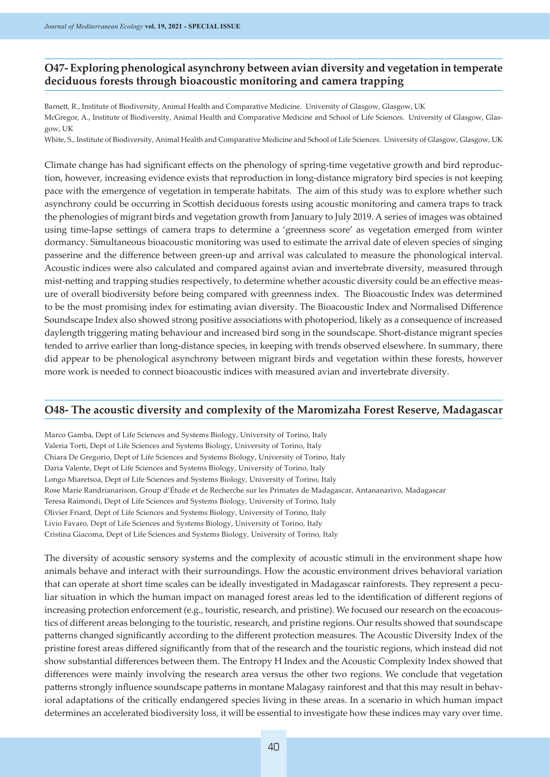#### **O47- Exploring phenological asynchrony between avian diversity and vegetation in temperate deciduous forests through bioacoustic monitoring and camera trapping**

Barnett, R., Institute of Biodiversity, Animal Health and Comparative Medicine. University of Glasgow, Glasgow, UK McGregor, A., Institute of Biodiversity, Animal Health and Comparative Medicine and School of Life Sciences. University of Glasgow, Glasgow, UK

White, S., Institute of Biodiversity, Animal Health and Comparative Medicine and School of Life Sciences. University of Glasgow, Glasgow, UK

Climate change has had significant effects on the phenology of spring-time vegetative growth and bird reproduction, however, increasing evidence exists that reproduction in long-distance migratory bird species is not keeping pace with the emergence of vegetation in temperate habitats. The aim of this study was to explore whether such asynchrony could be occurring in Scottish deciduous forests using acoustic monitoring and camera traps to track the phenologies of migrant birds and vegetation growth from January to July 2019. A series of images was obtained using time-lapse settings of camera traps to determine a 'greenness score' as vegetation emerged from winter dormancy. Simultaneous bioacoustic monitoring was used to estimate the arrival date of eleven species of singing passerine and the difference between green-up and arrival was calculated to measure the phonological interval. Acoustic indices were also calculated and compared against avian and invertebrate diversity, measured through mist-netting and trapping studies respectively, to determine whether acoustic diversity could be an effective measure of overall biodiversity before being compared with greenness index. The Bioacoustic Index was determined to be the most promising index for estimating avian diversity. The Bioacoustic Index and Normalised Difference Soundscape Index also showed strong positive associations with photoperiod, likely as a consequence of increased daylength triggering mating behaviour and increased bird song in the soundscape. Short-distance migrant species tended to arrive earlier than long-distance species, in keeping with trends observed elsewhere. In summary, there did appear to be phenological asynchrony between migrant birds and vegetation within these forests, however more work is needed to connect bioacoustic indices with measured avian and invertebrate diversity.

#### **O48- The acoustic diversity and complexity of the Maromizaha Forest Reserve, Madagascar**

Marco Gamba, Dept of Life Sciences and Systems Biology, University of Torino, Italy Valeria Torti, Dept of Life Sciences and Systems Biology, University of Torino, Italy Chiara De Gregorio, Dept of Life Sciences and Systems Biology, University of Torino, Italy Daria Valente, Dept of Life Sciences and Systems Biology, University of Torino, Italy Longo Miaretsoa, Dept of Life Sciences and Systems Biology, University of Torino, Italy Rose Marie Randrianarison, Group d'Étude et de Recherche sur les Primates de Madagascar, Antananarivo, Madagascar Teresa Raimondi, Dept of Life Sciences and Systems Biology, University of Torino, Italy Olivier Friard, Dept of Life Sciences and Systems Biology, University of Torino, Italy Livio Favaro, Dept of Life Sciences and Systems Biology, University of Torino, Italy Cristina Giacoma, Dept of Life Sciences and Systems Biology, University of Torino, Italy

The diversity of acoustic sensory systems and the complexity of acoustic stimuli in the environment shape how animals behave and interact with their surroundings. How the acoustic environment drives behavioral variation that can operate at short time scales can be ideally investigated in Madagascar rainforests. They represent a peculiar situation in which the human impact on managed forest areas led to the identification of different regions of increasing protection enforcement (e.g., touristic, research, and pristine). We focused our research on the ecoacoustics of different areas belonging to the touristic, research, and pristine regions. Our results showed that soundscape patterns changed significantly according to the different protection measures. The Acoustic Diversity Index of the pristine forest areas differed significantly from that of the research and the touristic regions, which instead did not show substantial differences between them. The Entropy H Index and the Acoustic Complexity Index showed that differences were mainly involving the research area versus the other two regions. We conclude that vegetation patterns strongly influence soundscape patterns in montane Malagasy rainforest and that this may result in behavioral adaptations of the critically endangered species living in these areas. In a scenario in which human impact determines an accelerated biodiversity loss, it will be essential to investigate how these indices may vary over time.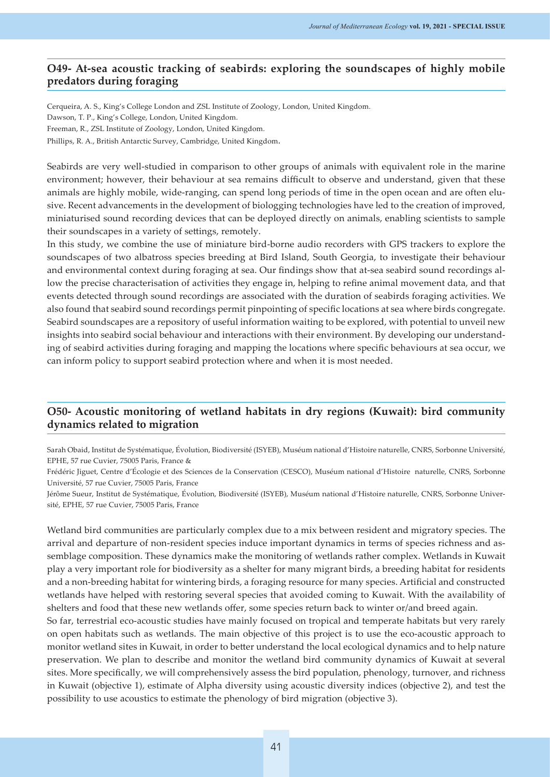#### **O49- At-sea acoustic tracking of seabirds: exploring the soundscapes of highly mobile predators during foraging**

Cerqueira, A. S., King's College London and ZSL Institute of Zoology, London, United Kingdom. Dawson, T. P., King's College, London, United Kingdom. Freeman, R., ZSL Institute of Zoology, London, United Kingdom. Phillips, R. A., British Antarctic Survey, Cambridge, United Kingdom.

Seabirds are very well-studied in comparison to other groups of animals with equivalent role in the marine environment; however, their behaviour at sea remains difficult to observe and understand, given that these animals are highly mobile, wide-ranging, can spend long periods of time in the open ocean and are often elusive. Recent advancements in the development of biologging technologies have led to the creation of improved, miniaturised sound recording devices that can be deployed directly on animals, enabling scientists to sample their soundscapes in a variety of settings, remotely.

In this study, we combine the use of miniature bird-borne audio recorders with GPS trackers to explore the soundscapes of two albatross species breeding at Bird Island, South Georgia, to investigate their behaviour and environmental context during foraging at sea. Our findings show that at-sea seabird sound recordings allow the precise characterisation of activities they engage in, helping to refine animal movement data, and that events detected through sound recordings are associated with the duration of seabirds foraging activities. We also found that seabird sound recordings permit pinpointing of specific locations at sea where birds congregate. Seabird soundscapes are a repository of useful information waiting to be explored, with potential to unveil new insights into seabird social behaviour and interactions with their environment. By developing our understanding of seabird activities during foraging and mapping the locations where specific behaviours at sea occur, we can inform policy to support seabird protection where and when it is most needed.

#### **O50- Acoustic monitoring of wetland habitats in dry regions (Kuwait): bird community dynamics related to migration**

Sarah Obaid, Institut de Systématique, Évolution, Biodiversité (ISYEB), Muséum national d'Histoire naturelle, CNRS, Sorbonne Université, EPHE, 57 rue Cuvier, 75005 Paris, France &

Frédéric Jiguet, Centre d'Écologie et des Sciences de la Conservation (CESCO), Muséum national d'Histoire naturelle, CNRS, Sorbonne Université, 57 rue Cuvier, 75005 Paris, France

Jérôme Sueur, Institut de Systématique, Évolution, Biodiversité (ISYEB), Muséum national d'Histoire naturelle, CNRS, Sorbonne Université, EPHE, 57 rue Cuvier, 75005 Paris, France

Wetland bird communities are particularly complex due to a mix between resident and migratory species. The arrival and departure of non-resident species induce important dynamics in terms of species richness and assemblage composition. These dynamics make the monitoring of wetlands rather complex. Wetlands in Kuwait play a very important role for biodiversity as a shelter for many migrant birds, a breeding habitat for residents and a non-breeding habitat for wintering birds, a foraging resource for many species. Artificial and constructed wetlands have helped with restoring several species that avoided coming to Kuwait. With the availability of shelters and food that these new wetlands offer, some species return back to winter or/and breed again.

So far, terrestrial eco-acoustic studies have mainly focused on tropical and temperate habitats but very rarely on open habitats such as wetlands. The main objective of this project is to use the eco-acoustic approach to monitor wetland sites in Kuwait, in order to better understand the local ecological dynamics and to help nature preservation. We plan to describe and monitor the wetland bird community dynamics of Kuwait at several sites. More specifically, we will comprehensively assess the bird population, phenology, turnover, and richness in Kuwait (objective 1), estimate of Alpha diversity using acoustic diversity indices (objective 2), and test the possibility to use acoustics to estimate the phenology of bird migration (objective 3).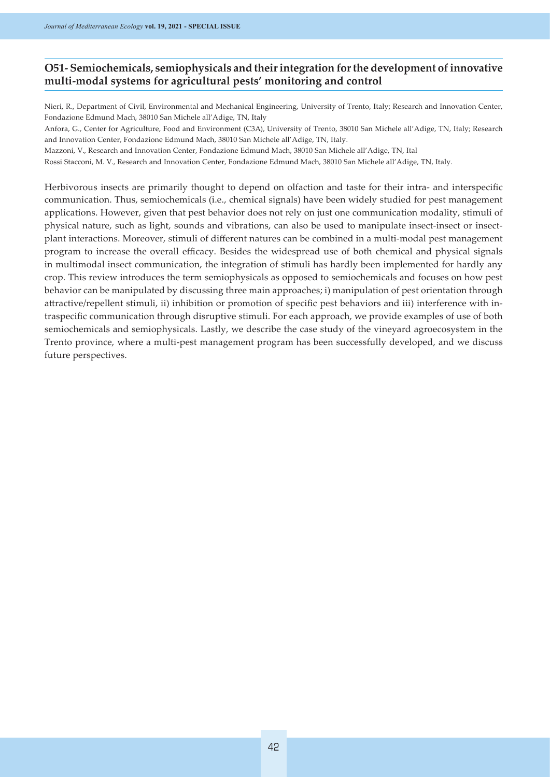#### **O51- Semiochemicals, semiophysicals and their integration for the development of innovative multi-modal systems for agricultural pests' monitoring and control**

Nieri, R., Department of Civil, Environmental and Mechanical Engineering, University of Trento, Italy; Research and Innovation Center, Fondazione Edmund Mach, 38010 San Michele all'Adige, TN, Italy

Anfora, G., Center for Agriculture, Food and Environment (C3A), University of Trento, 38010 San Michele all'Adige, TN, Italy; Research and Innovation Center, Fondazione Edmund Mach, 38010 San Michele all'Adige, TN, Italy.

Mazzoni, V., Research and Innovation Center, Fondazione Edmund Mach, 38010 San Michele all'Adige, TN, Ital

Rossi Stacconi, M. V., Research and Innovation Center, Fondazione Edmund Mach, 38010 San Michele all'Adige, TN, Italy.

Herbivorous insects are primarily thought to depend on olfaction and taste for their intra- and interspecific communication. Thus, semiochemicals (i.e., chemical signals) have been widely studied for pest management applications. However, given that pest behavior does not rely on just one communication modality, stimuli of physical nature, such as light, sounds and vibrations, can also be used to manipulate insect-insect or insectplant interactions. Moreover, stimuli of different natures can be combined in a multi-modal pest management program to increase the overall efficacy. Besides the widespread use of both chemical and physical signals in multimodal insect communication, the integration of stimuli has hardly been implemented for hardly any crop. This review introduces the term semiophysicals as opposed to semiochemicals and focuses on how pest behavior can be manipulated by discussing three main approaches; i) manipulation of pest orientation through attractive/repellent stimuli, ii) inhibition or promotion of specific pest behaviors and iii) interference with intraspecific communication through disruptive stimuli. For each approach, we provide examples of use of both semiochemicals and semiophysicals. Lastly, we describe the case study of the vineyard agroecosystem in the Trento province, where a multi-pest management program has been successfully developed, and we discuss future perspectives.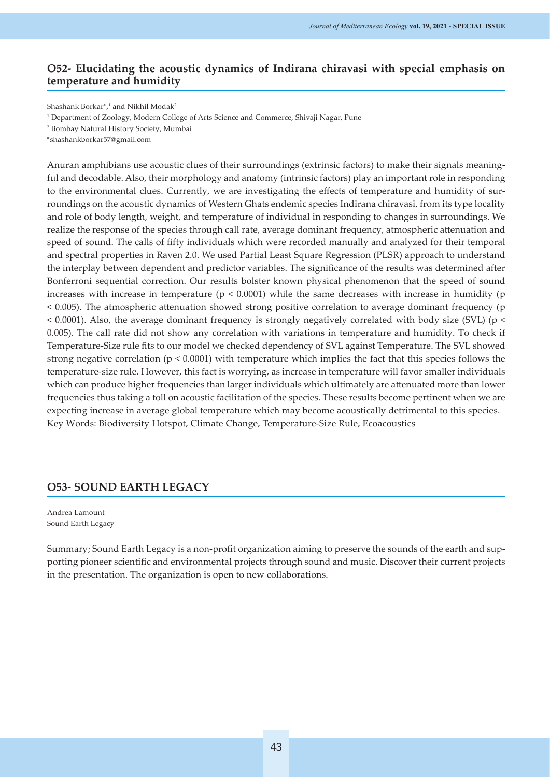#### **O52- Elucidating the acoustic dynamics of Indirana chiravasi with special emphasis on temperature and humidity**

Shashank Borkar<sup>\*,1</sup> and Nikhil Modak<sup>2</sup>

2 Bombay Natural History Society, Mumbai

Anuran amphibians use acoustic clues of their surroundings (extrinsic factors) to make their signals meaningful and decodable. Also, their morphology and anatomy (intrinsic factors) play an important role in responding to the environmental clues. Currently, we are investigating the effects of temperature and humidity of surroundings on the acoustic dynamics of Western Ghats endemic species Indirana chiravasi, from its type locality and role of body length, weight, and temperature of individual in responding to changes in surroundings. We realize the response of the species through call rate, average dominant frequency, atmospheric attenuation and speed of sound. The calls of fifty individuals which were recorded manually and analyzed for their temporal and spectral properties in Raven 2.0. We used Partial Least Square Regression (PLSR) approach to understand the interplay between dependent and predictor variables. The significance of the results was determined after Bonferroni sequential correction. Our results bolster known physical phenomenon that the speed of sound increases with increase in temperature ( $p < 0.0001$ ) while the same decreases with increase in humidity ( $p$ ) < 0.005). The atmospheric attenuation showed strong positive correlation to average dominant frequency (p  $< 0.0001$ ). Also, the average dominant frequency is strongly negatively correlated with body size (SVL) (p  $<$ 0.005). The call rate did not show any correlation with variations in temperature and humidity. To check if Temperature-Size rule fits to our model we checked dependency of SVL against Temperature. The SVL showed strong negative correlation ( $p < 0.0001$ ) with temperature which implies the fact that this species follows the temperature-size rule. However, this fact is worrying, as increase in temperature will favor smaller individuals which can produce higher frequencies than larger individuals which ultimately are attenuated more than lower frequencies thus taking a toll on acoustic facilitation of the species. These results become pertinent when we are expecting increase in average global temperature which may become acoustically detrimental to this species. Key Words: Biodiversity Hotspot, Climate Change, Temperature-Size Rule, Ecoacoustics

#### **O53- SOUND EARTH LEGACY**

Andrea Lamount Sound Earth Legacy

Summary; Sound Earth Legacy is a non-profit organization aiming to preserve the sounds of the earth and supporting pioneer scientific and environmental projects through sound and music. Discover their current projects in the presentation. The organization is open to new collaborations.

<sup>1</sup> Department of Zoology, Modern College of Arts Science and Commerce, Shivaji Nagar, Pune

<sup>\*</sup>shashankborkar57@gmail.com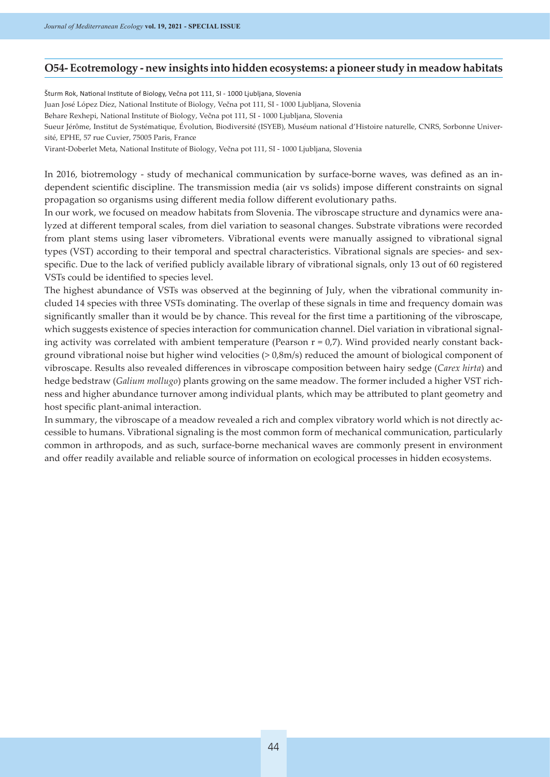#### **O54- Ecotremology - new insights into hidden ecosystems: a pioneer study in meadow habitats**

Šturm Rok, National Institute of Biology, Večna pot 111, SI - 1000 Ljubljana, Slovenia Juan José López Díez, National Institute of Biology, Večna pot 111, SI - 1000 Ljubljana, Slovenia Behare Rexhepi, National Institute of Biology, Večna pot 111, SI - 1000 Ljubljana, Slovenia Sueur Jérôme, Institut de Systématique, Évolution, Biodiversité (ISYEB), Muséum national d'Histoire naturelle, CNRS, Sorbonne Université, EPHE, 57 rue Cuvier, 75005 Paris, France Virant-Doberlet Meta, National Institute of Biology, Večna pot 111, SI - 1000 Ljubljana, Slovenia

In 2016, biotremology - study of mechanical communication by surface-borne waves, was defined as an independent scientific discipline. The transmission media (air vs solids) impose different constraints on signal propagation so organisms using different media follow different evolutionary paths.

In our work, we focused on meadow habitats from Slovenia. The vibroscape structure and dynamics were analyzed at different temporal scales, from diel variation to seasonal changes. Substrate vibrations were recorded from plant stems using laser vibrometers. Vibrational events were manually assigned to vibrational signal types (VST) according to their temporal and spectral characteristics. Vibrational signals are species- and sexspecific. Due to the lack of verified publicly available library of vibrational signals, only 13 out of 60 registered VSTs could be identified to species level.

The highest abundance of VSTs was observed at the beginning of July, when the vibrational community included 14 species with three VSTs dominating. The overlap of these signals in time and frequency domain was significantly smaller than it would be by chance. This reveal for the first time a partitioning of the vibroscape, which suggests existence of species interaction for communication channel. Diel variation in vibrational signaling activity was correlated with ambient temperature (Pearson  $r = 0.7$ ). Wind provided nearly constant background vibrational noise but higher wind velocities (> 0,8m/s) reduced the amount of biological component of vibroscape. Results also revealed differences in vibroscape composition between hairy sedge (*Carex hirta*) and hedge bedstraw (*Galium mollugo*) plants growing on the same meadow. The former included a higher VST richness and higher abundance turnover among individual plants, which may be attributed to plant geometry and host specific plant-animal interaction.

In summary, the vibroscape of a meadow revealed a rich and complex vibratory world which is not directly accessible to humans. Vibrational signaling is the most common form of mechanical communication, particularly common in arthropods, and as such, surface-borne mechanical waves are commonly present in environment and offer readily available and reliable source of information on ecological processes in hidden ecosystems.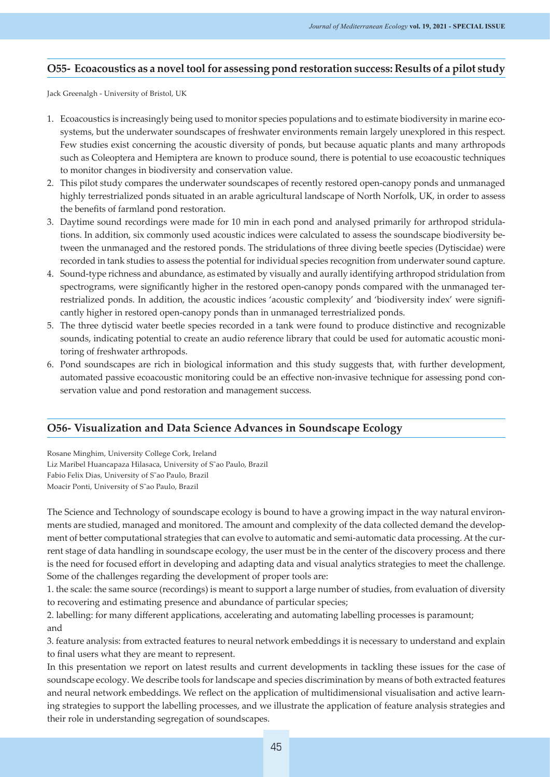#### **O55- Ecoacoustics as a novel tool for assessing pond restoration success: Results of a pilot study**

Jack Greenalgh - University of Bristol, UK

- 1. Ecoacoustics is increasingly being used to monitor species populations and to estimate biodiversity in marine ecosystems, but the underwater soundscapes of freshwater environments remain largely unexplored in this respect. Few studies exist concerning the acoustic diversity of ponds, but because aquatic plants and many arthropods such as Coleoptera and Hemiptera are known to produce sound, there is potential to use ecoacoustic techniques to monitor changes in biodiversity and conservation value.
- 2. This pilot study compares the underwater soundscapes of recently restored open-canopy ponds and unmanaged highly terrestrialized ponds situated in an arable agricultural landscape of North Norfolk, UK, in order to assess the benefits of farmland pond restoration.
- 3. Daytime sound recordings were made for 10 min in each pond and analysed primarily for arthropod stridulations. In addition, six commonly used acoustic indices were calculated to assess the soundscape biodiversity between the unmanaged and the restored ponds. The stridulations of three diving beetle species (Dytiscidae) were recorded in tank studies to assess the potential for individual species recognition from underwater sound capture.
- 4. Sound-type richness and abundance, as estimated by visually and aurally identifying arthropod stridulation from spectrograms, were significantly higher in the restored open-canopy ponds compared with the unmanaged terrestrialized ponds. In addition, the acoustic indices 'acoustic complexity' and 'biodiversity index' were significantly higher in restored open-canopy ponds than in unmanaged terrestrialized ponds.
- 5. The three dytiscid water beetle species recorded in a tank were found to produce distinctive and recognizable sounds, indicating potential to create an audio reference library that could be used for automatic acoustic monitoring of freshwater arthropods.
- 6. Pond soundscapes are rich in biological information and this study suggests that, with further development, automated passive ecoacoustic monitoring could be an effective non-invasive technique for assessing pond conservation value and pond restoration and management success.

#### **O56- Visualization and Data Science Advances in Soundscape Ecology**

Rosane Minghim, University College Cork, Ireland Liz Maribel Huancapaza Hilasaca, University of S˜ao Paulo, Brazil Fabio Felix Dias, University of S˜ao Paulo, Brazil Moacir Ponti, University of S˜ao Paulo, Brazil

The Science and Technology of soundscape ecology is bound to have a growing impact in the way natural environments are studied, managed and monitored. The amount and complexity of the data collected demand the development of better computational strategies that can evolve to automatic and semi-automatic data processing. At the current stage of data handling in soundscape ecology, the user must be in the center of the discovery process and there is the need for focused effort in developing and adapting data and visual analytics strategies to meet the challenge. Some of the challenges regarding the development of proper tools are:

1. the scale: the same source (recordings) is meant to support a large number of studies, from evaluation of diversity to recovering and estimating presence and abundance of particular species;

2. labelling: for many different applications, accelerating and automating labelling processes is paramount; and

3. feature analysis: from extracted features to neural network embeddings it is necessary to understand and explain to final users what they are meant to represent.

In this presentation we report on latest results and current developments in tackling these issues for the case of soundscape ecology. We describe tools for landscape and species discrimination by means of both extracted features and neural network embeddings. We reflect on the application of multidimensional visualisation and active learning strategies to support the labelling processes, and we illustrate the application of feature analysis strategies and their role in understanding segregation of soundscapes.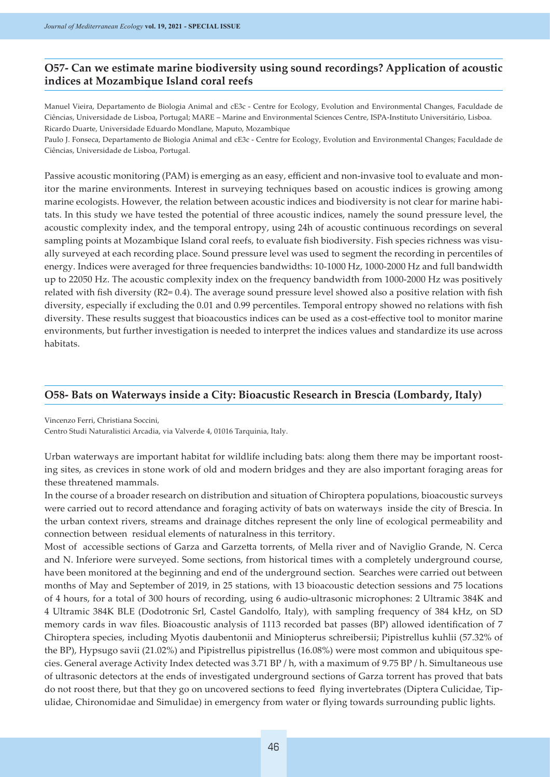#### **O57- Can we estimate marine biodiversity using sound recordings? Application of acoustic indices at Mozambique Island coral reefs**

Manuel Vieira, Departamento de Biologia Animal and cE3c - Centre for Ecology, Evolution and Environmental Changes, Faculdade de Ciências, Universidade de Lisboa, Portugal; MARE – Marine and Environmental Sciences Centre, ISPA-Instituto Universitário, Lisboa. Ricardo Duarte, Universidade Eduardo Mondlane, Maputo, Mozambique

Paulo J. Fonseca, Departamento de Biologia Animal and cE3c - Centre for Ecology, Evolution and Environmental Changes; Faculdade de Ciências, Universidade de Lisboa, Portugal.

Passive acoustic monitoring (PAM) is emerging as an easy, efficient and non-invasive tool to evaluate and monitor the marine environments. Interest in surveying techniques based on acoustic indices is growing among marine ecologists. However, the relation between acoustic indices and biodiversity is not clear for marine habitats. In this study we have tested the potential of three acoustic indices, namely the sound pressure level, the acoustic complexity index, and the temporal entropy, using 24h of acoustic continuous recordings on several sampling points at Mozambique Island coral reefs, to evaluate fish biodiversity. Fish species richness was visually surveyed at each recording place. Sound pressure level was used to segment the recording in percentiles of energy. Indices were averaged for three frequencies bandwidths: 10-1000 Hz, 1000-2000 Hz and full bandwidth up to 22050 Hz. The acoustic complexity index on the frequency bandwidth from 1000-2000 Hz was positively related with fish diversity (R2= 0.4). The average sound pressure level showed also a positive relation with fish diversity, especially if excluding the 0.01 and 0.99 percentiles. Temporal entropy showed no relations with fish diversity. These results suggest that bioacoustics indices can be used as a cost-effective tool to monitor marine environments, but further investigation is needed to interpret the indices values and standardize its use across habitats.

#### **O58- Bats on Waterways inside a City: Bioacustic Research in Brescia (Lombardy, Italy)**

Vincenzo Ferri, Christiana Soccini,

Centro Studi Naturalistici Arcadia, via Valverde 4, 01016 Tarquinia, Italy.

Urban waterways are important habitat for wildlife including bats: along them there may be important roosting sites, as crevices in stone work of old and modern bridges and they are also important foraging areas for these threatened mammals.

In the course of a broader research on distribution and situation of Chiroptera populations, bioacoustic surveys were carried out to record attendance and foraging activity of bats on waterways inside the city of Brescia. In the urban context rivers, streams and drainage ditches represent the only line of ecological permeability and connection between residual elements of naturalness in this territory.

Most of accessible sections of Garza and Garzetta torrents, of Mella river and of Naviglio Grande, N. Cerca and N. Inferiore were surveyed. Some sections, from historical times with a completely underground course, have been monitored at the beginning and end of the underground section. Searches were carried out between months of May and September of 2019, in 25 stations, with 13 bioacoustic detection sessions and 75 locations of 4 hours, for a total of 300 hours of recording, using 6 audio-ultrasonic microphones: 2 Ultramic 384K and 4 Ultramic 384K BLE (Dodotronic Srl, Castel Gandolfo, Italy), with sampling frequency of 384 kHz, on SD memory cards in wav files. Bioacoustic analysis of 1113 recorded bat passes (BP) allowed identification of 7 Chiroptera species, including Myotis daubentonii and Miniopterus schreibersii; Pipistrellus kuhlii (57.32% of the BP), Hypsugo savii (21.02%) and Pipistrellus pipistrellus (16.08%) were most common and ubiquitous species. General average Activity Index detected was 3.71 BP / h, with a maximum of 9.75 BP / h. Simultaneous use of ultrasonic detectors at the ends of investigated underground sections of Garza torrent has proved that bats do not roost there, but that they go on uncovered sections to feed flying invertebrates (Diptera Culicidae, Tipulidae, Chironomidae and Simulidae) in emergency from water or flying towards surrounding public lights.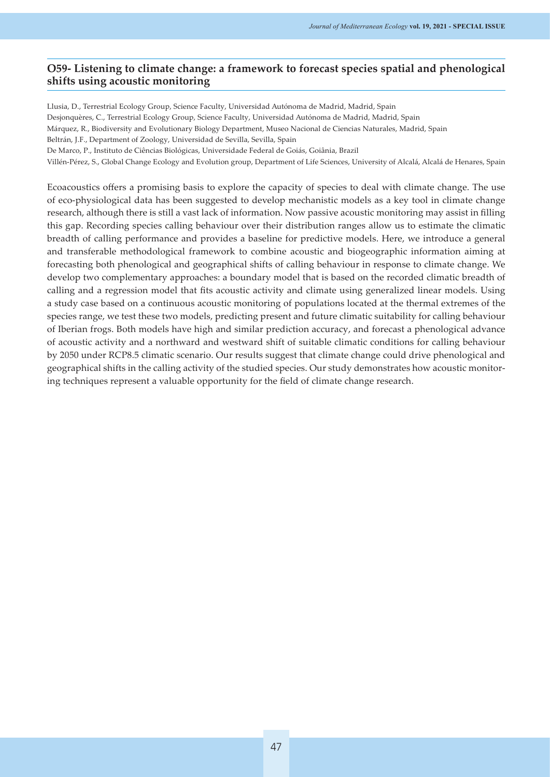#### **O59- Listening to climate change: a framework to forecast species spatial and phenological shifts using acoustic monitoring**

Llusia, D., Terrestrial Ecology Group, Science Faculty, Universidad Autónoma de Madrid, Madrid, Spain Desjonquères, C., Terrestrial Ecology Group, Science Faculty, Universidad Autónoma de Madrid, Madrid, Spain Márquez, R., Biodiversity and Evolutionary Biology Department, Museo Nacional de Ciencias Naturales, Madrid, Spain Beltrán, J.F., Department of Zoology, Universidad de Sevilla, Sevilla, Spain De Marco, P., Instituto de Ciências Biológicas, Universidade Federal de Goiás, Goiânia, Brazil Villén-Pérez, S., Global Change Ecology and Evolution group, Department of Life Sciences, University of Alcalá, Alcalá de Henares, Spain

Ecoacoustics offers a promising basis to explore the capacity of species to deal with climate change. The use

of eco-physiological data has been suggested to develop mechanistic models as a key tool in climate change research, although there is still a vast lack of information. Now passive acoustic monitoring may assist in filling this gap. Recording species calling behaviour over their distribution ranges allow us to estimate the climatic breadth of calling performance and provides a baseline for predictive models. Here, we introduce a general and transferable methodological framework to combine acoustic and biogeographic information aiming at forecasting both phenological and geographical shifts of calling behaviour in response to climate change. We develop two complementary approaches: a boundary model that is based on the recorded climatic breadth of calling and a regression model that fits acoustic activity and climate using generalized linear models. Using a study case based on a continuous acoustic monitoring of populations located at the thermal extremes of the species range, we test these two models, predicting present and future climatic suitability for calling behaviour of Iberian frogs. Both models have high and similar prediction accuracy, and forecast a phenological advance of acoustic activity and a northward and westward shift of suitable climatic conditions for calling behaviour by 2050 under RCP8.5 climatic scenario. Our results suggest that climate change could drive phenological and geographical shifts in the calling activity of the studied species. Our study demonstrates how acoustic monitoring techniques represent a valuable opportunity for the field of climate change research.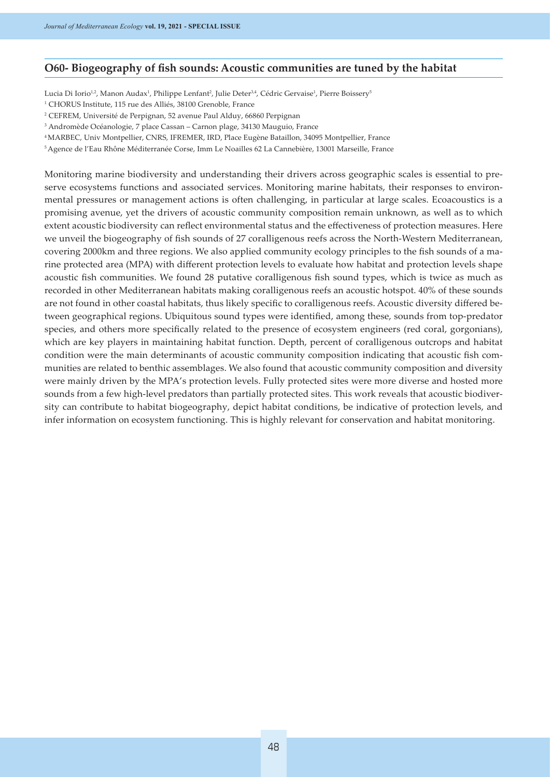#### **O60- Biogeography of fish sounds: Acoustic communities are tuned by the habitat**

Lucia Di Iorio<sup>1,2</sup>, Manon Audax<sup>1</sup>, Philippe Lenfant<sup>2</sup>, Julie Deter<sup>3,4</sup>, Cédric Gervaise<sup>1</sup>, Pierre Boissery<sup>5</sup>

- 1 CHORUS Institute, 115 rue des Alliés, 38100 Grenoble, France
- 2 CEFREM, Université de Perpignan, 52 avenue Paul Alduy, 66860 Perpignan

3 Andromède Océanologie, 7 place Cassan – Carnon plage, 34130 Mauguio, France

4 MARBEC, Univ Montpellier, CNRS, IFREMER, IRD, Place Eugène Bataillon, 34095 Montpellier, France

5 Agence de l'Eau Rhône Méditerranée Corse, Imm Le Noailles 62 La Cannebière, 13001 Marseille, France

Monitoring marine biodiversity and understanding their drivers across geographic scales is essential to preserve ecosystems functions and associated services. Monitoring marine habitats, their responses to environmental pressures or management actions is often challenging, in particular at large scales. Ecoacoustics is a promising avenue, yet the drivers of acoustic community composition remain unknown, as well as to which extent acoustic biodiversity can reflect environmental status and the effectiveness of protection measures. Here we unveil the biogeography of fish sounds of 27 coralligenous reefs across the North-Western Mediterranean, covering 2000km and three regions. We also applied community ecology principles to the fish sounds of a marine protected area (MPA) with different protection levels to evaluate how habitat and protection levels shape acoustic fish communities. We found 28 putative coralligenous fish sound types, which is twice as much as recorded in other Mediterranean habitats making coralligenous reefs an acoustic hotspot. 40% of these sounds are not found in other coastal habitats, thus likely specific to coralligenous reefs. Acoustic diversity differed between geographical regions. Ubiquitous sound types were identified, among these, sounds from top-predator species, and others more specifically related to the presence of ecosystem engineers (red coral, gorgonians), which are key players in maintaining habitat function. Depth, percent of coralligenous outcrops and habitat condition were the main determinants of acoustic community composition indicating that acoustic fish communities are related to benthic assemblages. We also found that acoustic community composition and diversity were mainly driven by the MPA's protection levels. Fully protected sites were more diverse and hosted more sounds from a few high-level predators than partially protected sites. This work reveals that acoustic biodiversity can contribute to habitat biogeography, depict habitat conditions, be indicative of protection levels, and infer information on ecosystem functioning. This is highly relevant for conservation and habitat monitoring.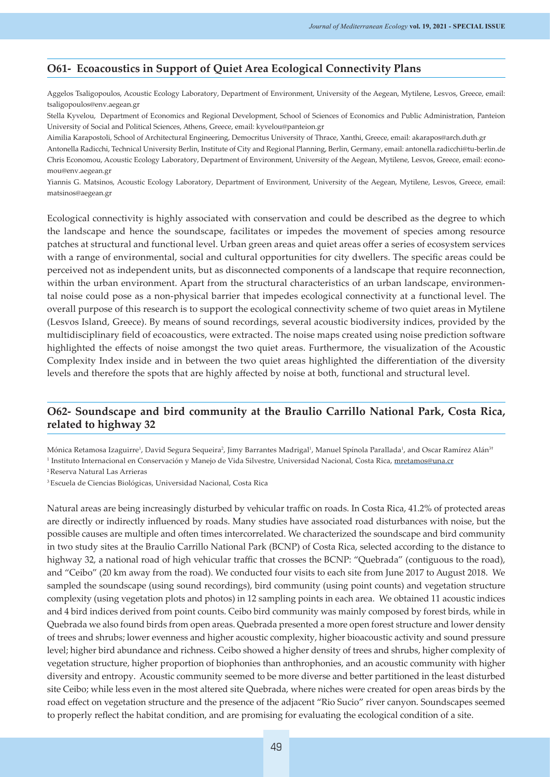#### **O61- Ecoacoustics in Support of Quiet Area Ecological Connectivity Plans**

Aggelos Tsaligopoulos, Acoustic Ecology Laboratory, Department of Environment, University of the Aegean, Mytilene, Lesvos, Greece, email: tsaligopoulos@env.aegean.gr

Stella Kyvelou, Department of Economics and Regional Development, School of Sciences of Economics and Public Administration, Panteion University of Social and Political Sciences, Athens, Greece, email: kyvelou@panteion.gr

Aimilia Karapostoli, School of Architectural Engineering, Democritus University of Thrace, Xanthi, Greece, email: akarapos@arch.duth.gr

Antonella Radicchi, Technical University Berlin, Institute of City and Regional Planning, Berlin, Germany, email: antonella.radicchi@tu-berlin.de Chris Economou, Acoustic Ecology Laboratory, Department of Environment, University of the Aegean, Mytilene, Lesvos, Greece, email: economou@env.aegean.gr

Yiannis G. Matsinos, Acoustic Ecology Laboratory, Department of Environment, University of the Aegean, Mytilene, Lesvos, Greece, email: matsinos@aegean.gr

Ecological connectivity is highly associated with conservation and could be described as the degree to which the landscape and hence the soundscape, facilitates or impedes the movement of species among resource patches at structural and functional level. Urban green areas and quiet areas offer a series of ecosystem services with a range of environmental, social and cultural opportunities for city dwellers. The specific areas could be perceived not as independent units, but as disconnected components of a landscape that require reconnection, within the urban environment. Apart from the structural characteristics of an urban landscape, environmental noise could pose as a non-physical barrier that impedes ecological connectivity at a functional level. The overall purpose of this research is to support the ecological connectivity scheme of two quiet areas in Mytilene (Lesvos Island, Greece). By means of sound recordings, several acoustic biodiversity indices, provided by the multidisciplinary field of ecoacoustics, were extracted. The noise maps created using noise prediction software highlighted the effects of noise amongst the two quiet areas. Furthermore, the visualization of the Acoustic Complexity Index inside and in between the two quiet areas highlighted the differentiation of the diversity levels and therefore the spots that are highly affected by noise at both, functional and structural level.

#### **O62- Soundscape and bird community at the Braulio Carrillo National Park, Costa Rica, related to highway 32**

Mónica Retamosa Izaguirre<sup>1</sup>, David Segura Sequeira<sup>2</sup>, Jimy Barrantes Madrigal<sup>1</sup>, Manuel Spínola Parallada<sup>1</sup>, and Oscar Ramírez Alán<sup>3</sup>'

<sup>1</sup> Instituto Internacional en Conservación y Manejo de Vida Silvestre, Universidad Nacional, Costa Rica, <u>mretamos@una.cr</u>

2 Reserva Natural Las Arrieras

3 Escuela de Ciencias Biológicas, Universidad Nacional, Costa Rica

Natural areas are being increasingly disturbed by vehicular traffic on roads. In Costa Rica, 41.2% of protected areas are directly or indirectly influenced by roads. Many studies have associated road disturbances with noise, but the possible causes are multiple and often times intercorrelated. We characterized the soundscape and bird community in two study sites at the Braulio Carrillo National Park (BCNP) of Costa Rica, selected according to the distance to highway 32, a national road of high vehicular traffic that crosses the BCNP: "Quebrada" (contiguous to the road), and "Ceibo" (20 km away from the road). We conducted four visits to each site from June 2017 to August 2018. We sampled the soundscape (using sound recordings), bird community (using point counts) and vegetation structure complexity (using vegetation plots and photos) in 12 sampling points in each area. We obtained 11 acoustic indices and 4 bird indices derived from point counts. Ceibo bird community was mainly composed by forest birds, while in Quebrada we also found birds from open areas. Quebrada presented a more open forest structure and lower density of trees and shrubs; lower evenness and higher acoustic complexity, higher bioacoustic activity and sound pressure level; higher bird abundance and richness. Ceibo showed a higher density of trees and shrubs, higher complexity of vegetation structure, higher proportion of biophonies than anthrophonies, and an acoustic community with higher diversity and entropy. Acoustic community seemed to be more diverse and better partitioned in the least disturbed site Ceibo; while less even in the most altered site Quebrada, where niches were created for open areas birds by the road effect on vegetation structure and the presence of the adjacent "Rio Sucio" river canyon. Soundscapes seemed to properly reflect the habitat condition, and are promising for evaluating the ecological condition of a site.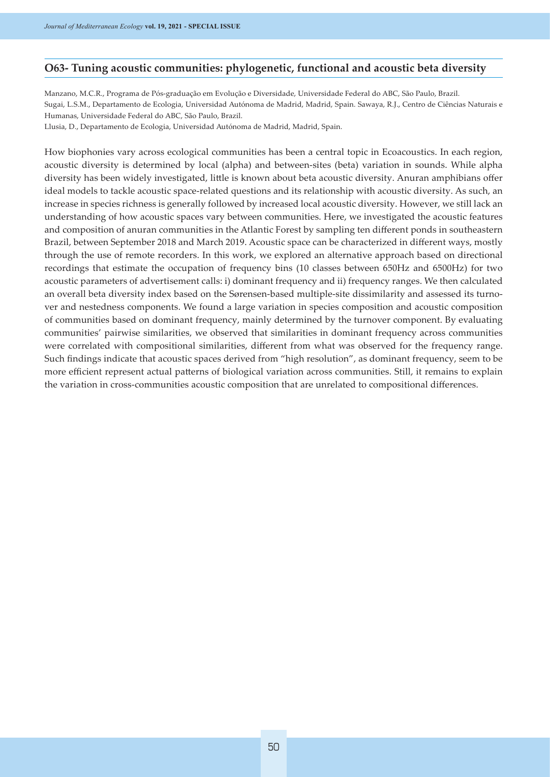#### **O63- Tuning acoustic communities: phylogenetic, functional and acoustic beta diversity**

Manzano, M.C.R., Programa de Pós-graduação em Evolução e Diversidade, Universidade Federal do ABC, São Paulo, Brazil. Sugai, L.S.M., Departamento de Ecologia, Universidad Autónoma de Madrid, Madrid, Spain. Sawaya, R.J., Centro de Ciências Naturais e Humanas, Universidade Federal do ABC, São Paulo, Brazil.

Llusia, D., Departamento de Ecologia, Universidad Autónoma de Madrid, Madrid, Spain.

How biophonies vary across ecological communities has been a central topic in Ecoacoustics. In each region, acoustic diversity is determined by local (alpha) and between-sites (beta) variation in sounds. While alpha diversity has been widely investigated, little is known about beta acoustic diversity. Anuran amphibians offer ideal models to tackle acoustic space-related questions and its relationship with acoustic diversity. As such, an increase in species richness is generally followed by increased local acoustic diversity. However, we still lack an understanding of how acoustic spaces vary between communities. Here, we investigated the acoustic features and composition of anuran communities in the Atlantic Forest by sampling ten different ponds in southeastern Brazil, between September 2018 and March 2019. Acoustic space can be characterized in different ways, mostly through the use of remote recorders. In this work, we explored an alternative approach based on directional recordings that estimate the occupation of frequency bins (10 classes between 650Hz and 6500Hz) for two acoustic parameters of advertisement calls: i) dominant frequency and ii) frequency ranges. We then calculated an overall beta diversity index based on the Sørensen-based multiple-site dissimilarity and assessed its turnover and nestedness components. We found a large variation in species composition and acoustic composition of communities based on dominant frequency, mainly determined by the turnover component. By evaluating communities' pairwise similarities, we observed that similarities in dominant frequency across communities were correlated with compositional similarities, different from what was observed for the frequency range. Such findings indicate that acoustic spaces derived from "high resolution", as dominant frequency, seem to be more efficient represent actual patterns of biological variation across communities. Still, it remains to explain the variation in cross-communities acoustic composition that are unrelated to compositional differences.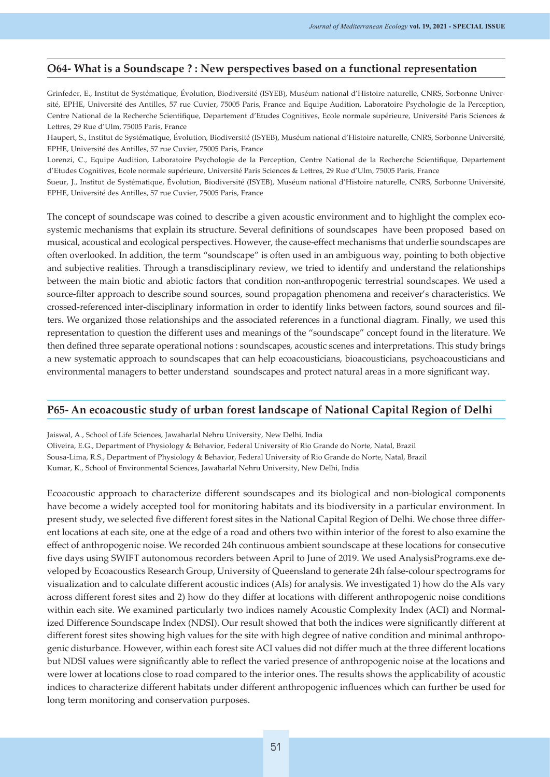#### **O64- What is a Soundscape ? : New perspectives based on a functional representation**

Grinfeder, E., Institut de Systématique, Évolution, Biodiversité (ISYEB), Muséum national d'Histoire naturelle, CNRS, Sorbonne Université, EPHE, Université des Antilles, 57 rue Cuvier, 75005 Paris, France and Equipe Audition, Laboratoire Psychologie de la Perception, Centre National de la Recherche Scientifique, Departement d'Etudes Cognitives, Ecole normale supérieure, Université Paris Sciences & Lettres, 29 Rue d'Ulm, 75005 Paris, France

Haupert, S., Institut de Systématique, Évolution, Biodiversité (ISYEB), Muséum national d'Histoire naturelle, CNRS, Sorbonne Université, EPHE, Université des Antilles, 57 rue Cuvier, 75005 Paris, France

Lorenzi, C., Equipe Audition, Laboratoire Psychologie de la Perception, Centre National de la Recherche Scientifique, Departement d'Etudes Cognitives, Ecole normale supérieure, Université Paris Sciences & Lettres, 29 Rue d'Ulm, 75005 Paris, France

Sueur, J., Institut de Systématique, Évolution, Biodiversité (ISYEB), Muséum national d'Histoire naturelle, CNRS, Sorbonne Université, EPHE, Université des Antilles, 57 rue Cuvier, 75005 Paris, France

The concept of soundscape was coined to describe a given acoustic environment and to highlight the complex ecosystemic mechanisms that explain its structure. Several definitions of soundscapes have been proposed based on musical, acoustical and ecological perspectives. However, the cause-effect mechanisms that underlie soundscapes are often overlooked. In addition, the term "soundscape" is often used in an ambiguous way, pointing to both objective and subjective realities. Through a transdisciplinary review, we tried to identify and understand the relationships between the main biotic and abiotic factors that condition non-anthropogenic terrestrial soundscapes. We used a source-filter approach to describe sound sources, sound propagation phenomena and receiver's characteristics. We crossed-referenced inter-disciplinary information in order to identify links between factors, sound sources and filters. We organized those relationships and the associated references in a functional diagram. Finally, we used this representation to question the different uses and meanings of the "soundscape" concept found in the literature. We then defined three separate operational notions : soundscapes, acoustic scenes and interpretations. This study brings a new systematic approach to soundscapes that can help ecoacousticians, bioacousticians, psychoacousticians and environmental managers to better understand soundscapes and protect natural areas in a more significant way.

#### **P65- An ecoacoustic study of urban forest landscape of National Capital Region of Delhi**

Jaiswal, A., School of Life Sciences, Jawaharlal Nehru University, New Delhi, India Oliveira, E.G., Department of Physiology & Behavior, Federal University of Rio Grande do Norte, Natal, Brazil Sousa-Lima, R.S., Department of Physiology & Behavior, Federal University of Rio Grande do Norte, Natal, Brazil Kumar, K., School of Environmental Sciences, Jawaharlal Nehru University, New Delhi, India

Ecoacoustic approach to characterize different soundscapes and its biological and non-biological components have become a widely accepted tool for monitoring habitats and its biodiversity in a particular environment. In present study, we selected five different forest sites in the National Capital Region of Delhi. We chose three different locations at each site, one at the edge of a road and others two within interior of the forest to also examine the effect of anthropogenic noise. We recorded 24h continuous ambient soundscape at these locations for consecutive five days using SWIFT autonomous recorders between April to June of 2019. We used AnalysisPrograms.exe developed by Ecoacoustics Research Group, University of Queensland to generate 24h false-colour spectrograms for visualization and to calculate different acoustic indices (AIs) for analysis. We investigated 1) how do the AIs vary across different forest sites and 2) how do they differ at locations with different anthropogenic noise conditions within each site. We examined particularly two indices namely Acoustic Complexity Index (ACI) and Normalized Difference Soundscape Index (NDSI). Our result showed that both the indices were significantly different at different forest sites showing high values for the site with high degree of native condition and minimal anthropogenic disturbance. However, within each forest site ACI values did not differ much at the three different locations but NDSI values were significantly able to reflect the varied presence of anthropogenic noise at the locations and were lower at locations close to road compared to the interior ones. The results shows the applicability of acoustic indices to characterize different habitats under different anthropogenic influences which can further be used for long term monitoring and conservation purposes.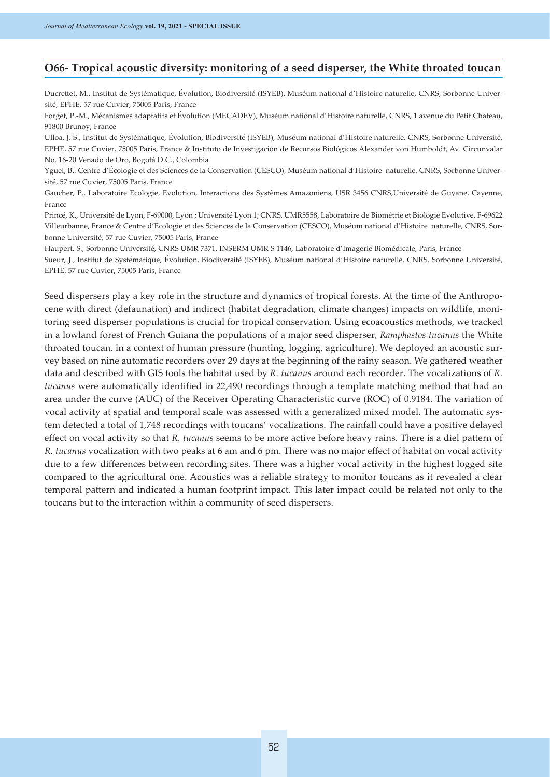#### **O66- Tropical acoustic diversity: monitoring of a seed disperser, the White throated toucan**

Ducrettet, M., Institut de Systématique, Évolution, Biodiversité (ISYEB), Muséum national d'Histoire naturelle, CNRS, Sorbonne Université, EPHE, 57 rue Cuvier, 75005 Paris, France

Forget, P.-M., Mécanismes adaptatifs et Évolution (MECADEV), Muséum national d'Histoire naturelle, CNRS, 1 avenue du Petit Chateau, 91800 Brunoy, France

Ulloa, J. S., Institut de Systématique, Évolution, Biodiversité (ISYEB), Muséum national d'Histoire naturelle, CNRS, Sorbonne Université, EPHE, 57 rue Cuvier, 75005 Paris, France & Instituto de Investigación de Recursos Biológicos Alexander von Humboldt, Av. Circunvalar No. 16-20 Venado de Oro, Bogotá D.C., Colombia

Yguel, B., Centre d'Écologie et des Sciences de la Conservation (CESCO), Muséum national d'Histoire naturelle, CNRS, Sorbonne Université, 57 rue Cuvier, 75005 Paris, France

Gaucher, P., Laboratoire Ecologie, Evolution, Interactions des Systèmes Amazoniens, USR 3456 CNRS,Université de Guyane, Cayenne, France

Princé, K., Université de Lyon, F-69000, Lyon ; Université Lyon 1; CNRS, UMR5558, Laboratoire de Biométrie et Biologie Evolutive, F-69622 Villeurbanne, France & Centre d'Écologie et des Sciences de la Conservation (CESCO), Muséum national d'Histoire naturelle, CNRS, Sorbonne Université, 57 rue Cuvier, 75005 Paris, France

Haupert, S., Sorbonne Université, CNRS UMR 7371, INSERM UMR S 1146, Laboratoire d'Imagerie Biomédicale, Paris, France

Sueur, J., Institut de Systématique, Évolution, Biodiversité (ISYEB), Muséum national d'Histoire naturelle, CNRS, Sorbonne Université, EPHE, 57 rue Cuvier, 75005 Paris, France

Seed dispersers play a key role in the structure and dynamics of tropical forests. At the time of the Anthropocene with direct (defaunation) and indirect (habitat degradation, climate changes) impacts on wildlife, monitoring seed disperser populations is crucial for tropical conservation. Using ecoacoustics methods, we tracked in a lowland forest of French Guiana the populations of a major seed disperser, *Ramphastos tucanus* the White throated toucan, in a context of human pressure (hunting, logging, agriculture). We deployed an acoustic survey based on nine automatic recorders over 29 days at the beginning of the rainy season. We gathered weather data and described with GIS tools the habitat used by *R. tucanus* around each recorder. The vocalizations of *R. tucanus* were automatically identified in 22,490 recordings through a template matching method that had an area under the curve (AUC) of the Receiver Operating Characteristic curve (ROC) of 0.9184. The variation of vocal activity at spatial and temporal scale was assessed with a generalized mixed model. The automatic system detected a total of 1,748 recordings with toucans' vocalizations. The rainfall could have a positive delayed effect on vocal activity so that *R. tucanus* seems to be more active before heavy rains. There is a diel pattern of *R. tucanus* vocalization with two peaks at 6 am and 6 pm. There was no major effect of habitat on vocal activity due to a few differences between recording sites. There was a higher vocal activity in the highest logged site compared to the agricultural one. Acoustics was a reliable strategy to monitor toucans as it revealed a clear temporal pattern and indicated a human footprint impact. This later impact could be related not only to the toucans but to the interaction within a community of seed dispersers.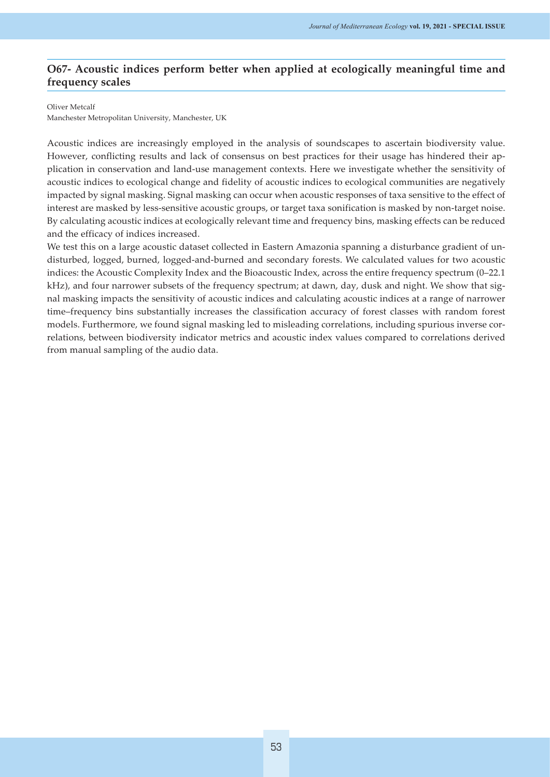#### **O67- Acoustic indices perform better when applied at ecologically meaningful time and frequency scales**

#### Oliver Metcalf

Manchester Metropolitan University, Manchester, UK

Acoustic indices are increasingly employed in the analysis of soundscapes to ascertain biodiversity value. However, conflicting results and lack of consensus on best practices for their usage has hindered their application in conservation and land-use management contexts. Here we investigate whether the sensitivity of acoustic indices to ecological change and fidelity of acoustic indices to ecological communities are negatively impacted by signal masking. Signal masking can occur when acoustic responses of taxa sensitive to the effect of interest are masked by less-sensitive acoustic groups, or target taxa sonification is masked by non-target noise. By calculating acoustic indices at ecologically relevant time and frequency bins, masking effects can be reduced and the efficacy of indices increased.

We test this on a large acoustic dataset collected in Eastern Amazonia spanning a disturbance gradient of undisturbed, logged, burned, logged-and-burned and secondary forests. We calculated values for two acoustic indices: the Acoustic Complexity Index and the Bioacoustic Index, across the entire frequency spectrum (0–22.1 kHz), and four narrower subsets of the frequency spectrum; at dawn, day, dusk and night. We show that signal masking impacts the sensitivity of acoustic indices and calculating acoustic indices at a range of narrower time–frequency bins substantially increases the classification accuracy of forest classes with random forest models. Furthermore, we found signal masking led to misleading correlations, including spurious inverse correlations, between biodiversity indicator metrics and acoustic index values compared to correlations derived from manual sampling of the audio data.